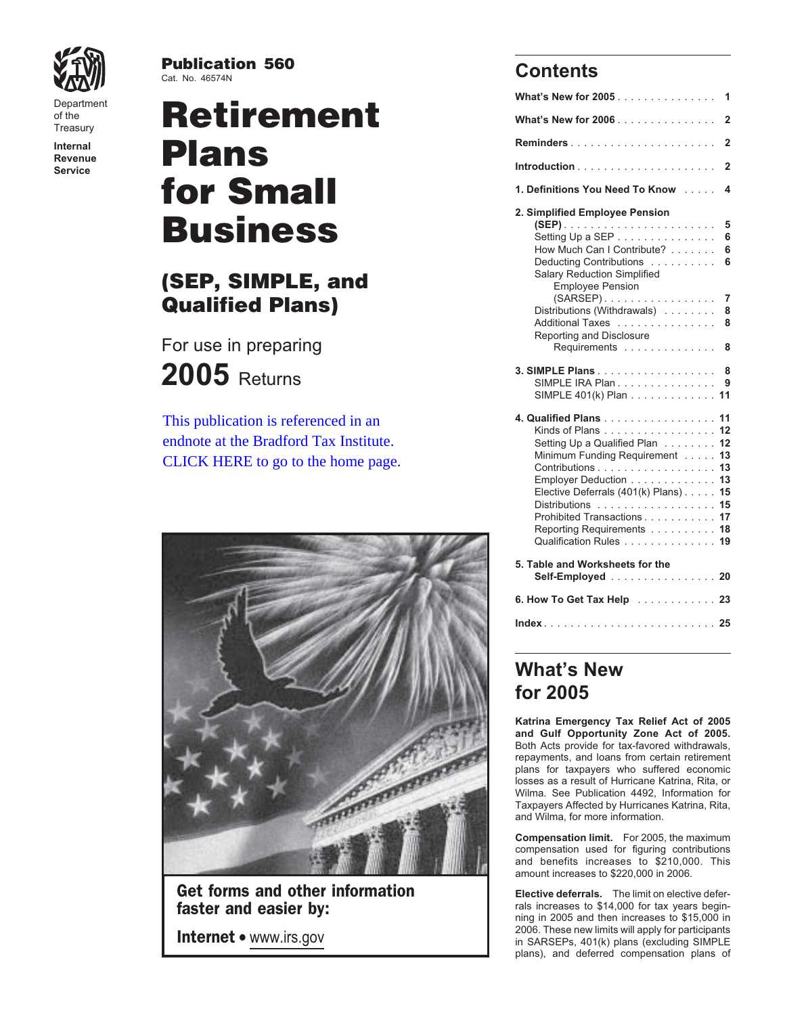

**Publication 560**<br>Cat. No. 46574N

# **for Small Business**

# **(SEP, SIMPLE, and Qualified Plans)**



Get forms and other information<br> **Elective deferrals.** The limit on elective defer-<br>
rals increases to \$14,000 for tax years begin-

# **Contents**

| יוצבר                            |                                                                                                                      | What's New for 2005 1                                                                                                                                                                                                                                                              |
|----------------------------------|----------------------------------------------------------------------------------------------------------------------|------------------------------------------------------------------------------------------------------------------------------------------------------------------------------------------------------------------------------------------------------------------------------------|
| Department<br>of the<br>Treasury | <b>Retirement</b>                                                                                                    |                                                                                                                                                                                                                                                                                    |
| Internal                         | <b>Plans</b>                                                                                                         |                                                                                                                                                                                                                                                                                    |
| Revenue<br>Service               |                                                                                                                      |                                                                                                                                                                                                                                                                                    |
|                                  | for Small                                                                                                            | 1. Definitions You Need To Know 4                                                                                                                                                                                                                                                  |
|                                  | <b>Business</b>                                                                                                      | 2. Simplified Employee Pension<br>Setting Up a SEP 6<br>How Much Can I Contribute? 6<br>Deducting Contributions  6                                                                                                                                                                 |
|                                  | (SEP, SIMPLE, and<br><b>Qualified Plans)</b>                                                                         | <b>Salary Reduction Simplified</b><br><b>Employee Pension</b><br>(SARSEP). 7<br>Distributions (Withdrawals)  8<br>Additional Taxes 8                                                                                                                                               |
|                                  | For use in preparing                                                                                                 | Reporting and Disclosure<br>Requirements 8                                                                                                                                                                                                                                         |
|                                  | $2005$ Returns                                                                                                       | 3. SIMPLE Plans 8<br>SIMPLE IRA Plan 9<br>SIMPLE 401(k) Plan 11                                                                                                                                                                                                                    |
|                                  | This publication is referenced in an<br>endnote at the Bradford Tax Institute.<br>CLICK HERE to go to the home page. | 4. Qualified Plans 11<br>Kinds of Plans 12<br>Setting Up a Qualified Plan 12<br>Minimum Funding Requirement 13<br>Contributions 13<br>Employer Deduction 13<br>Elective Deferrals (401(k) Plans) 15<br>Distributions 15<br>Prohibited Transactions 17<br>Reporting Requirements 18 |
|                                  |                                                                                                                      | Qualification Rules 19<br>5. Table and Worksheets for the<br>Self-Employed 20<br>6. How To Get Tax Help 23                                                                                                                                                                         |

# **What's New for 2005**

**Katrina Emergency Tax Relief Act of 2005 and Gulf Opportunity Zone Act of 2005.** Both Acts provide for tax-favored withdrawals, repayments, and loans from certain retirement plans for taxpayers who suffered economic losses as a result of Hurricane Katrina, Rita, or Wilma. See Publication 4492, Information for Taxpayers Affected by Hurricanes Katrina, Rita, and Wilma, for more information.

**Compensation limit.** For 2005, the maximum compensation used for figuring contributions and benefits increases to \$210,000. This amount increases to \$220,000 in 2006.

**faster and easier by:**<br> **rals increases to \$14,000 for tax years begin-**<br> **rate was about the active and the increases to \$15,000 in<br>
2006. These new limits will apply for participants** Internet • www.irs.gov **internet • www.irs.gov** in SARSEPs, 401(k) plans (excluding SIMPLE plans), and deferred compensation plans of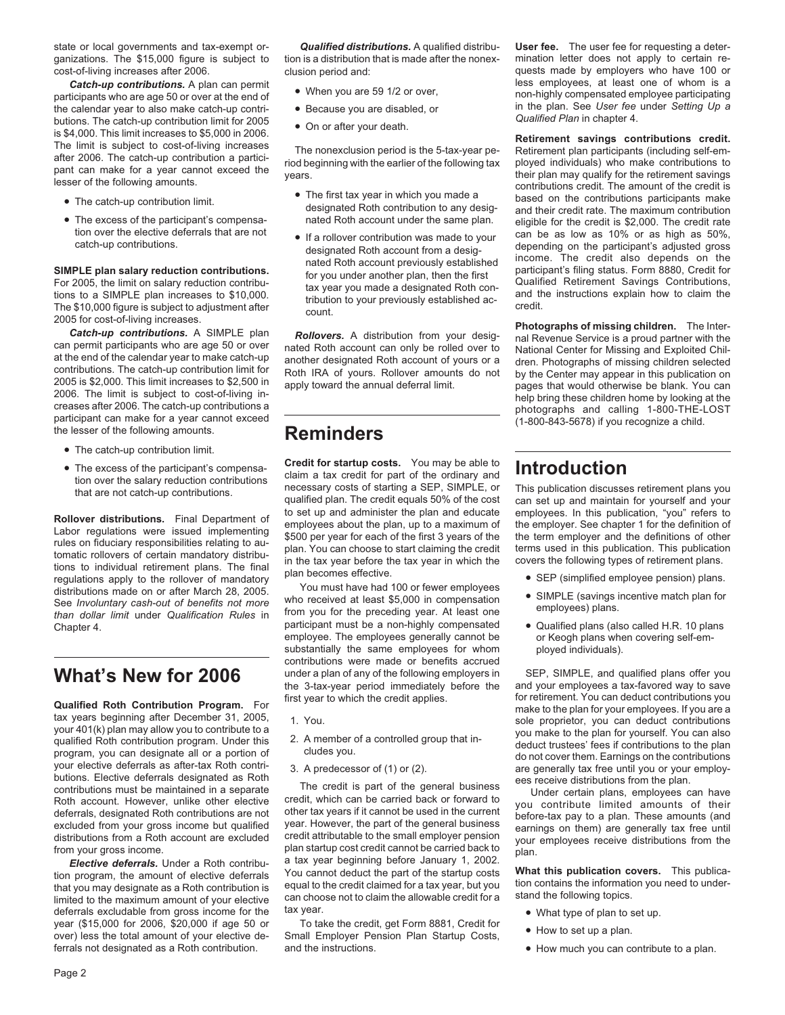ganizations. The \$15,000 figure is subject to tion is a distribution that is made after the nonex- mination letter does not apply to certain re-

- 
- 

tion over the elective deferrals that are not<br>eachi-up contribution was made to your<br>catch-up contributions.<br>
SIMPLE plan salary reduction contributions.<br>
For 2005, the limit on salary reduction contributions<br>
For 2005, th

- 
- 

**Rollover distributions.** Final Department of the set up and administer the plan and educate the employees. In this publication, "you" refers to an axion regulations were issued implementing the employees about the plan, u

**Qualified Roth Contribution Program.** For  $\frac{first}{2000}$  first year to which the credit applies.  $\frac{1}{2000}$  on  $\frac{1}{2000}$  make to the plan for your and deuct contributions you contributions over 401(k) plan may allow y

Exercise determines a Roth contribution is<br>tion program, the amount of elective deferrals You cannot deduct the part of the startup costs What this publication covers. This publica-<br>that you may designate as a Roth contrib limited to the maximum amount of your elective can choose not to claim the allowable credit for a deferrels exclude the maximum amount of your elective can choose not to claim the allowable credit for a deferrels exclude t deferrals excludable from gross income for the tax year.<br>year (\$15,000 for 2006, \$20,000 if age 50 or To take the credit, get Form 8881, Credit for

- 
- 
- 

- 
- 

• The excess of the participant's compensa-<br>tion over the salary reduction contributions<br>tion over the salary reduction contributions that are not catch-up contributions.<br>
This publication discusses retirement plans you<br>
qualified plan. The credit equals 50% of the cost can set up and maintain for yourself and your<br>
to set up and administer the plan and

out or the preceding year. At least one<br>Chapter 4. participant must be a non-highly compensated blans (also called H.R. 10 plans<br>employee. The employees generally cannot be or Keogh plans when covering self-emsubstantially the same employees for whom ployed individuals). contributions were made or benefits accrued **What's New for 2006** under a plan of any of the following employers in SEP, SIMPLE, and qualified plans offer you the 3-tax-year period immediately before the and your employees a tax-favored way to save the 3-tax-year period immediately before the and your employees a tax-favored way to save<br>first year to which the credit applies.<br>for retirement. You can deduct contributions you

- 
- 
- 

*Elective deferrals.* Under a Roth contribu-<br>I program, the amount of elective deferrals You cannot deduct the part of the startup costs

year (\$15,000 for 2000, \$20,000 if age 50 or The take the credit, get Form 8881, Credit for • • How to set up a plan.<br>over) less the total amount of your elective de- Small Employer Pension Plan Startup Costs, • • How to s ferrals not designated as a Roth contribution. <br>
and the instructions. <br> **•** How much you can contribute to a plan.

state or local governments and tax-exempt or- *Qualified distributions.* A qualified distribu- **User fee.** The user fee for requesting a detercost-of-living increases after 2006. clusion period and: quests made by employers who have 100 or<br>Catch-up contributions. A plan can permit  $\frac{1}{2}$ **Catch-up contributions.** A plan can permit **a** When you are 59 1/2 or over, less employees, at least one of whom is a participants who are age 50 or over at the end of **Non-highly compensated employee participating** the c

the calendar year to also make catch-up contrivation limit for 2005<br>
Secause you are disabled, or<br>
the plan. See User fee under Setting Up a<br>
in the plan. See User fee under Setting Up<br>
S4,000. This limit increases to \$5,0

- 
- 
- or Keogh plans when covering self-em-

- 
- 
-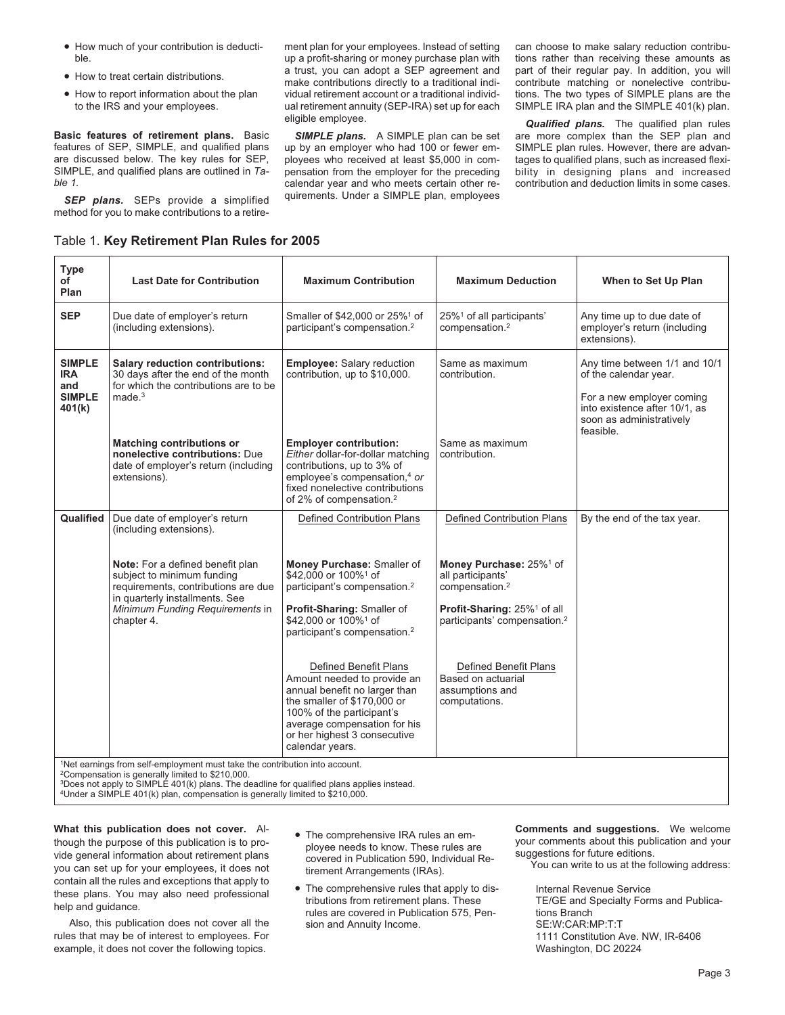- 
- 
- 

**Basic features of retirement plans.** Basic **SIMPLE plans.** A SIMPLE plan can be set are more complex than the SEP plan and features of SEP, SIMPLE, and qualified plans up by an employer who had 100 or fewer em-<br>SIMPLE pla

SEP plans. SEPs provide a simplified method for you to make contributions to a retire-

• How much of your contribution is deducti- ment plan for your employees. Instead of setting can choose to make salary reduction contribuble.<br>
up a profit-sharing or money purchase plan with tions rather than receiving these amounts as<br>
a trust, you can adopt a SEP agreement and part of their regular pay. In addition, you will • How to treat certain distributions.<br>make contributions directly to a traditional indi- contribute matching or nonelective contribu-• How to report information about the plan vidual retirement account or a traditional individ-<br>to the IRS and your employees. ual retirement annuity (SEP-IRA) set up for each SIMPLE IRA plan and the SIMPLE 401(k) plan. ual retirement annuity (SEP-IRA) set up for each

features of SEP, SIMPLE, and qualified plans up by an employer who had 100 or fewer em-<br>The SIMPLE plan rules. However, there are advant-<br>are discussed below. The key rules for SEP, ployees who received at least \$5,000 in ployees who received at least \$5,000 in com-SIMPLE, and qualified plans are outlined in *Ta-* pensation from the employer for the preceding bility in designing plans and increased calendar year and who meets certain other re-<br>quirements. Under a SIMPLE plan, employees

eligible employee. *Qualified plans.* The qualified plan rules

|  | Table 1. Key Retirement Plan Rules for 2005 |  |  |  |
|--|---------------------------------------------|--|--|--|
|--|---------------------------------------------|--|--|--|

| <b>Type</b><br>of<br>Plan                                     | <b>Last Date for Contribution</b>                                                                                                                                                        | <b>Maximum Contribution</b>                                                                                                                                                                                                                 | <b>Maximum Deduction</b>                                                                                                                                                            | When to Set Up Plan                                                                                                                                           |
|---------------------------------------------------------------|------------------------------------------------------------------------------------------------------------------------------------------------------------------------------------------|---------------------------------------------------------------------------------------------------------------------------------------------------------------------------------------------------------------------------------------------|-------------------------------------------------------------------------------------------------------------------------------------------------------------------------------------|---------------------------------------------------------------------------------------------------------------------------------------------------------------|
| <b>SEP</b>                                                    | Due date of employer's return<br>(including extensions).                                                                                                                                 | Smaller of \$42,000 or 25% <sup>1</sup> of<br>participant's compensation. <sup>2</sup>                                                                                                                                                      | 25% <sup>1</sup> of all participants'<br>compensation. <sup>2</sup>                                                                                                                 | Any time up to due date of<br>employer's return (including<br>extensions).                                                                                    |
| <b>SIMPLE</b><br><b>IRA</b><br>and<br><b>SIMPLE</b><br>401(k) | <b>Salary reduction contributions:</b><br>30 days after the end of the month<br>for which the contributions are to be<br>made. <sup>3</sup>                                              | Employee: Salary reduction<br>contribution, up to \$10,000.                                                                                                                                                                                 | Same as maximum<br>contribution.                                                                                                                                                    | Any time between 1/1 and 10/1<br>of the calendar year.<br>For a new employer coming<br>into existence after 10/1, as<br>soon as administratively<br>feasible. |
|                                                               | <b>Matching contributions or</b><br>nonelective contributions: Due<br>date of employer's return (including<br>extensions).                                                               | <b>Employer contribution:</b><br>Either dollar-for-dollar matching<br>contributions, up to 3% of<br>employee's compensation, <sup>4</sup> or<br>fixed nonelective contributions<br>of 2% of compensation. <sup>2</sup>                      | Same as maximum<br>contribution.                                                                                                                                                    |                                                                                                                                                               |
| Qualified                                                     | Due date of employer's return<br>(including extensions).                                                                                                                                 | Defined Contribution Plans                                                                                                                                                                                                                  | <b>Defined Contribution Plans</b>                                                                                                                                                   | By the end of the tax year.                                                                                                                                   |
|                                                               | Note: For a defined benefit plan<br>subject to minimum funding<br>requirements, contributions are due<br>in quarterly installments. See<br>Minimum Funding Requirements in<br>chapter 4. | Money Purchase: Smaller of<br>\$42,000 or 100% <sup>1</sup> of<br>participant's compensation. <sup>2</sup><br>Profit-Sharing: Smaller of<br>\$42,000 or 100% <sup>1</sup> of<br>participant's compensation. <sup>2</sup>                    | Money Purchase: 25% <sup>1</sup> of<br>all participants'<br>compensation. <sup>2</sup><br><b>Profit-Sharing: 25%<sup>1</sup> of all</b><br>participants' compensation. <sup>2</sup> |                                                                                                                                                               |
|                                                               |                                                                                                                                                                                          | <b>Defined Benefit Plans</b><br>Amount needed to provide an<br>annual benefit no larger than<br>the smaller of \$170,000 or<br>100% of the participant's<br>average compensation for his<br>or her highest 3 consecutive<br>calendar years. | <b>Defined Benefit Plans</b><br>Based on actuarial<br>assumptions and<br>computations.                                                                                              |                                                                                                                                                               |
|                                                               | 1Net earnings from self-employment must take the contribution into account.<br><sup>2</sup> Compensation is generally limited to \$210,000.<br>$AOA/1.1 - 1 -$                           |                                                                                                                                                                                                                                             |                                                                                                                                                                                     |                                                                                                                                                               |

oes not apply to SIMPLE 401(k) plans. The deadline for qualified plans applies instead.

4Under a SIMPLE 401(k) plan, compensation is generally limited to \$210,000.

**What this publication does not cover.** All The comprehensive IRA rules an em-<br>though the purpose of this publication is to pro-<br>vide general information about retirement plans covered in Publication 590, Individual Re-<br>yo contain all the rules and exceptions that apply to<br>these plans. You may also need professional ● The comprehensive rules that apply to dis- Internal Revenue Service<br>help and guidance. whe in Publication 575, Pen- tions Br

Also, this publication does not cover all the sion and Annuity Income.<br>Also, this publication does not cover all the sion and Annuity Income.<br>
SE:W:CAR:MP:T:T<br>
1111 Constitution Ave. NW, IR-6406 rules that may be of interest to employees. For 1111 Constitution Ave. 1111 Constitution Ave. 1<br>
example, it does not cover the following topics. The matrix of the constitution Ave. In the constitution Ave example, it does not cover the following topics.

- 
-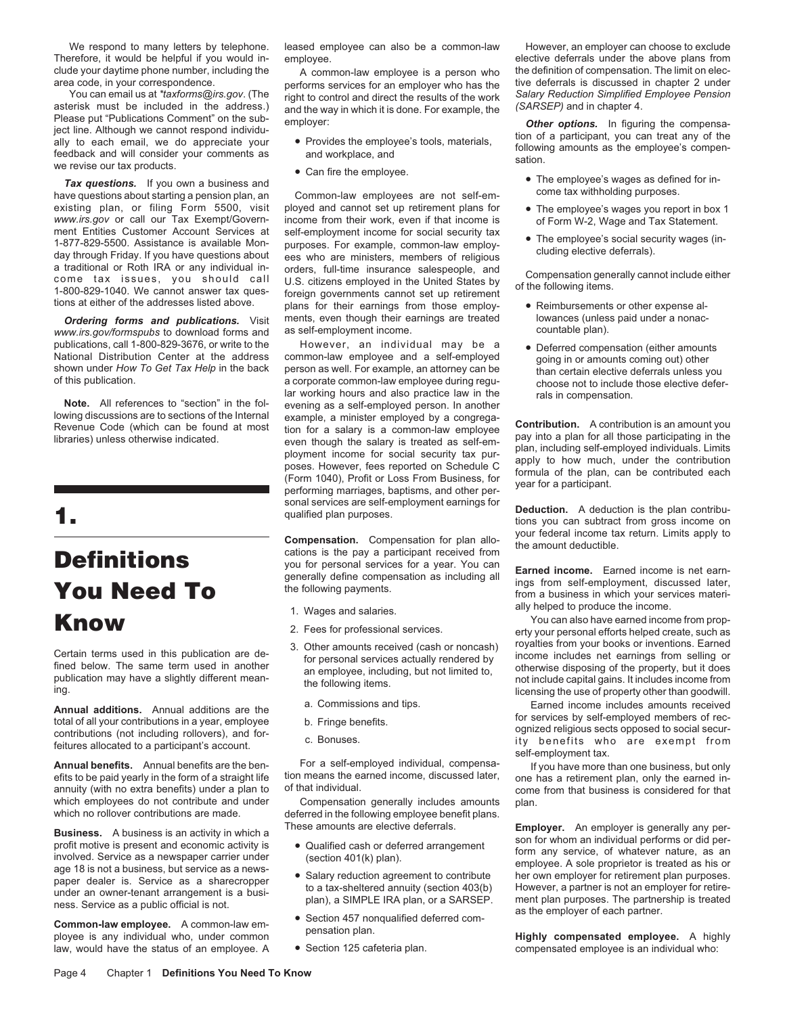Therefore, it would be helpful if you would in-<br>clude your daytime phone number, including the <br>A common-law employee is a person who the definition of compensation. The limit on elec-

area code, in your correspondence.<br>
Nou can email us at "axtorns (girs.gov. (The right to control and direct the results of the work Salary Reduction Simplified Employee Pension<br>
Nease put "Publications Comment" on the sub

existing plan, or filing Form 5500, visit ployed and cannot set up retirement plans for • The employee's wages you report in box 1 www.irs.gov or call our Tax Exempt/Govern- income from their work, even if that income is o *www.irs.gov* or call our Tax Exempt/Govern- income from their work, even if that income is ment Entities Customer Account Services at self-employment income for social security tax 1-877-829-5500. Assistance is available Mon-<br>day through Friday. If you have questions about easy tho are ministers, members of religious<br>a traditional or Roth IRA or any individual in-<br>a traditional or Roth IRA or any ind

www*.irs.gov/formspubs* to download forms and as self-employment income.<br>publications, call 1-800-829-3676, or write to the However, an individual may be a

lowing discussions are to sections of the Internal example, a minister employed by a congrega-

# ally helped to produce the income.<br>You can also have earned income from prop-<br>2. Fees for professional services. The property your personal efforts helped create, such as

publication hay have a slightly different mean-<br>ing. licensing the use of property other than goodwill.

which employees do not contribute and under Compensation generally includes amounts plan.<br>which no rollover contributions are made. deferred in the following employee benefit plans.

- 
- 

a traditional or Roth IRA or any individual in-<br>come tax issues, you should call U.S. citizens employed in the United States by<br>1-800-829-1040. We cannot answer tax ques-<br>tions at either of the addresses listed above. plan **Ordering forms and publications.** Visit ments, even though their earnings are treated lowances (unless paid under a nonac-<br>ww irs gov/formspubs to download forms and as self-employment income.

publications, call 1-800-829-3676, or write to the However, an individual may be a Deferred compensation (either amounts<br>National Distribution Center at the address common-law employee and a self-employed shown under How T lar working hours and also practice law in the<br> **Note.** All references to "section" in the fol-<br>
lowing discussions are to sections of the Internal<br>
example, a minister employed by a congrega-Revenue Code (which can be found at most<br>in for a salary is a common-law employee<br>libraries) unless otherwise indicated.<br>even though the salary is treated as self-em-<br>pay into a plan for all those participating in the libraries) unless otherwise indicated.<br>
even though the salary is treated as self-em-<br>
plan, including self-employed individuals. Limits<br>
plan, including self-employed individuals. Limits<br>
posses. However, fees reported on

Compensation. Compensation for plan allo-<br>
Comparison of plan allo-<br>
you for personal services for a year. You can<br>
generally define compensation as including all<br>
the following payments.<br>
To the following payments.<br>
The f

- 
- 
- -
	-
	-

**Annual benefits.** Annual benefits are the ben-<br>For a self-employed individual, compensa-<br>For a providing the none than only the earned in-<br>increased later, one has a refirement plan, only the earned in-<br>increased later, o

deferred in the following employee benefit plans.<br>These amounts are elective deferrals.

- 
- 
- 
- 

We respond to many letters by telephone. leased employee can also be a common-law However, an employer can choose to exclude clude your daytime phone number, including the the common-law employee is a person who the definition of compensation. The limit on elec-<br>area code, in your correspondence. performs services for an employer who has the tiv

- 
- 
- 

- 
- 

sonal services are self-employment earnings for **Deduction.** A deduction is the plan contribu-<br>qualified plan purposes. **Deduction** is the plan come on your federal income tax return. Limits apply to

Certain terms used in this publication are de-<br>fined below. The same term used in another<br>tined below. The same term used in another<br>an employee, including, but not limited to,<br>the following items.<br>tinclude capital gains.

**Annual additions.** Annual additions are the total of all your contributions in a year, employee total of all your contributions in a year, employee b. Fringe benefits. Commissions and tips. Earned income includes amounts

efits to be paid yearly in the form of a straight life tion means the earned income, discussed later, one has a retirement plan, only the earned in-<br>annuity (with no extra benefits) under a plan to of that individual. annuity (with no extra benefits) under a plan to of that individual. come from that business is considered for that under compensation denerally includes amounts plan.

**Business.** A business is an activity in which a<br>profit motive is present and economic activity is<br>involved. Service as a newspaper carrier under<br>age 18 is not a business, but service as a news-<br>age 18 is not a business, b

law, would have the status of an employee. A . Gection 125 cafeteria plan. compensated employee is an individual who: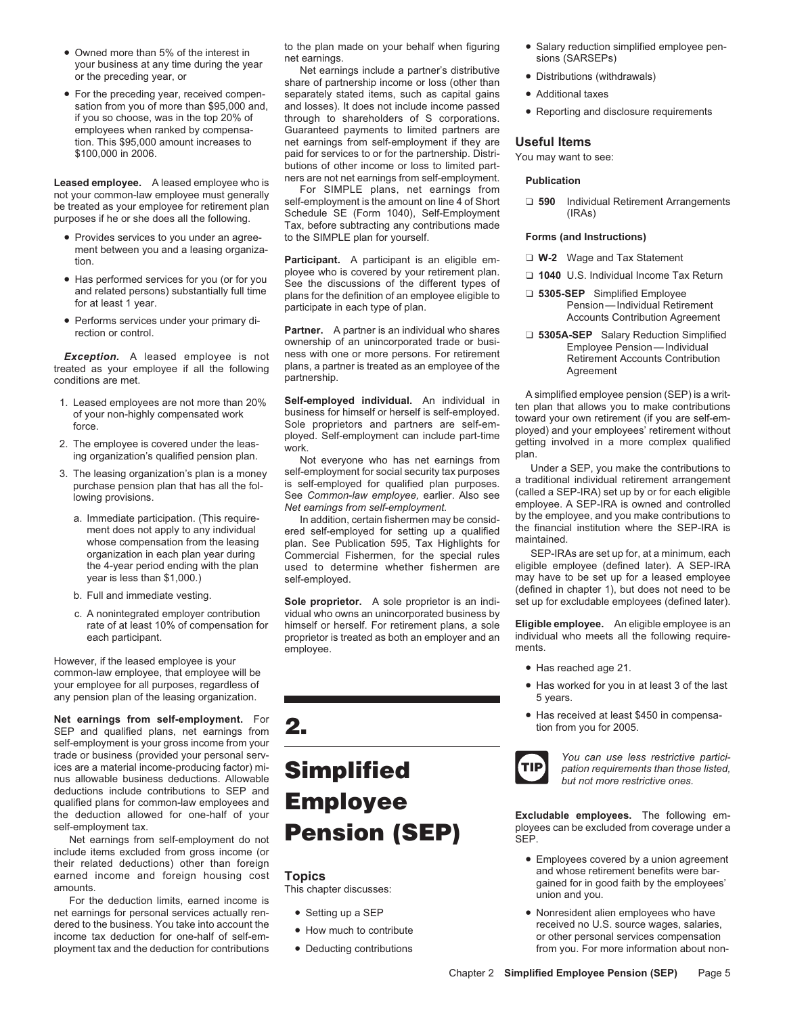- Owned more than 5% of the interest in to the plan made on your behalf when figuring <br>vour business at any time during the year net earnings.<br>or the preceding year, or share of partnership income or loss (of the than  $\bullet$
- 

**Leased employee.** A leased employee who is ners are not net earnings from self-employment. **Publication**<br>not your common low employee must concrelly For SIMPLE plans, net earnings from

- ment between you and a leasing organiza-
- 
- 

treated as your employee if all the following plans, a partner is treated as an employee of the Agreement conditions are met.

- 
- 
- -
	-
	-

However, if the leased employee is your • Has reached age 21. common-law employee, that employee will be  $\bullet$  Has reached age 21. your employee for all purposes, regardless of **• Has worked for you in at least 3 of the last**  $\bullet$  Has worked for you in at least 3 of the last any pension plan of the leasing organization.  $\Box$  5 years. 5 years.

• Has received at least \$450 in compensa- **Net earnings from self-employment.** For **2.** tion from you for 2005. SEP and qualified plans, net earnings from self-employment is your gross income from your trade or business (provided your personal serv-<br>
ices are a material income-producing factor) mi-<br> **Compatible 1999** Material income-producing factor) mi-<br> **Compatible 1999** Material partici-<br> **Compatible 1999** Material in nus allowable business deductions. Allowable *but not more restrictive ones.* deductions include contributions to SEP and qualified plans for common-law employees and **Employee** the deduction allowed for one-half of your **Excludable employees.** The following em-

self-employment tax.<br>Net earnings from self-employment do not **Pension (SEP)**<br>include items excluded from gross income (or include items excluded from gross income (or<br>
their related deductions) other than foreign<br>
earned income and foreign housing cost<br>
amounts.<br>
This chapter discusses:<br>
For the deduction limits, earned income is<br>
For the ded

net earnings for personal services actually ren-<br>dered to the business. You take into account the<br> **Allow much to eartifulte**<br> **Allow much to eartifulte**<br> **Allow much to eartifulte**<br> **Allow much to eartifulte**<br> **Allow much** dered to the business. You take into account the **absolut income tax deduction for one-half of self-em- absolution**  $\bullet$  How much to contribute income tax deduction for one-half of self-em- **or other personal services co** ployment tax and the deduction for contributions . Deducting contributions from you. For more information about non-

• For the preceding year, received compen-<br>
separately stated items, such as capital gains
in Additional taxes sation from you of more than \$95,000 and, and losses). It does not include income passed<br>if you so choose, was in the top 20% of through to shareholders of S corporations.<br>employees when ranked by compensa- Guaranteed paym employees when ranked by compensa-<br>
from This \$95,000 amount increases to are earnings from self-employment if they are tion. This \$95,000 amount increases to net earnings from self-employment if they are **Useful Items** paid for services to or for the partnership. Distri-<br>butions of other income or loss to limited part-

Location of the state of the plans, net earnings from<br>the treated as your employee for retirement plan<br>purposes if he or she does all the following.<br>purposes if he or she does all the following.<br>Tax, before subtracting an • Provides services to you under an agree- to the SIMPLE plan for yourself. **Forms (and Instructions)** 

**Participant.** A participant is an eligible em- □ **W-2** Wage and Tax Statement tion. <br> **Participant.** A participant is an eligible em- □ **W-2** Wage and Tax Statement plan. • Has performed services for you (or for you pluge who is covered by your retirement plan. and related persons) substantially full time see the discussions of the different types of an employee eligible to  $\Box$  5305-SEP S

• Performs services under your primary di-<br>
Partner. A partner is an individual who shares<br>
Partner is an individual who shares<br>
ownership of an unincorporated trade or busi-<br>
Employee Pension—Individual<br>
Employee Pension— Exception. A leased employee is not ness with one or more persons. For retirement<br>exact as your employee if all the following plans, a partner is treated as an employee of the a sexperiment Accounts Contribution

ment does not apply to any individual ered self-employed for setting up a qualified the financia<br>whose compensation from the leasing blan. See Publication 595. Tax Highlights for maintained. whose compensation from the leasing plan. See Publication 595, Tax Highlights for maintained.<br>organization in each plan year during Commercial Fishermen, for the special rules SEP-IRAs are set up for, at a minimum, each organization in each plan year during Commercial Fishermen, for the special rules SEP-IRAs are set up for, at a minimum, each<br>the 4-year period ending with the plan used to determine whether fishermen are eligible employee the 4-year period ending with the plan used to determine whether fishermen are vear is less than \$1,000.)

b. Full and immediate vesting.<br> **Sole proprietor.** A sole proprietor is an indi-<br>
c. A nonintegrated employer contribution vidual who owns an unincorporated business by A nonintegrated employer contribution vidual who owns an unincorporated business by<br>vide of at least 10% of compensation for himself or herself. For retirement plans, a sole himself or herself. For retirement plans, a sole **Eligible employee.** An eligible employee is an proprietor is treated as both an employer and an individual who meets all the following requireeach participant. **proprietor is treated as both an employer** and an individual each participants all the following requireemployee.

# **Simplified CIP** *pation requirements than those listed, pation requirements than those listed,*

- -
- 
- 
- 
- 
- 

- 
- 
- participate in each type of plan. Pension—Individual Retirement<br>Accounts Contribution Agreement
	-

1. Leased employees are not more than 20% **Self-employed individual**. An individual in the plan that allows you to make contributions for our non-highly compensated work sole proprietors and partners are self-employed in p

See Common-law employee, earlier. Also see (Galled a SEP-IRA) set up by or lot each eligible<br>*Net earnings from self-employment.* employee. A SEP-IRA is owned and controlled<br>In addition certain fishermen may be consid. by a. Immediate participation. (This require-<br>In addition, certain fishermen may be consid- by the employee, and you make contributions to in the financial<br>ment does not apply to any individual ered self-employed for setting

may have to be set up for a leased employee<br>(defined in chapter 1), but does not need to be

- 
- 
- 



self-employment tax.<br>Net earnings from self-employment do not **Pension (SEP)** sep. ployees can be excluded from coverage under a

- 
- 

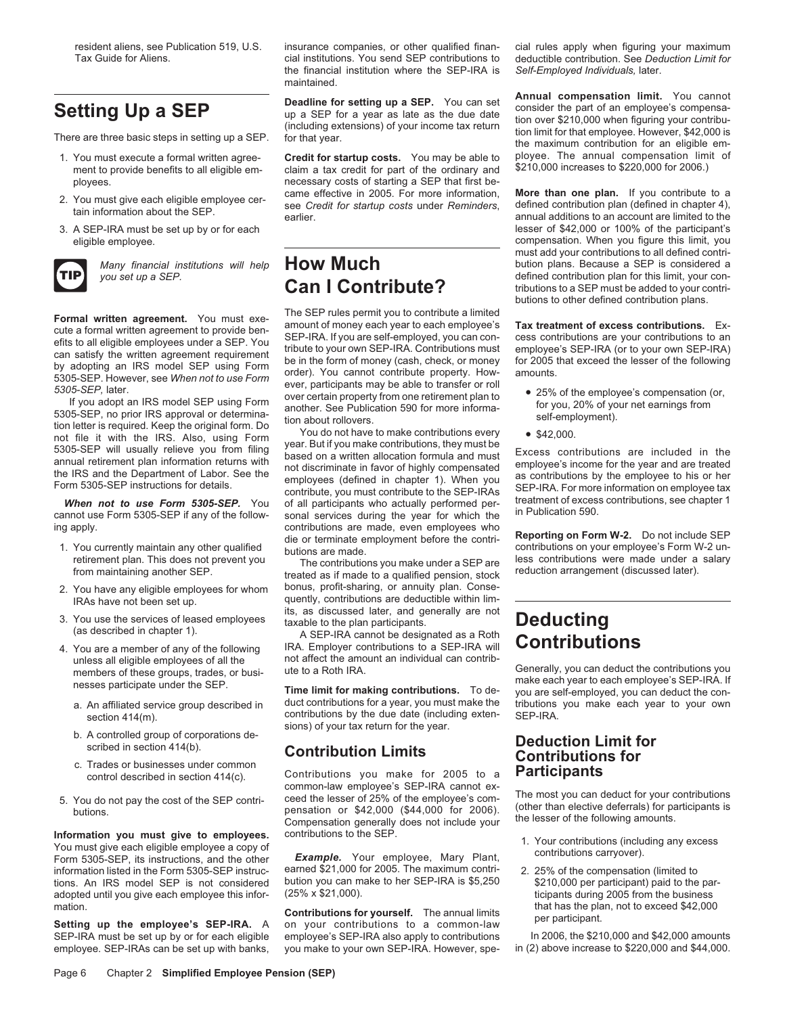- 
- 
- 



- 
- 
- 3. You use the services of leased employees taxable to the plan participants.<br>
A SEP-IRA cannot be designated as a Roth<br>
A SEP-IRA will **Contributions**
- unless all eligible employees of all the not affect the amount and individual can contribute the amount and in<br>members of these groups trades or busi-
	-
	-
	-
- 

**Information you must give to employees.** contributions to the SEP.<br>
You must give each eligible employee a copy of<br>
Form 5305-SEP, its instructions, and the other **Example.** Your employee, Mary Plant, contributions carryo tions. An IRS model SEP is not considered bution you can make to her SEP-IRA is \$5,250 \$210,000 per participant) paid to the par-<br>adopted until you give each employee this infor- (25% x \$21,000). adopted until you give each employee this infor- (25% x \$21,000). adopted until you give each employee this infor- (25% x \$21,000). determines that has the plan, not to exceed \$42,000

resident aliens, see Publication 519, U.S. insurance companies, or other qualified finan- cial rules apply when figuring your maximum<br>Tax Guide for Aliens. Cial institutions. You send SEP contributions to deductible contri Tax Guide for Aliens. cial institutions. You send SEP contributions to deductible contribution. See *Deduction Limit for* the financial institution where the SEP-IRA is maintained.

ment to provide benefits to all eligible em-claim a tax credit for part of the ordinary and ployees.<br>
necessary costs of starting a SEP that first be-<br>
came effective in 2005. For more information. 2. You must give each eligible employee cer-<br>a see Credit for startup costs under Reminders, defined contribution plan. If you contribute to a<br>earlier. annual additions to an account are limited to the<br>annual additions to

**Formal written agreement.** You must exe-<br>
earmount of money each year to each emotible a limited a Trax treatment of excess contributions. Ex-<br>
cute a formal written agreement to provide ben-<br>
effits to all eligible empl

**When not to use Form 5305-SEP.** You of all participants who actually performed per-<br>cannot use Form 5305-SEP if any of the follow-<br>sonal services during the year for which the in Publication 590. ing apply.<br>1. You currently maintain any other qualified butions are made, even employees who<br>1. You currently maintain any other qualified butions are made.

2. You have any eligible employees for whom bonus, profit-sharing, or annuity plan. Conse-IRAs have not been set up.<br>
IRAs have not been set up.<br>
Its, as discussed later, and generally are not

4. You are a member of any of the following IRA. Employer contributions to a SEP-IRA will unless all eligible employees of all the not affect the amount an individual can contributions

section  $414(m)$ .<br>Sions) of your tax return for the year.

c. Trades or businesses under common<br>control described in section 414(c). Contributions you make for 2005 to a **Participants**<br>common-law employee's SEP-IRA cannot excommon-law employee's SEP-IRA cannot ex-<br>5. You do not pay the cost of the SEP contri-<br>butions. pensation or \$42,000 (\$44,000 for 2006). (other than elective deferrals) for participants is<br>Compensation generally does not i

information listed in the Form 5305-SEP instruc- earned \$21,000 for 2005. The maximum contri- 2. 25% of the compensation (limited to inclusively to a sample for 2005). The maximum contri-<br>tions. An IRS model SEP is not con

mation.<br>**Setting up the employee's SEP-IRA.** A on your contributions to a common-law per participant.<br>SEP-IRA must be set up by or for each eligible employee's SEP-IRA also apply to contributions In 2006, the \$210,000 and employee's SEP-IRA also apply to contributions ln 2006, the \$210,000 and \$42,000 amounts vou row SEP-IRA. However, spe-<br>In (2) above increase to \$220,000 and \$44,000. employee. SEP-IRAs can be set up with banks, you make to your own SEP-IRA. However, spe-

**Setting Up a SEP**<br>There are three basic steps in setting up a SEP. Four cannot extern the part of an employee's compensation<br>There are three basic steps in setting up a SEP. for that year.<br>There are three basic steps in s 1. You must execute a formal written agree- **Credit for startup costs.** You may be able to ployee. The annual compensation limit of

3. A SEP-IRA must be set up by or for each lesser of \$42,000 or 100% of the participant's eligible employee. compensation. When you figure this limit, you must add your contributions to all defined contri-*Many financial institutions will help* **How Much** bution plans. Because a SEP is considered a you set up a SEP. **Can I Contribute?** tributions to a SEP must be added to your contributions to other defined contribution plans.

- 
- 

retirement plan. This does not prevent you<br>from maintaining another SEP. The contributions you make under a SEP are less contributions were made under a salary<br>from maintaining another SEP. the treated as if made to a qual

members of these groups, trades, or busi-<br>messes participate under the SEP.<br>a An affiliated service group described in the direct contributions for a year, you must make the the tributions vou<br>and a An affiliated service g a. An affiliated service group described in duct contributions for a year, you must make the tributions you make each year to your own contributions by the due date (including exten-<br>servion 414(m)

# b. A controlled group of corporations de-<br>
sions) of your tax return for the year.<br> **Contribution Limits Deduction Limit for**<br> **Contribution Limits Contributions for**<br> **Contributions for**

- 
-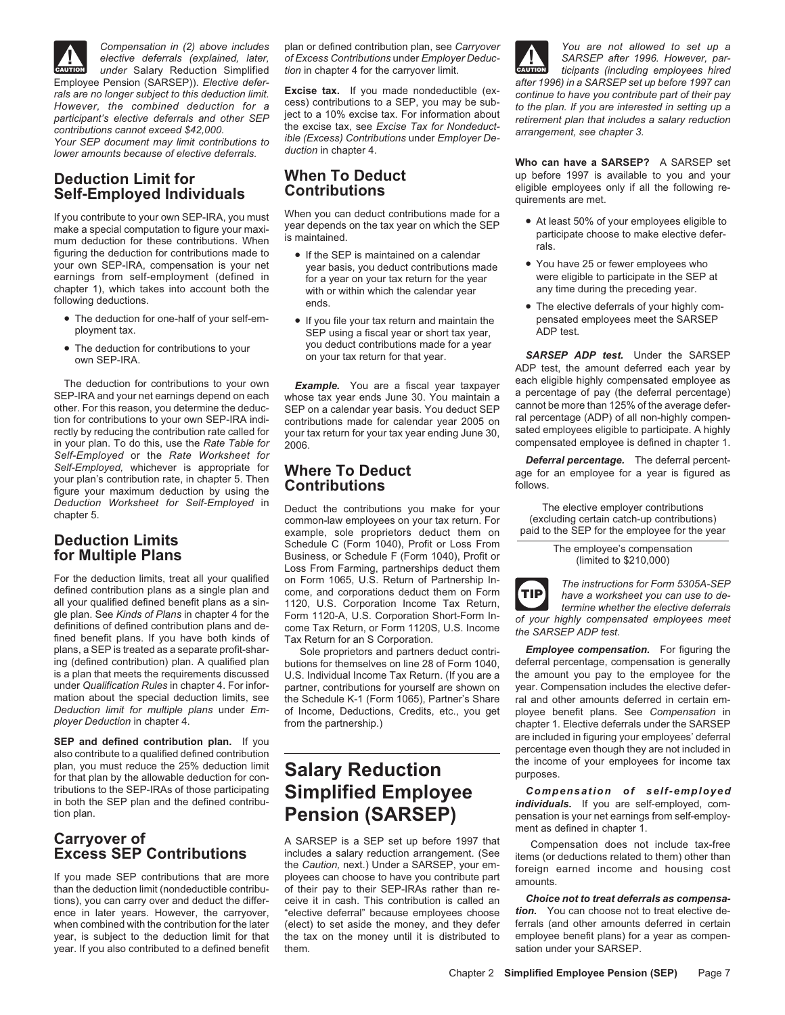

 $e$ <sup>l</sup> elective deferrals (explained, later,

If you contribute to your own SEP-IRA, you must<br>make a special computation to figure your maxi-<br>mum deduction for these contributions. When is maintained.<br>mum deduction for these contributions. When is maintained. mum deduction for these contributions. When is maintained.<br>
figuring the deduction for contributions made to • If the SEP is maintained on a calendar<br>
your own SEP-IRA, compensation is your net vear basis, you deduct contr your own SEP-IRA, compensation is your net year basis, you deduct contributions made • You have 25 or fewer employees who earnings from self-employment (defined in for a year on your tax return for the year chapter 1), which takes into account both the with or within which the calendar year<br>following deductions.<br>ends

- 
- 

SEP-IRA and your net earnings depend on each whose tax year ends June 30. You maintain a a percentage of pay (the deferral percentage) other. For this reason, you determine the deduc-<br>other. For this reason, you determine other. For this reason, you determine the deduc-<br>tion for contributions to your own SEP-IRA indi-<br>rectly by reducing the contribution rate called for<br>rectly by reducing the contribution rate called for<br>vour tax return for in your plan. To do this, use the *Rate Table for* 2006.<br>Self-Employed or the *Rate Worksheet for* Self-Employed or the Rate Worksheet for<br>Self-Employed, whichever is appropriate for **Where To Deduct Deferration of the Constant of the Self-Employed**, whichever is appropriate for **Where To Deduct** and the same for a ye

plans, a SEP is treated as a separate profit-shar-<br>
ing (defined contribution) plan. A qualified plan butions for themselves on line 28 of Form 1040, deferral percentage, compensation is generally ing (defined contribution) plan. A qualified plan butions for themselves on line 28 of Form 1040, is a plan that meets the requirements discussed. LLS Individual Income Tay Return (If you are a under *Qualification Rules* in chapter 4. For infor-<br>mation about the special deduction limits, see the Schedule K-1 (Form 1065). Partner's Share

SEP and defined contribution plan. If you are included in figuring your employees' deferral<br>also contribute to a qualified defined contribution<br>plan, you must reduce the 25% deduction limit **Salary Reduction**<br>for that plan tributions to the SEP-IRAs of those participating **Simplified Employee** *Compensation of self-employed*

*Choice not to treat deferrals as compensa-*<br> *Choice not to treat deferrals as compensa-*<br> **Choice not to treat deferrals as compensa-**<br> **Choice not to treat deferrals as compensa-**<br> **Choice not to treat deferrals as comp** ence in later years. However, the carryover, "elective deferral" because employees choose *tion*. You can choose not to treat elective de-<br>when combined with the contribution for the later (elect) to set aside the money, a when combined with the contribution for the later (elect) to set aside the money, and they defer ferrals (and other amounts deferred in certain year, is subject to the deduction limit for that the tax on the money until it year. If you also contributed to a defined benefit them. Sation under your SARSEP.

Employee Pension (SARSEP)). Elective defer-<br>
rals are no longer subject to this deduction limit.<br>
However, the combined deduction for a cess) contributions to a SEP, you may be sub-<br>
participant's elective deferrals and ot

- for a year on your tax return for the year were eligible to participate in the SE<br>with or within which the calendar year any time during the preceding year.
- SEP using a fiscal year or short tax year, you deduct contributions made for a year • The deduction for contributions to your *you* deduct contributions made for a year<br>
own SEP-IRA. Under the SARSEP

your tax return for your tax year ending June 30, sated employees eligible to participate. A highly<br>2006 compensated employee is defined in chapter 1.

example, sole proprietors deduct them on Schedule C (Form 1040), Profit or Loss From **Deduction Limits**<br>
Schedule C (Form 1040), Profit or Loss From The employee's compensation<br>
Business, or Schedule F (Form 1040), Profit or<br>
Loss From Farming, partnerships deduct them (limited to \$210,000) For the deduction limits, treat all your qualified on Form 1065, U.S. Return of Partnership In-<br>defined contribution plans as a single plan and come, and corporations deduct them on Form The instructions for Form 5305A-SEP gle plan. See Kinds of Plans in chapter 4 for the Form 1120-A, U.S. Corporation Short-Form In-<br>definitions of defined contribution plans and de- come Tax Return, or Form 1120S, U.S. Income *of your highly compensated emplo* 

is a plan that meets the requirements discussed U.S. Individual Income Tax Return. (If you are a the amount you pay to the employee for the under Qualification Rules in chapter 4. For infor-<br>under Qualification Rules in ch mation about the special deduction limits, see the Schedule K-1 (Form 1065), Partner's Share ral and other amounts deferred in certain em-<br>Deduction limit for multiple plans under Em- of Income, Deductions, Credits, etc., *Deduction limit for multiple plans* under *Em-* of Income, Deductions, Credits, etc., you get ployee benefit plans. See *Compensation* in from the partnership.) *ployer Deduction Chapter 1. Elective deferrals under the SARSEP* 

**Carryover of**<br> **Excess SEP Contributions**<br>
If you made SEP contributions that are more ployees can choose to have you contribute part<br>
If you made SEP contributions that are more ployees can choose to have you contribute the tax on the money until it is distributed to

*Compensation in (2) above includes* plan or defined contribution plan, see *Carryover You are not allowed to set up a elective deferrals (explained, later, of Excess Contributions under Employer Deduc-* SARSEP after 1996. However, par-<br>under Salary Reduction Simplified tion in chapter 4 for the carryover limit. **Caution** ticipants (inclu *tion* in chapter 4 for the carryover limit. *the caution ticipants (including employees hired*<br>
after 1996) in a SARSEP set up before 1997 can **!**

**Who can have a SARSEP?** A SARSEP set **Deduction Limit for When To Deduct** up before 1997 is available to you and your **Self-Employed Individuals Contributions** eligible employees only if all the following re-

- 
- 
- llowing deductions.<br>● The elective deferrals of your highly com-<br>● The deduction for one-half of your self-em- ● If you file your tax return and maintain the pensated emplovees meet the SARSEP The deduction for one-half of your self-em-<br>
• If you file your tax return and maintain the pensated employees meet the SARSEP<br>
SEP using a fiscal year or short tax year<br>
ADP test

ADP test, the amount deferred each year by The deduction for contributions to your own **Example.** You are a fiscal year taxpayer each eligible highly compensated employee as The deferral percentage of pay (the deferral percentage)

Deduction Worksheet for Self-Employed in Deduct the contributions you make for your The elective employer contributions<br>common-law employees on your tax return. For (excluding certain catch-up contributions)<br>example sole p



in both the SEP plan and the defined contribu-<br>tion plan. **Dansion (SARSEP)** are self-employed, com-<br>pensation is your pet earnings from self-employ-**Pension (SARSEP)** pensation is your net earnings from self-employment as defined in chapter 1.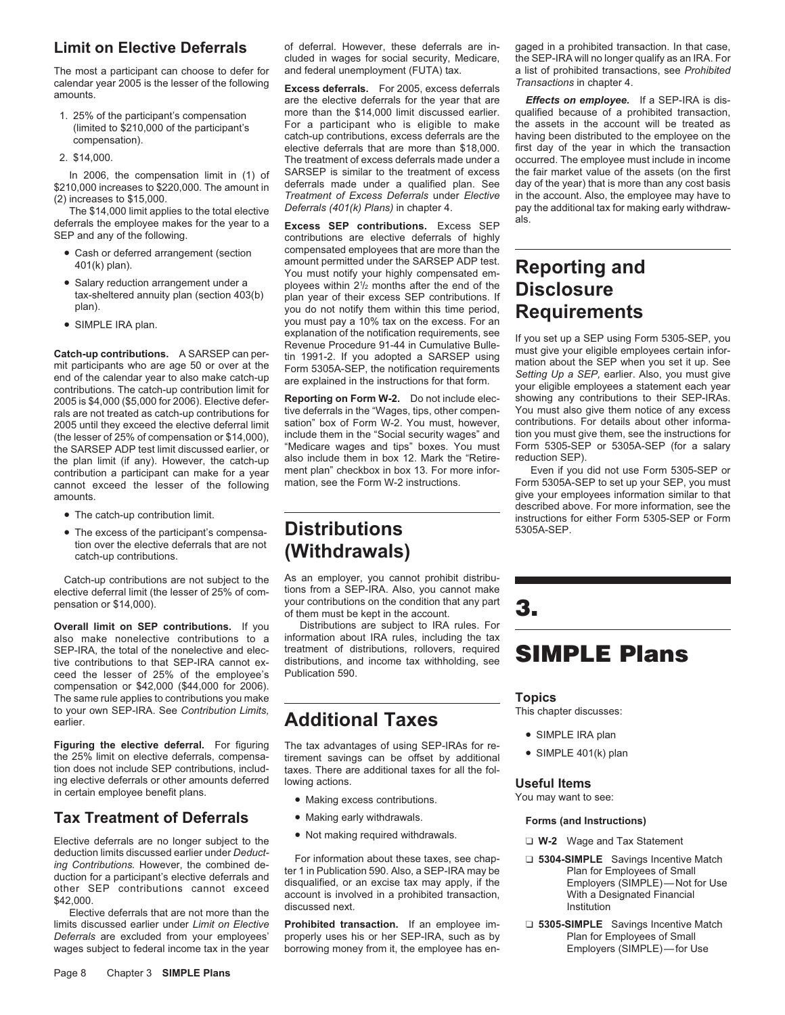The most a participant can choose to defer for and federal unemployment (FUTA) tax. a list of prohibited transactions in chapter 4.<br>Calendar year 2005 is the lesser of the following Frances defensed Frances defenses *Trans* 

- 
- 

- 
- 
- 

the SARSEP ADP test limit discussed earlier, or "Medicare wages and tips" boxes. You must Form 5305-SEP or 5305A-SEP (for a salary the plan limit (if any). However, the catch-up also include them in box 12. Mark the "Retir contribution a participant can make for a year ment plan" checkbox in box 13. For more infor- Even if you did not use Form 5305-SEP or cannot exceed the lesser of the following

- 
- The excess of the participant's compensation over the elective deferrals that are not tion over the elective deferrais that are not **(Withdrawals)**

elective deferral limit (the lesser of 25% of com-<br>pensation or \$14,000).

also make nonelective contributions to a SEP-IRA, the total of the nonelective and elec-<br>treatment of distributions, rollovers, required<br>tive contributions to that SEP-IRA cannot ex-<br>distributions, and income tax withholding, see ceed the lesser of 25% of the employee's compensation or \$42,000 (\$44,000 for 2006). The same rule applies to contributions you make<br>to your own SEP-IRA. See *Contribution Limits*, **A** Julia 1991 **The Contribution of This chapter discusses:** to your own SEP-IRA. See Contribution Limits, Figuri of the elective deferral. For figuring the elective deferral. For figuring the elective deferral. For figuring The tax advantages of using SEP-IRAs for reconditions of the state of the state of the state of the stat

Figuring the elective deferrals, compensa-<br>the elective deferrals, compensa- tirement savings can be offset by additional<br>tion does not include SEP contributions, includ-<br>taxes. There are additional taxes for all the foling elective deferrals or other amounts deferred lowing actions. **Useful Items**

# **Tax Treatment of Deferrals** • Making early withdrawals. Forms (and Instructions)

• Not making required withdrawals. Elective deferrals are no longer subject to the ❏ **W-2** Wage and Tax Statement

limits discussed earlier under *Limit on Elective* **Prohibited transaction.** If an employee im- ❏ **5305-SIMPLE** Savings Incentive Match *Deferrals* are excluded from your employees' properly uses his or her SEP-IRA, such as by Plan for Employees of Small<br>wages subject to federal income tax in the year borrowing money from it, the employee has en- Fmployers wages subject to federal income tax in the year borrowing money from it, the employee has en-

**Limit on Elective Deferrals** of deferral. However, these deferrals are in-<br>cluded in wages for social security, Medicare, the SEP-IRA will no longer qualify as an IRA. For

calendar year 2005 is the lesser of the following<br>amounts. are the elective deferrals for the year that are **Effects on employee.** If a SEP-IRA is dis-<br>1. 25% of the participant's compensation more than the \$14,000 limit d 1. 25% of the participant's compensation more than the \$14,000 limit discussed earlier. qualified because of a prohibited transaction,<br>(limited to \$210,000 of the participant's<br>compensation). For a participant who is eligi

deferrals the employee makes for the year to a<br>SEP and any of the following.<br>contributions are elective deferrals of highly • Cash or deferred arrangement (section compensated employees that are more than the amount permitted under the SARSEP ADP test.<br>401(k) plan).<br>• Salary reduction arrangement under a ployees within 2<sup>1/2</sup> months after the e ployees within  $2\frac{1}{2}$  months after the end of the **Examplement of the state of the state of the state sheltered annuity plan (section 403(b)** plan year of their excess SEP contributions. If **Disclosure** plan).<br>
you do not notify them within this time period, **RANIIIAMA** plan).<br>
• SIMPLE IRA plan.<br>
• SIMPLE IRA plan.<br>
• SIMPLE IRA plan.<br>
• SIMPLE IRA plan.<br>
• SIMPLE IRA plan.<br>
• SIMPLE IRA plan.<br>
• SIMPLE IRA plan.<br>
• SIMPLE IRA plan.<br>
• SIMPLE IRA plan.<br>
• SIMPLE IRA plan.<br>
• SIMPLE IRA p

Catch-up contributions are not subject to the As an employer, you cannot prohibit distribu-<br>ective deferral limit (the lesser of 25% of com-<br>tions from a SEP-IRA. Also, you cannot make pensation or \$14,000). your contributions on the condition that any part of them must be kept in the account. **3.**

**Overall limit on SEP contributions.** If you Distributions are subject to IRA rules. For also make nonelective contributions to a information about IRA rules, including the tax treatment of distributions, rollovers, required **SIMPLE Plans**<br>distributions, and income tax withholding, see **SIMPLE Plans** 

taxes. There are additional taxes for all the fol-<br>lowing actions.

- Making excess contributions. You may want to see:
- 
- 

deduction limits discussed earlier under *Deduct*<br>
ing Contributions. However, the combined de-<br>
duction for a participant's elective deferrals and<br>
other SEP contributions cannot exceed<br>
\$42,000.<br>
Elective deferrals that

cluded in wages for social security, Medicare, the SEP-IRA will no longer qualify as an IRA. For and federal unemployment (FUTA) tax. a list of prohibited transactions, see *Prohibited* 

In 2006, the compensation limit in (1) of SARSEP is similar to the treatment of excess the fair market value of the assets (on the first \$210,000 increases to \$220,000. The amount in deferrals made under a qualified plan.

**Catch-up contributions.** A SARSEP can per-<br>
in 1991-2. If you adopted a SARSEP using<br>
end of the calendar year to also make catch-up<br>
end of the calendar year to also make catch-up<br>
contributions. The catch-up contributi

amounts. The contract of the contract of the contract of the contract of the described above. For more information, see the described above. For more information, see the • The catch-up contribution limit.<br>
• The excess of the participant's compensa-<br> **Distributions**<br> **Distributions**<br>
5305A-SEP.

- 
- 

- 
- 
-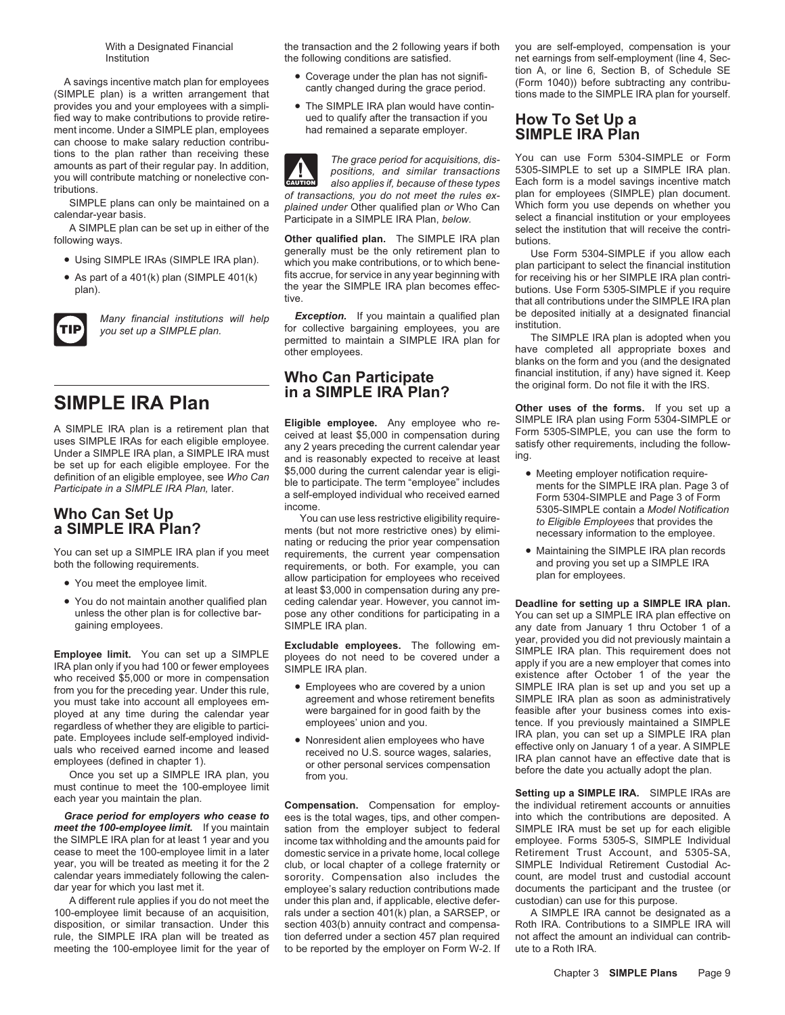A savings incentive match plan for employees Coverage under the plan has not signifi-<br>(SIMPLE plan) is a written arrangement that cantly changed during the grace period. (Form 1040)) before subtracting any contribu-<br>provid provides you and your employees with a simpli-<br>fied way to make contributions to provide retire-<br>ued to qualify after the transaction if you fied way to make contributions to provide retire-<br>ment income. Under a SIMPLE plan, employees had remained a separate employer.<br>can choose to make salary reduction contributions to the plan rather than receiving these *The grace period for acquisitions, dis-* You can use Form 5304-SIMPLE or Form

- 
- 



# **SIMPLE IRA Plan in a SIMPLE IRA Plan? original form. Do not file it with the IRS. SIMPLE** IRA Plan

- 
- 

From you for the preceding year. Under this rule,<br>you must take into account all employees em-<br>ployed at any time during the calendar year were bargained for in good faith by the feasible after your business comes into exi ployed at any time during the calendar year were bargained for in good faith by the teasible after your business comes into exis-<br>regardless of whether they are eligible to partici-<br>pate. Employees include self-employed in

A different rule applies if you do not meet the meeting the 100-employee limit for the year of to be reported by the employer on Form W-2. If ute to a Roth IRA.

With a Designated Financial **the transaction and the 2 following years if both** you are self-employed, compensation is your

- 
- 

amounts as part of their regular pay. In addition,<br>you will contribute matching or nonelective contributions also applies if, because of these types<br>tributions.<br>of transactions, you do not meet the rules ex-<br>plan for emplo **!**

following ways.<br>**Other qualified plan.** The SIMPLE IRA plan butions.<br>**Other qualified plan.** The SIMPLE IRA plan butions.<br>**Other qualified plan.** The SIMPLE IRA plan butions.<br>Use Form 5304-SIMPLE if you allow each

Many financial institutions will help **Exception.** If you maintain a qualified plan be deposited initially at a designated financial you set up a SIMPLE plan.<br>you set up a SIMPLE plan. permitted to maintain a SIMPLE IRA pl you set up a SIMPLE plan. for collective bargaining employees, you are institution.<br>
permitted to maintain a SIMPLE IRA plan for The SIMPLE IRA plan is adopted when you<br>
other employees. have completed all appropriate boxe

A SIMPLE IRA plan is a retirement plan that<br>uses SIMPLE IRA plan is a retirement plan that<br>uses SIMPLE IRA for each eligible employee.<br>Under a SIMPLE IRA plan, a SIMPLE IRA must<br>under a SIMPLE IRA plan, a SIMPLE IRA must<br>

Who Can Set Up<br>
a SIMPLE IRA Plan?<br>
You can use less restrictive eligibility require-<br>
The contain a Model Notification<br>
The contain a Model Notification<br>
The contains and the property of the Eligible Employees that provid You can set up a SIMPLE IRA plan if you meet requirements, the current year compensation • Maintaining the SIMPLE IRA plan records requirements, the current year compensation • Maintaining the SIMPLE IRA plan records requi both the following requirements, or both. For example, you can and proving you set up a set up a SIMPLE IRA SI<br>allow participation for employees who received plan for employees. Plan for employees who received<br>allow participation for employees who received<br>• You do not maintain another qualified plan<br>• Coling calendar year. However, you cannot im-• You do not maintain another qualified plan ceding calendar year. However, you cannot im- **Deadline for setting up a SIMPLE IRA plan.** unless the other plan is for collective bar-<br>SIMPLE IRA plan. SIMPLE IRA plan. any date from January 1 thru October 1 of a

- 
- 

*Grace period for employers who cease to* ees is the total wages, tips, and other compen- into which the contributions are deposited. A meet the 100-employee limit. If you maintain sation from the employer subject to feder sation from the employer subject to federal SIMPLE IRA must be set up for each eligible the SIMPLE IRA plan for at least 1 year and you income tax withholding and the amounts paid for employee. Forms 5305-S, SIMPLE Individual cease to meet the 100-employee limit in a later domestic service in a private home, cease to meet the 100-employee limit in a later domestic service in a private home, local college Retirement Trust Account, and 5305-SA, vear, vou will be treated as meeting it for the 2 club or local chanter of a college year, you will be treated as meeting it for the 2 club, or local chapter of a college fraternity or SIMPLE Individual Retirement Custodial Ac-<br>calendar years immediately following the calen-sorority. Compensation also incl calendar years immediately following the calen-<br>dar year for which you last met it.<br>employee's salary reduction contributions made employee's salary reduction contributions made documents the participant and the trustee (or under this plan and, if applicable, elective defer-<br>under this plan and, if applicable, elective defer-custodian) can use for thi disposition, or similar transaction. Under this section 403(b) annuity contract and compensa-<br>
rule, the SIMPLE IRA plan will be treated as tion deferred under a section 457 plan required not affect the amount an individua tion deferred under a section 457 plan required

Institution the following conditions are satisfied. The following conditions are satisfied.<br>The plan has not eignificant the net of tion A, or line 6, Section B, of Schedule SE

SIMPLE plans can only be maintained on a<br>calendar-year basis.<br>A SIMPLE plans can be set up in either of the plained under Other qualified plan or Who Can<br>A SIMPLE plan can be set up in either of the<br>A SIMPLE plan can be se select the institution that will receive the contri-

Generally Must be the only retirement plan to USE Form 5304-SIMPLE in you allow each • Using SIMPLE IRAs (SIMPLE IRA plan). which you make contributions, or to which bene-<br>• As part of a 401(k) plan (SIMPLE 401(k) fits acc fits accrue, for service in any year beginning with for receiving his or her SIMPLE IRA plan contri-<br>the year the SIMPLE IRA plan becomes effec- butions, Use Form 5305-SIMPLE if you require plan). the year the SIMPLE IRA plan becomes effec- butions. Use Form 5305-SIMPLE if you require<br>tive. tive. tive. that all contributions under the SIMPLE IRA plan

> have completed all appropriate boxes and blanks on the form and you (and the designated **Who Can Participate** financial institution, if any) have signed it. Keep<br>**Fine CHADLE IDA PlanO** the original form. Do not file it with the IRS.

- Due to participate. The term "employee" includes ments for the SIMPLE IRA plan. Page 3 of<br>
Participate in a SIMPLE IRA Plan, later.<br>
Who Can Set Up income.<br>
You can use less restrictive eligibility require-<br>
You can use le
	-

any date from January 1 thru October 1 of a **Excludable employees.** The following em-<br>IRA plan only if you had 100 or fewer employees so not need to be covered under a<br>IRA plan only if you had 100 or fewer employees SIMPLE IRA plan.<br>who received \$5,000 or more in co pate. Employees include self-employed individ-<br>uals who received earned income and leased<br>employees (defined in chapter 1). The presention of a year. A SIMPLE<br>employees (defined in chapter 1). The oright of a year. A SIMPL

must continue to meet the 100-employee limit<br>each year you maintain the plan.<br>**Compensation.** Compensation for employ- the individual retirement accounts or annuities<br>**Grace period for employers who cease to** ees is the to

100-employee limit because of an acquisition, rals under a section 401(k) plan, a SARSEP, or A SIMPLE IRA cannot be designated as a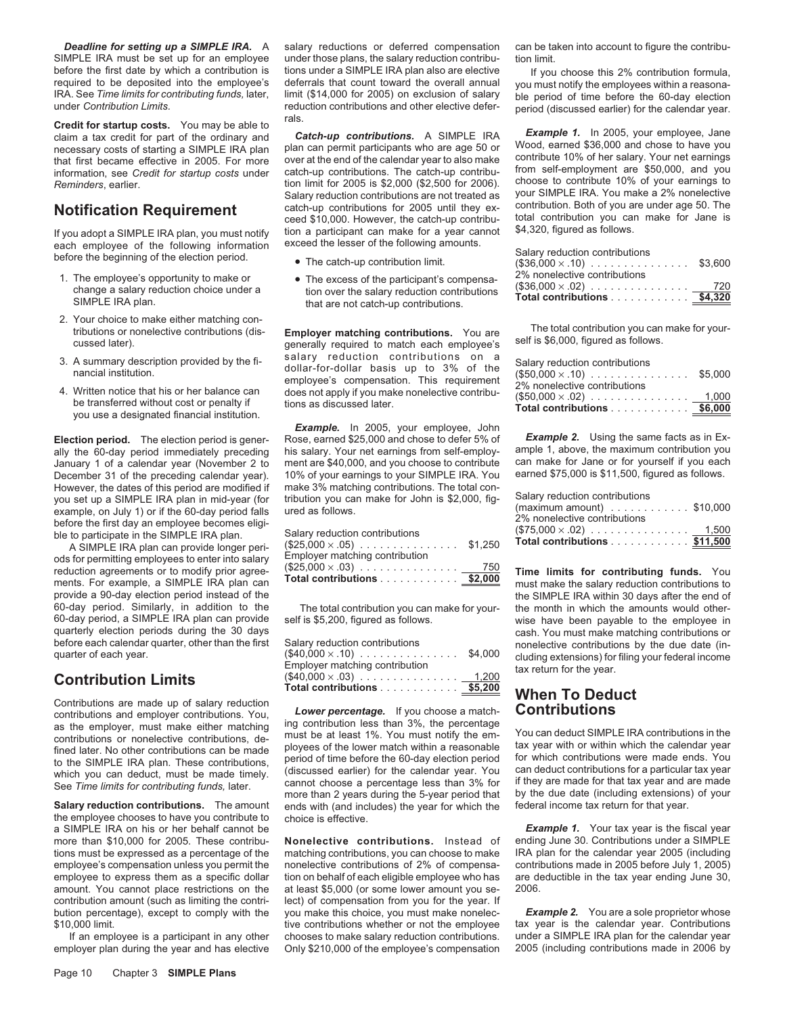**Credit for startup costs.** You may be able to<br>claim a tax credit for part of the ordinary and **Catch-up contributions.** A SIMPLE IRA Example 1. In 2005, your employee, Jane<br>necessary costs of starting a SIMPLE IRA plan pl

each employee of the following information exceed the lesser of the following a before the beginning of the election period. • The catch-up contribution limit.

- 
- 
- 
- 

ally the 60-day period immediately preceding his salary. Your net earnings from self-employ- ample 1, above, the maximum contribution you<br>January 1 of a calendar year (November 2 to ment are \$40,000, and you choose to cont December 31 of the preceding calendar year). 10% of your earnings to your SIMPLE IRA. You However, the dates of this period are modified if make 3% matching contributions. The total conyou set up a SIMPLE IRA plan in mid-year (for tribution you can make for John is \$2,000, fig-<br>example, on July 1) or if the 60-day period falls ured as follows.

Employer matching contribution ods for permitting employees to enter into salary (\$25,000 <sup>×</sup> .03) . . . . . . . . . . . . . . . 750 reduction agreements or to modify prior agree- **Time limits for contributing funds.** You **Total contributions** ............ **\$2,000** ments. For example, a SIMPLE IRA plan can must make the salary reduction contributions to 60-day period. Similarly, in addition to the The total contribution you can make for your- the month in which the amounts would other-<br>60-day period, a SIMPLE IRA plan can provide self is \$5.200 figured as follows.

# **Contribution Limits**

**Total contributions** are made up of salary reduction<br> **Total contributions** and employer contributions  $\frac{1}{2}$  **Lower percentage**. If you choose a match-<br> **Contributions** contributions and employer contributions. You, **Lower percentage.** If you choose a match-<br>contributions and employer contributions. You, ing contribution less than 3%, the percentage as the employer, must make either matching<br>contributions or nonelective contributions, demust be at least 1%. You must notify the em-<br>fined later. No other contributions can be made<br>fined later. No other contributions can

**Salary reduction contributions.** The amount ends with (and includes) the year for which the the employee chooses to have you contribute to choice is effective. the employee chooses to have you contribute to a SIMPLE IRA on his or her behalf cannot be<br>more than \$10,000 for 2005. These contribu-<br>Monelective contributions. Instead of ending June 30. Contributions under a SIMPLE more than \$10,000 for 2005. These contribu-<br>tions must be expressed as a percentage of the matching contributions, you can choose to make IRA plan for the calendar year 2005 (including tions must be expressed as a percentage of the matching contributions, you can choose to make IRA plan for the calendar year 2005 (including employee's compensation unless you permit the nonelective contributions of 2% of employee's compensation unless you permit the nonelective contributions of 2% of compensa-contributions made in 2005 before July 1, 2005) employee to express them as a specific dollar tion on behalf of each eligible employ amount. You cannot place restrictions on the at least \$5,000 (or some lower amount you se- 2006.<br>contribution amount (such as limiting the contri- lect) of compensation from you for the year. If contribution amount (such as limiting the contribution percentage), except to comply with the you make this choice, you must make nonelec-<br>\$10,000 limit. tive contributions whether or not the employee tax year is the calendar year. Contributions

employer plan during the year and has elective Only \$210,000 of the employee's compensation

**Deadline for setting up a SIMPLE IRA.** A salary reductions or deferred compensation can be taken into account to figure the contribu-SIMPLE IRA must be set up for an employee under those plans, the salary reduction contribu- tion limit.<br>before the first date by which a contribution is tions under a SIMPLE IRA plan also are elective frou before the first date by which a contribution is tions under a SIMPLE IRA plan also are elective If you choose this 2% contribution formula, required to be deposited into the employee's deferrals that count toward the over required to be deposited into the employee's deferrals that count toward the overall annual you must notify the employees within a reasona-<br>IRA. See *Time limits for contributing funds*, later, limit (\$14,000 for 2005) on

that first became effective in 2005. For more over at the end of the calendar year to also make<br>intervalsion see Credit for startup costs under catch-up contributions. The catch-up contribute for self-employment are \$50,00 information, see *Credit for startup costs* under catch-up contributions. The catch-up contribu- from self-employment are \$50,000, and you information, see *Credit for startup costs* under catch-up contributions. The catch tion limit for 2005 is \$2,000 (\$2,500 for 2006). choose to contribute 10% of your earnings to *Reminders*, earlier. Salary reduction contributions are not treated as your SIMPLE IRA. You make a 2% nonelective<br>catch-up contributions for 2005 until they ex- contribution. Both of you are under age 50. The **Notification Requirement** catch-up contributions for 2005 until they ex-<br>
ceed \$10,000. However, the catch-up contribu- total contribution you can make for Jane is<br>
If you adopt a SIMPLE IRA plan you must notify tion a pa If you adopt a SIMPLE IRA plan, you must notify tion a participant can make for a year cannot each employee of the following information exceed the lesser of the following amounts.

- 
- 

2. Your choice to make either matching con-<br>tributions or nonelective contributions (dis-<br>cussed later). <br>a summary description provided by the fi-<br>salary reduction contributions on a<br>salary reduction contributions on a<br>c

*Example.* In 2005, your employee, John **Election period.** The election period is gener-<br>Ally the 60-day period immediately preceding his salary Your net earnings from self-employ- ample 1, above, the maximum contribution you ment are \$40,000, and you choose to contribute can make for Jane or for yourself if you each<br>10% of your earnings to your SIMPLE IRA, You earned \$75,000 is \$11,500, figured as follows.

| Salary reduction contributions                     |     |
|----------------------------------------------------|-----|
| $(\$25,000 \times .05)$ $\$1,250$                  |     |
| Employer matching contribution                     |     |
| (\$25,000 × .03) <u>.</u>                          | 750 |
| Total contributions $\ldots \ldots \ldots$ \$2,000 |     |

| <b>Contribution Limits</b>                                                  | Employer matching contribution<br>$(\$40,000 \times .03)$ 1,200                                  | tax return for the year.                                                                             |
|-----------------------------------------------------------------------------|--------------------------------------------------------------------------------------------------|------------------------------------------------------------------------------------------------------|
| before each calendar quarter, other than the first<br>quarter of each year. | Salary reduction contributions<br>$($40,000 \times .10) \dots \dots \dots \dots \dots \$ \$4,000 | nonelective contributions by the due date (in-<br>cluding extensions) for filing your federal income |

fined later. No other contributions can be made<br>to the SIMPLE IRA plan. These contributions, period of time before the 60-day election period of the calendar year<br>which you can deduct, must be made timely. (discussed earli more than 2 years during the 5-year period that by the due date (including extensions ends with (and includes) the year for which the  $\epsilon$  federal income tax return for that year.

tion on behalf of each eligible employee who has 1,000 limit. This tive contributions whether or not the employee tax year is the calendar year. Contributions is a participant in any other chooses to make salary reduction contributions. under a SIMPLE IRA plan for the ca chooses to make salary reduction contributions. under a SIMPLE IRA plan for the calendar year<br>Only \$210,000 of the employee's compensation 2005 (including contributions made in 2006 by

| ach employee of the following imormation                                                                 | chooced the resson of the following amounts.                                                                                        | Salary reduction contributions                                                         |         |
|----------------------------------------------------------------------------------------------------------|-------------------------------------------------------------------------------------------------------------------------------------|----------------------------------------------------------------------------------------|---------|
| efore the beginning of the election period.                                                              | • The catch-up contribution limit.                                                                                                  | $(\$36,000 \times .10)$                                                                | \$3,600 |
| 1. The employee's opportunity to make or<br>change a salary reduction choice under a<br>SIMPLE IRA plan. | • The excess of the participant's compensa-<br>tion over the salary reduction contributions<br>that are not catch-up contributions. | 2% nonelective contributions<br>$(\$36,000 \times .02)$<br>Total contributions \$4,320 | 720     |

| 3. A summary description provided by the fi-<br>nancial institution.                                                                      | salary reduction contributions on a<br>dollar-for-dollar basis up to 3% of the<br>employee's compensation. This requirement | Salary reduction contributions<br>$($50,000 \times .10) \dots \dots \dots \dots \dots \$ \$5,000                                |  |
|-------------------------------------------------------------------------------------------------------------------------------------------|-----------------------------------------------------------------------------------------------------------------------------|---------------------------------------------------------------------------------------------------------------------------------|--|
| 4. Written notice that his or her balance can<br>be transferred without cost or penalty if<br>you use a designated financial institution. | does not apply if you make nonelective contribu-<br>tions as discussed later.                                               | 2% nonelective contributions<br>$(\$50,000 \times .02) \ldots \ldots \ldots \ldots \ldots 1,000$<br>Total contributions \$6,000 |  |

| you set up a SIMPLE IRA plan in mid-year (for tribution you can make for John is \$2,000, fig-<br>example, on July 1) or if the 60-day period falls | ured as follows.                                                                                 | Salary reduction contributions<br>$(\text{maximum amount}) \dots \dots \dots \dots \$ \$10,000<br>2% nonelective contributions |
|-----------------------------------------------------------------------------------------------------------------------------------------------------|--------------------------------------------------------------------------------------------------|--------------------------------------------------------------------------------------------------------------------------------|
| before the first day an employee becomes eligi-<br>ble to participate in the SIMPLE IRA plan.<br>A SIMPLE IRA plan can provide longer peri-         | Salary reduction contributions<br>$($25,000 \times .05) \dots \dots \dots \dots \dots \$ \$1,250 | $(\$75,000 \times .02)$ 1,500<br>Total contributions \$11,500                                                                  |

provide a 90-day election period instead of the the streetic inclusion you can make for your-<br>Figure of the the invertion to the the the the the contribution you can make for your- the month in which the amounts would othe 60-day period, a SIMPLE IRA plan can provide self is \$5,200, figured as follows. wise have been payable to the employee in<br>quarterly election periods during the 30 days quarterly election periods during the 30 days<br>before each calendar quarter, other than the first Salary reduction contributions or and the monelective contributions by the due date (in-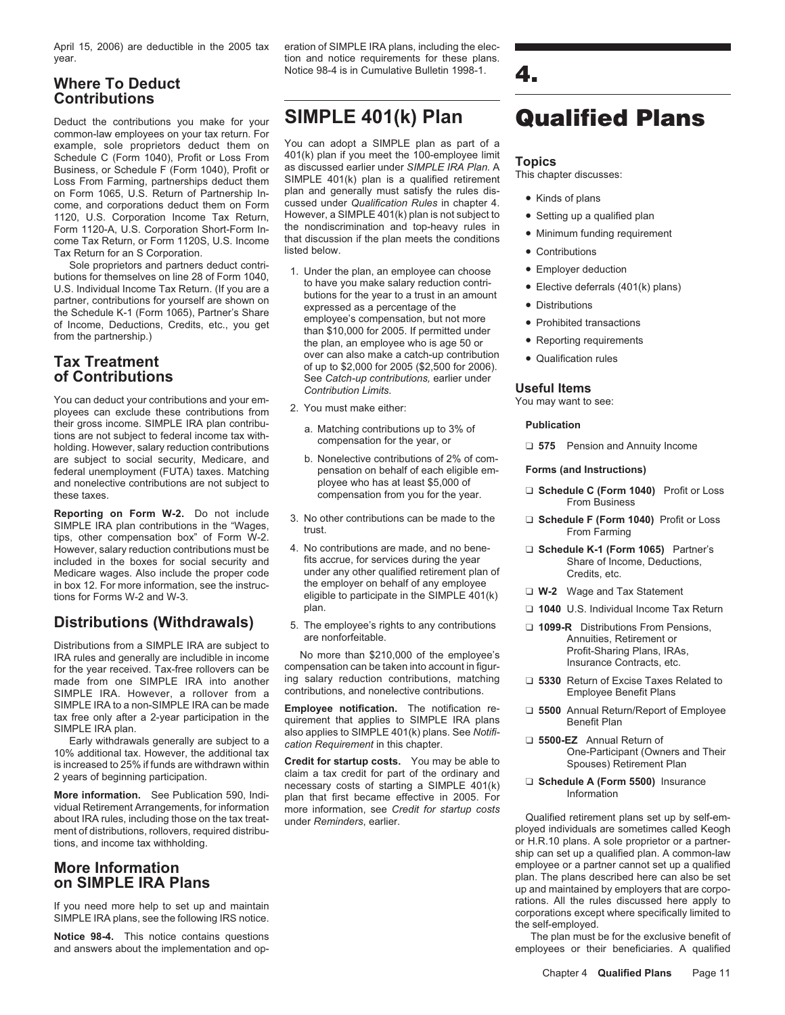April 15, 2006) are deductible in the 2005 tax eration of SIMPLE IRA plans, including the elecyear. tion and notice requirements for these plans.

# **Contributions**

common-law employees on your tax return. For example, sole proprietors deduct them on You can adopt a SIMPLE plan as part of a<br>Schedule C (Form 1040) Profit or Loss From 401(k) plan if you meet the 100-employee limit Schedule C (Form 1040), Profit or Loss From  $401(k)$  plan if you meet the 100-employee limit<br>Business, or Schedule F (Form 1040), Profit or as discussed earlier under *SIMPLE IRA Plan.* A<br>Loss From Farming, partnerships de on Form 1065, U.S. Return of Partnership In- plan and generally must satisfy the rules of plans<br>come, and corporations deduct them on Form cussed under *Qualification Rules* in chapter 4.<br>1120 U.S. Corporation Income Tax R 1120, U.S. Corporation Income Tax Return, However, a SIMPLE 401(k) plan is not subject to • Form 1120-A U.S. Corporation Short-Form  $n_e$  the nondiscrimination and top-heavy rules in Form 1120-A, U.S. Corporation Short-Form In- the nondiscrimination and top-heavy rules in<br>
come Tax Return, or Form 1120S, U.S. Income that discussion if the plan meets the conditions • Minimum funding requirement<br>
Tax Ret Tax Return for an S Corporation.

Sole proprietors and partners deduct contri-<br>
butions for themselves on line 28 of Form 1040,<br>
U.S. Individual Income Tax Return. (If you are a<br>
D.S. Individual Income Tax Return. (If you are a<br>
butions for the year to a t

You can deduct your contributions and your em-<br>ployees can exclude these contributions from 2. You must make either: their gross income. SIMPLE IRA plan contribu-<br>
ions are not subject to federal income tax with-<br>
holding. However, salary reduction contributions compensation for the year, or □ 575 Pension and Annuity Income are subject to social security, Medicare, and b. Nonelective contributions of 2% of com-<br>federal unemployment (FUTA) taxes. Matching pensation on behalf of each eligible empensation on behalf of each eligible em- **Forms (and Instructions)** federal unemployment (FUTA) taxes. Matching and nonelective contributions are not subject to ployee who has at least \$5,000 of<br>these taxes. Contributions are not subject to compensation from you for the year. From Business<br>**Reporting on Form W-2.** Do not include<br>Re

**Reporting on Form W-2.** Do not include<br>SIMPLE IRA plan contributions in the "Wages, trust.<br>tips, other contributions can be made to the Gram Dealing Schedule F (Form 1040) Profit or Loss<br>However salary reduction contribut However, salary reduction contributions must be 4. No contributions are made, and no bene- **□ Schedule K-1 (Form 1065)** Partner's included in the boxes for social security and fits accrue, for services during the year Sha included in the boxes for social security and fits accrue, for services during the year<br>Medicare wages, Also include the proper code under any other qualified retirement plan of Medicare wages. Also include the proper code under any other qualified retirement plan of Credits, etc.<br>in box 12. For more information, see the instruc-<br>in the employer on behalf of any employee

Distributions from a SIMPLE IRA are subject to<br>
IRA rules and generally are includible in income<br>
for the year received. Tax-free rollovers can be<br>
for the year received. Tax-free rollovers can be<br>
made from one SIMPLE IRA made from one SIMPLE IRA into another ing salary reduction contributions, matching □ 5330 Return of Excise Taxes I<br>SIMPLE IRA. However, a rollover from a contributions, and nonelective contributions. SIMPLE IRA. However, a rollover from a

Early withdrawals generally are subject to a <br>10% additional tax. However, the additional tax cation Requirement in this chapter.<br>10% additional tax. However, the additional tax **Credit for startup costs.** You may be able is increased to 25% if funds are withdrawn within **Credit for startup costs.** You may be able to Sponses of the ordinary and Plann at ax credit for part of the ordinary and

**More information.** See Publication 590, Indi-<br>vidual Retirement Arrangements, for information proce information, see Credit for startup costs ment of distributions, rollovers, required distribu-

**Notice 98-4.** This notice contains questions The plan must be for the exclusive benefit of

**Where To Deduct 4.** Motice 98-4 is in Cumulative Bulletin 1998-1.

- partner, contributions for yourself are shown on<br>the Schedule K-1 (Form 1065), Partner's Share<br>of Income, Deductions, Credits, etc., you get<br>from the partnership.) the plan, an employee who is age 50 or<br>the plan, an employ **Tax Treatment**<br> **Tax Treatment**<br> **of Contributions**<br> **of Contributions**<br>
See Catch-up contributions, earlier under See *Catch-up contributions*, earlier under *Contribution Limits*.
	- -
		-
	-
- in box 12. For more information, see the instruc-<br>tions for Forms W-2 and W-3. eligible to participate in the SIMPLE 401(k)  $\Box$  **W-2** Wage and Tax Statement<br>plan. endan. eligible to participate in the SIMPLE 401(k) and t
- **Distributions (Withdrawals)** 5. The employee's rights to any contributions ❏ **1099-R** Distributions From Pensions,

SIMPLE IRA to a non-SIMPLE IRA can be made<br>tax free only after a 2-year participation in the quirement that applies to SIMPLE IRA plans<br>SIMPLE IRA plan.<br>EIRA plan.<br>Early withdrawals generally are subject to a cation Requi

Form a tax credit for part of the ordinary and 2 years of beginning participation.<br>
2 **More information.** See Publication 590, Indi-<br> **More information** a SIMPLE 401(k) and the starting a SIMPLE 401(k) and the ordination more information, see *Credit for startup costs* 

# Deduct the contributions you make for your **SIMPLE 401(k) Plan Qualified Plans**

- 
- 
- 
- 
- 
- 
- 
- 
- 
- 

**Useful Items**<br>You may want to see:

- 
- 
- 
- 
- □ 1040 U.S. Individual Income Tax Return
	-
- 
- 
- 
- 

about IRA rules, including those on the tax treat- Qualified retirement plans set up by self-em- under *Reminders*, earlier. tions, and income tax withholding. The state of the state of H.R.10 plans. A sole proprietor or a partnership can set up a qualified plan. A common-law **More Information**<br> **More Information**<br> **on SIMPLE IRA Plans**<br> **on SIMPLE IRA Plans** up and maintained by employers that are corpo-<br>rations. All the rules discussed here apply to rations. All the rules discussed here apply to If you need more help to set up and maintain corporations except where specifically limited to SIMPLE IRA plans, see the following IRS notice. the self-employed. the self-empl

and answers about the implementation and op- employees or their beneficiaries. A qualified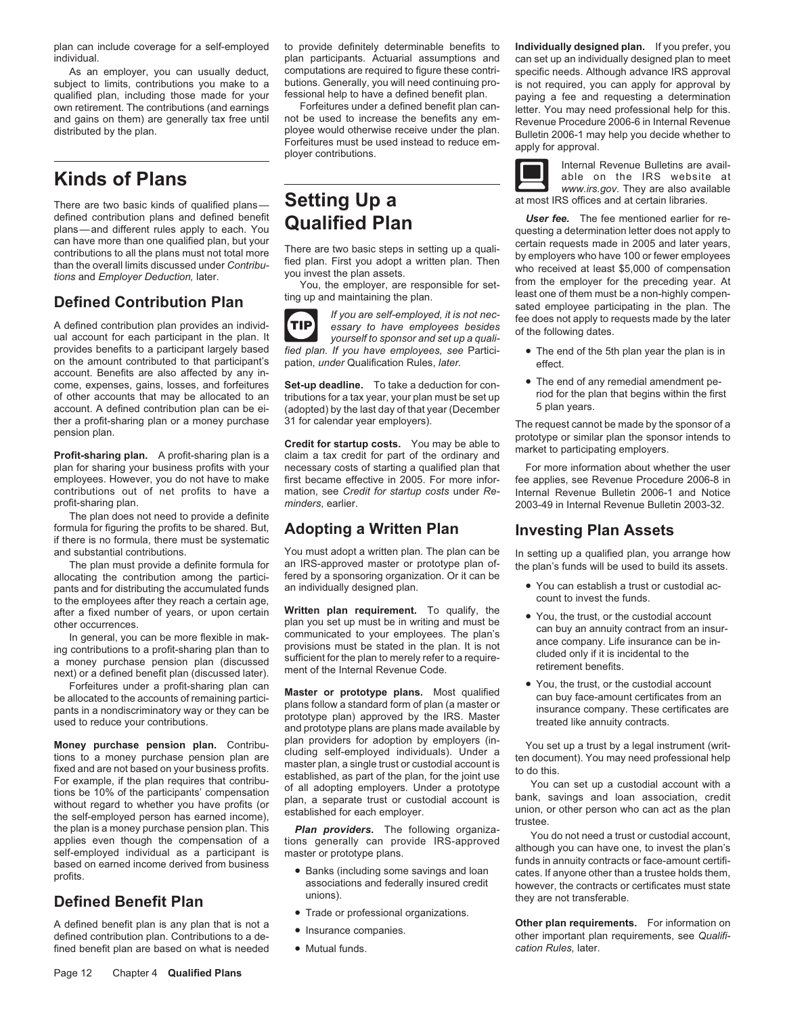individual. **plan participants.** Actuarial assumptions and can set up an individually designed plan to meet

# **Kinds of Plans**

There are two basic kinds of qualified plans—<br> **Setting Up a** at most IRS offices and at certain libraries.<br> **Setting Up a** at most IRS offices and at certain libraries.<br> **User fee.** The fee mentioned earlier for defined contribution plans and defined benefit **Qualified Plan is a contribution of the fee** The fee mentioned earlier for re-<br>plans—and different rules apply to each. You **Qualified Plan** expansion questing a determinatio

provides benefits to a participant largely based *fied plan. If you have employees, see* Partici- • The end of the 5th plan year the plan is in on the amount contributed to that participant's pation, *under* Qualification Rules, *later*. effect.<br>account. Benefits are also affected by any inaccount. Benefits are also any in- any in-<br>come, expenses, gains, losses, and for eithines **Set-up deadline.** To take a deduction for con-<br>of other accounts that may be allocated to an tributions for a tax year your plan m of other accounts that may be allocated to an tributions for a tax year, your plan must be set up right of the plan that begins account. A defined contribution plan can be ei-<br>account. A defined contribution plan can be ei account. A defined contribution plan can be ei- (adopted) by the last day of that year (December

plan for sharing your business profits with your necessary costs of starting a qualified plan that For more information about whether the user employees. However, you do not have to make first became effective in 2005. For more infor-<br>contributions out of net profits to have a mation, see Credit for startup costs under Re- Internal Revenue Bulletin 2006-1 and Not contributions out of net profits to have a mation, see *Credit for startup costs* under *Re-* Internal Revenue Bulletin 2006-1 and Notice

The plan does not need to provide a definite<br>formula for figuring the profits to be shared. But, formula for figuring the profits to be shared. But, **Adopting a Written Plan Investing Plan Assets** if there is no formula, there must be systematic

allocating the contribution among the partici-<br>net by a sponsoring organization. Contribution the accumulated funds<br>an individually designed plan. and individually designed plan.<br>  $\bullet$  You can establish a trust or custodial ac-<br>
to the employees ofter they recep a certain area to the employees after they reach a certain age,<br>after a fixed number of years, or upon certain **Written plan requirement.** To qualify, the

**Money purchase pension plan.** Contribu-<br>
tions to a money purchase pension plan are observed informations to a money purchase pension plan are<br>
fixed and are not based on your business profits.<br>
For example, if the plan r

fined benefit plan are based on what is needed • Mutual funds.

ployee would otherwise receive under the plan. Bulletin 2006-1 may help you decide whether to Forfeitures must be used instead to reduce em- apply for approval.

**TIP**

l substantial contributions. You must adopt a written plan. The plan can be In setting up a qualified plan, you arrange how<br>The plan must provide a definite formula for an IRS-approved master or prototype plan of an IRS-approved master or prototype plan of-<br>fered by a sponsoring organization. Or it can be

after a fixed number of years, or upon certain **Written plan requirement**. To qualify, the other occurrences.<br>
In general, you can be more flexible in mak-<br>
ing contributions to a profit-sharing plan than to provisions mus

Forfeitures under a profit-sharing plan can<br>be allocated to the accounts of remaining partici-<br>pants in a nondiscriminatory way or they can be<br>used to reduce your contributions.<br>and prototype plans are plans made available

- **Defined Benefit Plan** unions). They are not transferable.
	- Trade or professional organizations.
	-
	-

plan can include coverage for a self-employed to provide definitely determinable benefits to **Individually designed plan.** If you prefer, you As an employer, you can usually deduct, computations are required to figure these contri-<br>biect to limits, contributions you make to a butions. Generally, you will need continuing pro- is not required, you can apply for ap subject to limits, contributions you make to a butions. Generally, you will need continuing pro- is not required, you can apply for approval by qualified plan, including those made for your fessional help to have a defined qualified plan, including those made for your fessional help to have a defined benefit plan. paying a fee and requesting a determination<br>own retirement. The contributions (and earnings Forfeitures under a defined benefit p Forteitures under a defined benefit plan can- letter. You may need professional help for this.<br>And the used to increase the benefits any em- Revenue Procedure 2006-6 in Internal Revenue and gains on them) are generally tax free until not be used to increase the benefits any em-<br>distributed by the plan. Bulletin 2006-6 in Internal Revenue Procedure 2006-6 in Internal Revenue<br>distributed by the plan.



Internal Revenue Bulletins are available on the IRS website at *www.irs.gov*. They are also available

contributions to all the plans must not total more<br>contributions to all the plans must not total more<br>than the overall limits discussed under Contribu-<br>than the overall limits discussed under Contribu-<br>fied plan. First you

- 
- 

ther a profit-sharing plan or a money purchase 31 for calendar year employers). The request cannot be made by the sponsor of a<br>pension plan. A profit-sharing plan is a claim a tax credit for part of the ordinary and protot

profit-sharing plan. *minders*, earlier. 2003-49 in Internal Revenue Bulletin 2003-32.

- 
- 
- 

A defined benefit plan is any plan that is not a<br>defined contribution plan. Contributions to a de-<br>fined benefit plan are based on what is needed • Mutual funds.<br>A cation Rules. later.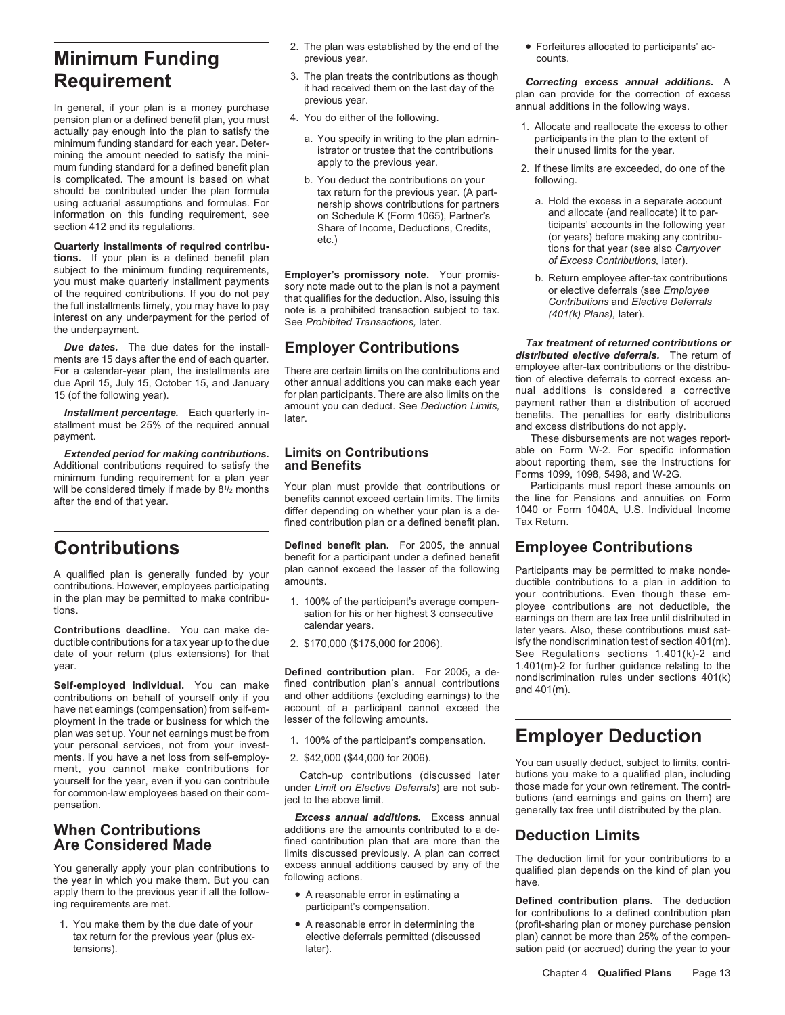bension plan or a defined benefit plan, you must at You do either of the following.<br>
actually pay enough into the plan to satisfy the and the plan adminimum funding standard for each year. Deter<br>
minimum funding standard f is complicated. The amount is based on what b. You deduct the contributions on your following. should be contributed under the plan formula tax return for the previous year. (A part-<br>using actuarial assumptions and formulas. For earchip shows contributions for partners using actuarial assumptions and formulas. For earship shows contributions for partners a. Hold the excess in a separate account information on this funding requirement, see section 412 and its regulations. Share of Income.

**Quarterly installments of required contribu-**<br> **Employer's promissory note.** Your promis-<br>
Subject to the minimum funding requirements,<br>
Subject to the minimum funding requirements,<br>
Subject to the minimum funding require

minimum funding requirement for a plan year<br>will be considered timely if made by 81/2 months Four plan must provide that contributions or Farticipants must report these amounts on will be considered timely if made by  $81/2$  months Your plan must provide that contributions or Participants must report these amounts on the limits on  $\frac{1}{2}$  months benefits cannot exceed certain limits. The limits th

ductible contributions for a tax year up to the due 2. \$170,000 (\$175,000 for 2006). isfy the nondiscrimination test of section 401(m).<br>date of your return (plus extensions) for that said and that See Regulations sections date of your return (plus extensions) for that

have net earnings (compensation) from self-em-<br>provided a participant cannot exceed the<br>ployment in the trade or business for which the<br>lesser of the following amounts. ployment in the trade or business for which the plan was set up. Your net earnings must be from 1. 100% of the participant's compensation. **Employer Deduction** your personal services, not from your invest-

You generally apply your plan contributions to excess annual additions caused by any of the qualified plan depends on the kind of plan you the year in which you make them. But you can following actions. the year in estima

- 2. The plan was established by the end of the Forfeitures allocated to participants' ac-**Minimum Funding** previous year.
	-
	- -
		-

For a calendar-year plan, the installments are There are certain limits on the contributions and employee after-tax contributions or the distribu-<br>due April 15, July 15, October 15, and January other annual additions you c

after the end of that year. benefits cannot exceed certain limits. The limits the line for Pensions and annuities on Form after the end of that year. differ depending on whether your plan is a de- 1040 or Form 1040 or Form 1040 or Form 1040 or Form 1040 fined contribution plan or a defined benefit plan.

**Contributions**<br> **Defined benefit plan.** For 2005, the annual **Employee Contributions**<br> **A gualified also is generally funded by your** plan cannot exceed the lesser of the following Participants may be permitted to make

- 
- 

year. **Defined contribution plan.** For 2005, a de-<br>**Self-employed individual.** You can make fined contribution plan's annual contributions nondiscrimination rules under sections 401(k)<br>contributions on behalf of yourself o

- 
- 

**When Contributions** additions are the amounts contributed to a de-<br>**Are Considered Made** fined contribution plan that are more than the **Deduction Limits**<br>limits discussed previously. A plan can correct The deduction limi limits discussed previously. A plan can correct The deduction limit for your contributions to a excess annual additions caused by any of the cuplified plan dependence in the kind of plan you.

- 
- 

**Requirement** 3. The plan treats the contributions as though<br>it had received them on the last day of the plan can provide for the correction of excess<br>In general, if your plan is a money purchase previous year.

- 
- 
- Share of Income, Deductions, Credits, ticipants' accounts in the following year<br>
ticipants' accounts in the following year<br>
(or years) before making any contribu-
	-

**Due dates.** The due dates for the install-<br>ments are 15 days after the end of each quarter.<br>For a schedar user also installments are the installation of the contributions of distributed elective deferrals. The return of due April 15, July 15, October 15, and January other annual additions you can make each year tion of elective deferrals to correct excess an-<br>15 (of the following year). There are also limits on the mual additions is consi

payment.<br>Friended period for making contributions **able on Contributions** able on Form W-2. For specific information **Extended period for making contributions.** Limits on Contributions able on Form W-2. For specific information Additional contributions required to satisfy the **and Benefits** Additional contributions required to satisfy th

A qualified plan is generally funded by your<br>
contributions. However, employees participating<br>
in the plan may be permitted to make contributions to a plan in addition to<br>
in the plan may be permitted to make contributions

ments. If you have a net loss from self-employ-<br>
ment, you cannot make contributions for<br>
yourself for the year, even if you can contributions for<br>
yourself for the year, even if you can contribute<br>
for common-law employee

apply them to the previous year if all the follow-<br>ing requirements are met.<br>participant's compensation. by the station of the contributions to a defined contribution plan 1. You make them by the due date of your • A reasonable error in determining the (profit-sharing plan or money purchase pension elective deferrals permitted (discussed plan) cannot be more than 25% of the compenplan) cannot be more than 25% of the compentensions). The sation paid (or accrued) during the year to your sation paid (or accrued) during the year to your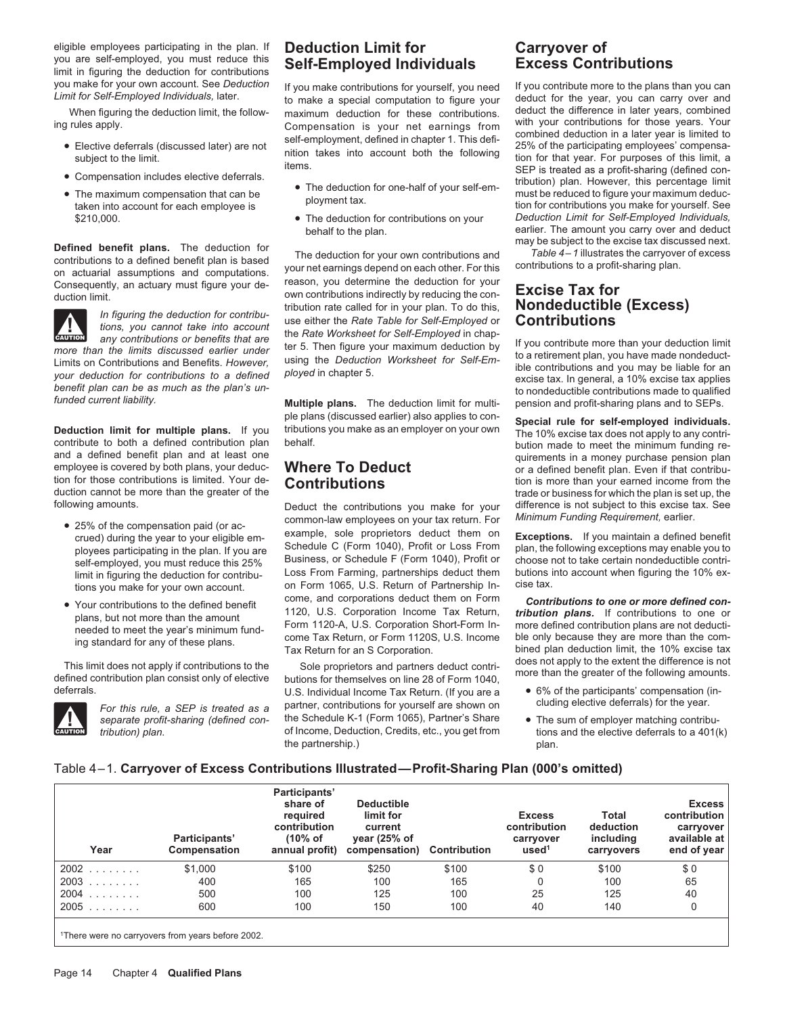eligible employees participating in the plan. If Deduction Limit for Carryover of you are self-employed, you must reduce this Self-Employed Individuals Excess Contributions limit in figuring the deduction for contributions

- 
- 
- 

Defined benefit plans. The deduction for<br>contributions to a defined benefit plan is based<br>on actuarial assumptions and computations. your net earnings depend on each other. For this<br>Consequently an actuary must figure your Consequently, an actuary must figure your de-



and a defined benefit plan and at least one<br>
employee is covered by both plans, your deduc-<br> **Where To Deduct** on the contribution or a defined benefit plan. Even if that contribu-<br>
tion for those contributions is limited. tion for those contributions is limited. Your de-<br>duction cannot be more than the greater of the **Contributions** trade or business for which the plan is set up, the duction cannot be more than the greater of the<br>
Deduct the contributions you make for your difference is not subject to this excise tax. See

- 
- 



to make a special computation to figure your deduct for the year, you can carry over and<br>maximum deduction for these contributions deduct the difference in later years, combined When figuring the deduction limit, the follow- maximum deduction for these contributions. deduct the difference in later years, combined<br>Compensation is your net earnings from with your contributions for those years. Your

- 
- 

Consequently, an actually must lighte your de-<br>duction limit.<br>tribution rate called for in your plan. To do this, **Nondeductible (Excess)** In figuring the deduction for contribution rate called for in your plan. To do this,<br>
In figuring the deduction for contribution<br>
tions, you cannot take into account<br>
any contributions or benefits that are<br>
the Rate Worksh

Deduct the contributions you make for your difference is not subject to this excise to common-law employees on your tax return. For *Minimum Funding Requirement*, earlier. • 25% of the compensation paid (or ac-<br>
common-law employees on your tax return. For<br>
crued) during the year to your eligible emexample, sole proprietors deduct them on **Exceptions.** If you maintain a defined benefit<br>Schedule C (Form 1040), Profit or Loss From plan the following exceptions may enable you to ployees participating in the plan. If you are Schedule C (Form 1040), Profit or Loss From plan, the following exceptions may enable you to self-employed you must reduce this 25% Business, or Schedule F (Form 1040), Profit self-employed, you must reduce this 25% Business, or Schedule F (Form 1040), Profit or choose not to take certain nondeductible contri-<br>limit in figuring the deduction for contribu-<br> Loss From Farming, partnerships deduct them butions<br>
tions you make for your own account on Form 1065, U.S. Return of Partnership In- cise tax. tions you make for your own account. on Form 1065, U.S. Return of Partnership In-<br>Come, and corporations deduct them on Form • Your contributions to the defined benefit come, and corporations deduct them on Form **Contributions to one or more defined con-**<br>plans, but not more than the amount reeded to meet the year's minimum fund-<br>ing standard fo

This limit does not apply if contributions to the<br>defined contribution plan consist only of elective<br>lefting for themselves on line 28 of Form 1040,<br>deferrals.<br>U.S. Individual Income Tax Return. (If you are a<br>e 6% of the p U.S. Individual Income Tax Return. (If you are a  $\bullet$  6% of the participants' compensation (in-<br>nartner contributions for yourself are shown on cluding elective deferrals) for the year. For this rule, a SEP is treated as a partner, contributions for yourself are shown on separate profit-sharing (defined con-<br>separate profit-sharing (defined con- the Schedule K-1 (Form 1065), Partner's Share *separate profit-sharing (defined con-* the Schedule K-1 (Form 1065), Partner's Share • The sum of employer matching contributhe partnership.) plan.

you make for your own account. See *Deduction* If you make contributions for yourself, you need If you contribute more to the plans than you can<br>Limit for Self-Employed Individuals, later. ing rules apply.<br>
• Elective deferrals (discussed later) are not<br>
• Elective deferrals (discussed later) are not<br>
self-employment, defined in chapter 1. This defi-<br>
subject to the limit.<br>
• Compensation includes elective d \$210,000. • • <sup>•</sup> • The deduction for contributions on your *Deduction Limit for Self-Employed Individuals,* behalf to the plan. earlier. The amount you carry over and deduct may be subject to the excise tax discussed next.

any commodions or benefits that are<br>
more than the limits discussed earlier under<br>
Limits on Contributions and Benefits. However,<br>
your deduction for contributions to a defined<br>
your deduction for contributions to a define

ple plans (discussed earlier) also applies to con-<br> **Deduction limit for multiple plans.** If you tributions you make as an employer on your own<br>
contribute to both a defined contribution plan behalf.<br>
and a defined benefit

- 
- *tions and the elective deferrals to a 401(k)*

# Table 4–1. **Carryover of Excess Contributions Illustrated—Profit-Sharing Plan (000's omitted)**

| Year   | Participants'<br>Compensation | Participants'<br>share of<br>reauired<br>contribution<br>(10% of<br>annual profit) | <b>Deductible</b><br>limit for<br>current<br>year (25% of<br>compensation) | <b>Contribution</b> | <b>Excess</b><br>contribution<br>carryover<br>used <sup>1</sup> | <b>Total</b><br>deduction<br>including<br>carryovers | <b>Excess</b><br>contribution<br>carryover<br>available at<br>end of year |
|--------|-------------------------------|------------------------------------------------------------------------------------|----------------------------------------------------------------------------|---------------------|-----------------------------------------------------------------|------------------------------------------------------|---------------------------------------------------------------------------|
| $2002$ | \$1,000                       | \$100                                                                              | \$250                                                                      | \$100               | \$0                                                             | \$100                                                | \$0                                                                       |
| $2003$ | 400                           | 165                                                                                | 100                                                                        | 165                 | $\Omega$                                                        | 100                                                  | 65                                                                        |
| $2004$ | 500                           | 100                                                                                | 125                                                                        | 100                 | 25                                                              | 125                                                  | 40                                                                        |
| 2005   | 600                           | 100                                                                                | 150                                                                        | 100                 | 40                                                              | 140                                                  | 0                                                                         |
|        |                               |                                                                                    |                                                                            |                     |                                                                 |                                                      |                                                                           |

1There were no carryovers from years before 2002.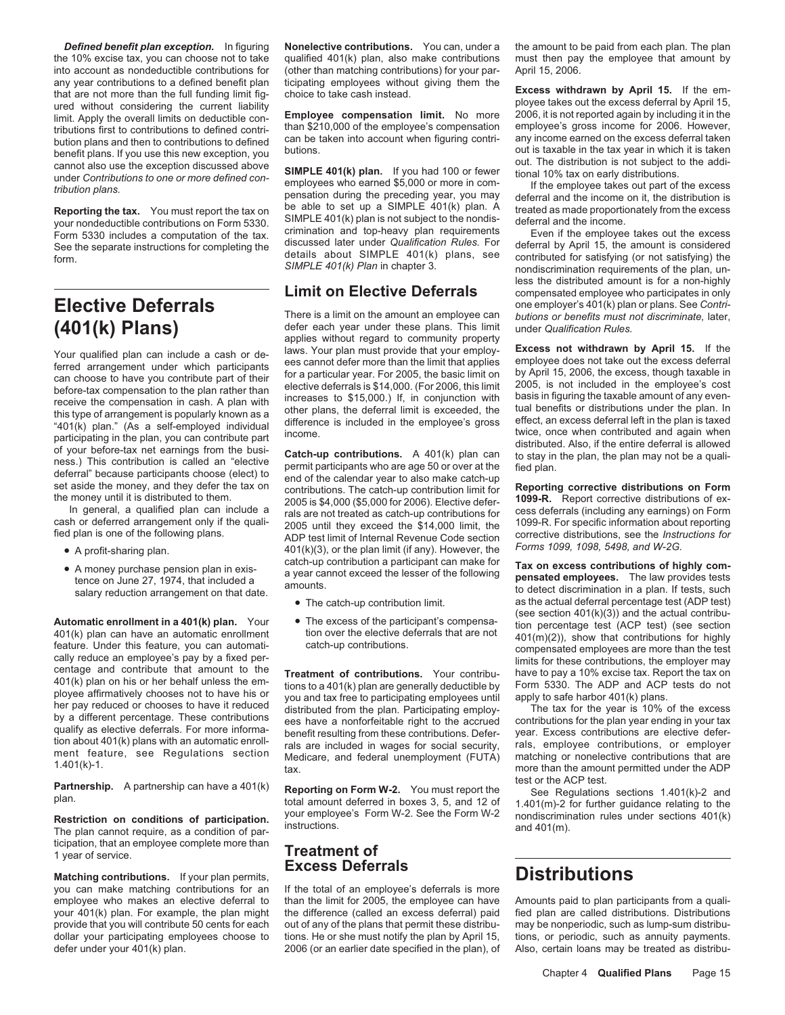the 10% excise tax, you can choose not to take qualified 401(k) plan, also make contributions must then pay the employee that amount by into account as nondeductible contributions for (other than matching contributions) fo any year contributions to a defined benefit plan<br>that are not more than the full funding limit fig-<br>ured without considering the current liability<br>limit. Apply the overall limits on deductible con-<br>tributions first to cont bution plans and then to contributions to defined<br>benefit plans. If you use this new exception, you<br>cannot also use the exception discussed above<br>under Contributions to one or more defined con-<br>tribution plans.<br>tribution p

Your qualified plan can include a cash or de-<br>
ferred arrangement under which participants<br>
ferred arrangement under which participants<br>
for a particular year. For 2005, the basic limit that applies employee does not take

- 
- 

The plan cannot require, as a condition of participation, that an employee complete more than **Treatment of** 1 year of service.

**Matching contributions.** If your plan permits,<br>you can make matching contributions for an If the total of an employee's deferrals is more you can make matching contributions for an employee who makes an elective deferral to your 401(k) plan. For example, the plan might the difference (called an excess deferral) paid fied plan are called distributions. Distributions provide that you will contribute 50 cents for each out of any of the plans that permit these distribu-<br>dollar your participating employees choose to tions. He or she must notify the plan by April 15, tions, or periodic, su

*Defined benefit plan exception.* In figuring **Nonelective contributions.** You can, under a the amount to be paid from each plan. The plan (other than matching contributions) for your par-

**Reporting the tax.** You must report the tax on be able to set up a SIMPLE 401(k) plan. A treated as made proportionately from the excess your poportionately from the excess your nondeductible contributions on Form 5330. SIMPLE 401(K) plan is not subject to the nondis-<br>Form 5330 includes a computation of the tow crimination and top-heavy plan requirements. Form 5330 includes a computation of the tax. crimination and top-heavy plan requirements Even if the employee takes out the excess Even if the employee takes out the excess exercise discussed later under Qualification Rule See the separate instructions for completing the discussed later under *Qualification Rules.* For deferral by April 15, the amount is considered details about SIMPLE 401(k) plans, see contributed for satisfying (or not sat

**(401(k) Plans)** defer each year under these plans. This limit under *Qualification Rules.* applies without regard to community property

set aside the money, and they defer the tax on<br>the money until it is distributed to them.<br>In general, a qualified plan can include a<br>cash or deferred arrangement only if the quali-<br>cash or deferred arrangement only if the cash or deferred arrangement only if the quali-<br>fied plan is one of the following plans.<br>And the st limit of Internal Revenue Code section<br>And the state of the following plans.<br>And the state of the plan limit (if any) How **Forms 1099, 4094, 6499, 4094, 4094, 401(k)** A profit-sharing plan. 401(k)(3), or the plan limit (if any). However, the catch-up contribution a participant can make for

- 
- 

ployee affirmatively chooses not to have his or<br>her pay reduced or chooses to have it reduced<br>by a different percentage. These contributions<br>distributed from the plan. Participating employees until apply to safe harbor 401

**Partnership.** A partnership can have a 401(k) **Reporting on Form W-2.** You must report the See Regulations sections 1.401(k)-2 and<br>total amount deferred in boxes 3, 5, and 12 of 1.401(m)-2 for further guidance relating to

# **Excess Deferrals**

than the limit for 2005, the employee can have Amounts paid to plan participants from a qualitions. He or she must notify the plan by April 15,

form. form. about SIMPLE 401(k) plans, see contributed for satisfying (or not satisfying) the *SIMPLE 401(k) Plan* in chapter 3. **nondiscrimination requirements of the plan**, unless the distributed amount is for a non-highly **Limit on Elective Deferrals** compensated employee who participates in only **Elective Deferrals**<br>There is a limit on the amount an employee can butions or benefits must not discriminate, later butions or benefits must not discriminate, later,

• A money purchase pension plan in exis-<br>
a year cannot exceed the lesser of the following<br>
salary reduction arrangement on that date.<br>
salary reduction arrangement on that date.<br>
salary reduction arrangement on that date. • The catch-up contribution limit. as the actual deferral percentage test (ADP test)<br>(see section 401(k)(3)) and the actual contribu-**Automatic enrollment in a 401(k) plan.** Your The excess of the participant's compensa-<br>401(k) plan can have an automatic enrollment tion over the elective deferrals that are not  $401(m)(2)$ , show that contributions for hig

**Restriction on conditions of participation.** your employee's Form W-2. See the Form W-2 nondiscrimination rules under sections 401(k) and 401(m). The plan cannot require as a condition of par-

defer under your 401(k) plan. 2006 (or an earlier date specified in the plan), of Also, certain loans may be treated as distribu-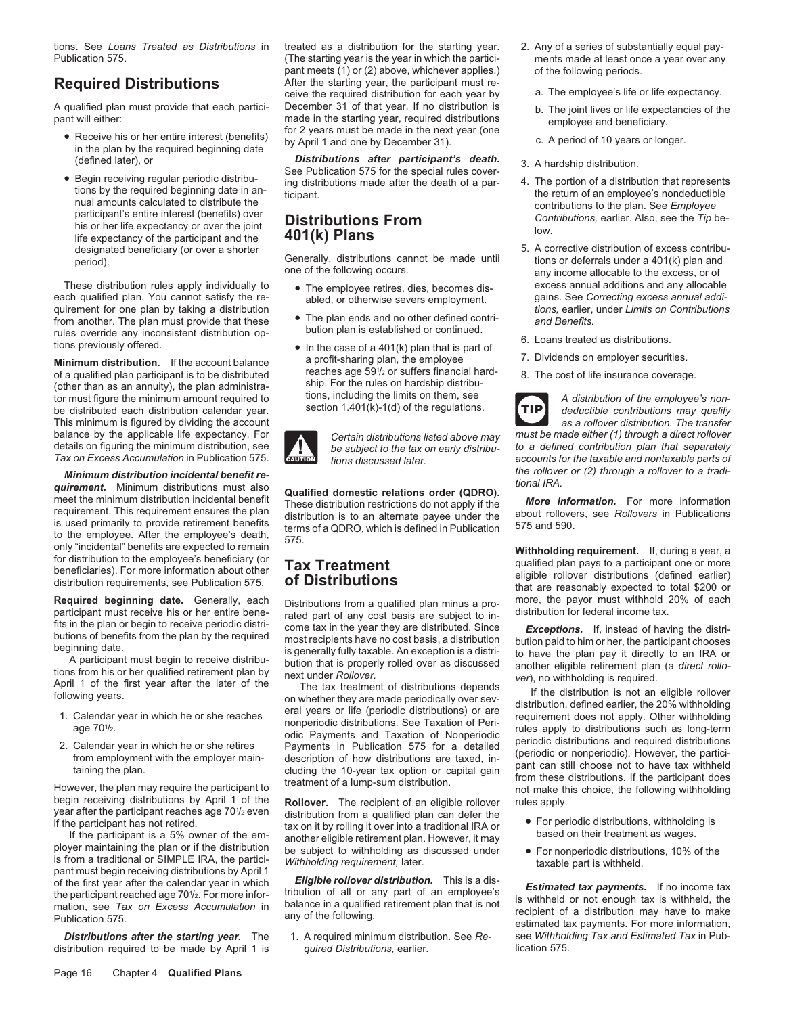tions. See *Loans Treated as Distributions* in treated as a distribution for the starting year. 2. Any of a series of substantially equal pay-Publication 575. (The starting year is the year in which the partici- ments made at least once a year over any

- 
- (defined later), or<br>
 Begin receiving regular periodic distributions<br>
 Begin receiving regular periodic distributions<br>
tions by the required beginning date in an-<br>
receiving distributions made after the death of a par-<br> participant s entire interest (penerits) over<br>his or her life expectancy or over the joint **Distributions From** the *Life expectancy* of the participant and the **401(k) Plans** and the approximated beneficiant (or over a s

each qualified plan. You cannot satisfy the re-<br>
quirement for one plan by taking a distribution<br>
The reflection of therwise severs employment.<br>
The reflection of the severs employment.<br>
The reflection of the severs employ quirement for one plan by taking a distribution **of the plan ends and no other defined contri-** from another **and Benefits.**<br> **Example 2 Contributions** *Contribution on Contribution became and Benefits. Continue* 

**Minimum distribution.** If the account balance of a qualified plan participant is to be distributed<br>
(other than as an annuity), the plan administration of the rules on hardship distribu-<br>
tor must figure the minimum amount required to<br>
be distributed each distribution This minimum is figured by dividing the account<br> **as a rollover distribution.** The transfer<br> **as a rollover distribution.** The transfer<br> **as a rollover distribution.** The transfer<br> **as a rollover distribution.** The transfe details on figuring the minimum distribution, see **the subject to the tax on early distribu-**<br>Tax on Excess Accumulation in Publication 575.

*Minimum distribution incidental benefit re- the rollover of the rollover of the rollover or (2) tional IRA* **quirement.** Minimum distributions must also **qualified domestic relations order (QDRO).**<br>
meet the minimum distribution incidental benefit relations order (QDRO).<br>
These distribution restrictions do not apply if the *More* 

- 
- 

begin receiving distributions by April 1 of the **Rollover.** The recipient of an eligible rollover rules apply. year after the participant reaches age 70<sup>1</sup>/<sub>2</sub> even if the participant has not retired.

pant must begin receiving distributions by April 1<br>of the first year after the calendar year in which<br>the participant reached age 70<sup>1</sup>/<sub>2</sub>. For more infortunation of all or any part of an employee's<br>mation, see Tax on Exc

distribution required to be made by April 1 is *quired Distributions, earlier*.

pant meets (1) or (2) above, whichever applies.) of the following periods. **Required Distributions** After the starting year, the participant must receive the required distribution for each year by a. The employee's life or life expectancy. A qualified plan must provide that each partici- December 31 of that year. If no distribution is b. The joint lives or life expectancies of the pant will either: made in the starting year, required distributions employee and beneficiary. for 2 years must be made in the next year (one • Receive his or her entire interest (benefits) by April 1 and one by December 31). c. A period of 10 years or longer. in the plan by the required beginning date

Generally, distributions cannot be made until period).<br>
one of the following occurs.

- 
- 
- rules override any inconsistent distribution op-<br>tions previously offered. **•** In the case of a 401(k) plan that is part of<br>**Minimum distribution** If the account balance a profit-sharing plan, the employee 7. Dividends on reaches age 591/2 or suffers financial hard-



**Required beginning date.** Generally, each contained beginning date of the pay of each pay of each pay of each pay of each fits in the plan or begin to receive periodic distributions of benefits from the plan by the requi

vear after the participant reaches age 70<sup>1</sup>/<sub>2</sub> even<br>
if the participant has not retired.<br>
If the participant is a 5% owner of the em-<br>
lever into a traditional IRA or<br>
If the participant is a 5% owner of the em-<br>
ployer

- -
	-
	-
- 
- 
- designated beneficiary (or over a shorter Generally, distributions cannot be made until because of excess contribu-<br>Deriod), plan and corrective distributions of the stripution of excess contribuany income allocable to the excess, or of These distribution rules apply individually to  $\bullet$  The employee retires, dies, becomes dis-<br>ach qualified plan. You cannot satisfy the re-<br>abled or otherwise severs employment gains. See Correcting excess annual addi-
	-
	-
	-

**TIP** Certain distributions listed above may must be made either (1) through a direct rollover<br>be subject to the tax on early distribu- to a defined contribution plan that separately *Tax on Excess Accumulation* in Publication 575. *accounts for the taxable and nontaxable parts of* **CAUTION** *tions discussed later.*

age 70<sup>1/2</sup>.<br>
2. Calendar year in which he or she retires<br>
from employment with the employer main-<br>
discription of how distributions are taxed, in-<br>
taining the plan.<br>
However, the plan may require the participant to<br>
the

- 
- 

the participant reached age 70<sup>1</sup>/<sub>2</sub>. For more infor-<br>mation, see Tax on Excess Accumulation in balance in a qualified retirement plan that is not<br>Publication 575. **Excess Accumulation in** balance in a qualified retiremen *Distributions after the starting year.* The 1. A required minimum distribution. See *Re-* see *Withholding Tax and Estimated Tax* in Pub-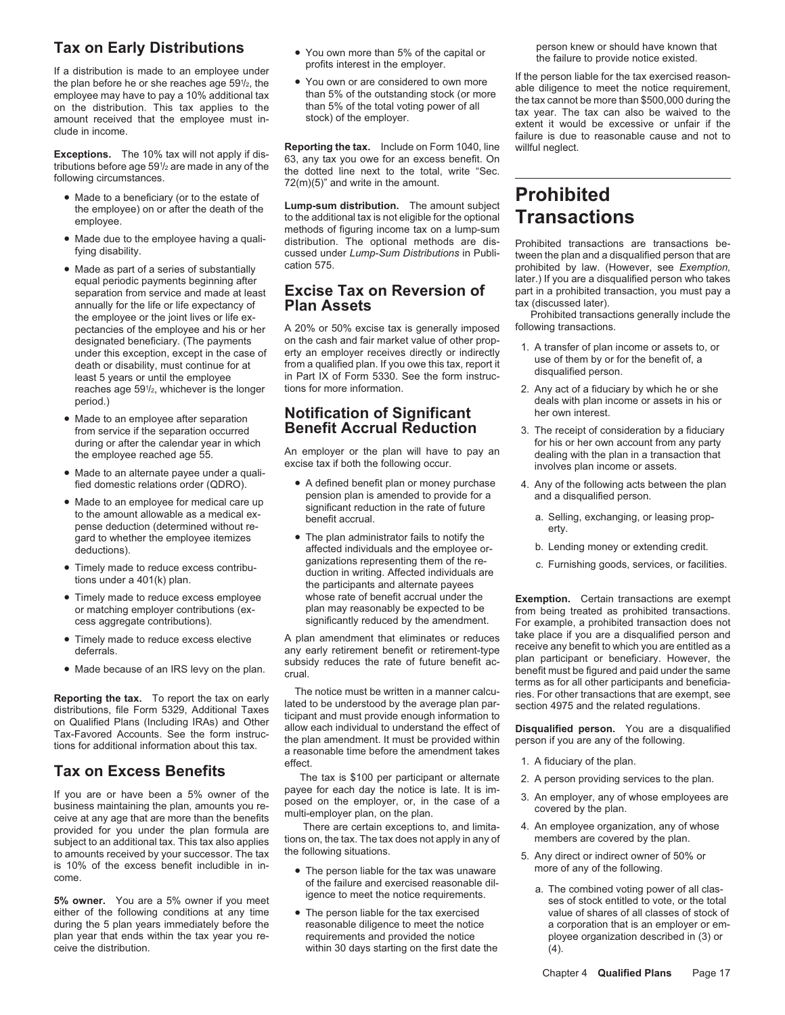- Made to a beneficiary (or to the estate of<br>the employee) on or after the death of the **Lump-sum distribution.** The amount subject<br> **Prohibited**
- 
- annually for the life or life expectancy of **Plan Assets** the experiment of tax (discussed later).<br>the employee or the joint lives or life ex-<br>**Prohibited transactions generally include the** the employee or the joint lives or life ex-<br>pectancies of the employee and his or her A 20% or 50% excise tax is generally imposed following transactions. reaches age 591/2, whichever is the longer
- 
- Made to an alternate payee under a quali-<br>fied domestic relations order (QDRO). A defined benefit plan or money purchase 4. Any of the following acts between the plan<br>ension plan is amended to provide for a and a disqu
- Made to an employee for medical care up pension plan is amended to provide for a<br>
to the amount allowable as a medical ex-<br>
pense deduction (determined without re-<br>
pense deduction (determined without re-<br>
The structure pense deduction (determined without re-<br>gard to whether the employee itemizes • The plan administrator fails to notify the
- 
- 
- 
- 

If you are or have been a 5% owner of the payee for each day the notice is late. It is im-<br>business maintaining the plan, amounts you re-<br>ceive at any age that are more than the benefits<br>subject to any and the more the pla

either of the following conditions at any time • The person liable for the tax exercised value of shares of all classes of stock of during the 5 plan years immediately before the reasonable diligence to meet the notice a c during the 5 plan years immediately before the reasonable diligence to meet the notice a corporation that is an employer or em-<br>plan year that ends within the tax year you re-<br>requirements and provided the notice ployee or plan year that ends within the tax year you receive the distribution.

- Tax on Early Distributions <br>
If a distribution is made to an employee under<br>
the plan before he or she reaches age 59<sup>1</sup>/<sub>2</sub>, the You own or are considered to own more<br>
the plan before he or she reaches age 59<sup>1</sup>/<sub>2</sub>, the
	-

**Exceptions.** The 10% tax will not apply if dis-<br> **Reporting the tax.** Include on Form 1040, line willful neglect.<br> **Exceptions** to the total write "Security of the total with a text is the total write "Security". /2 are made in any of the the dotted line next to the total, write "Sec. following circumstances. 72(m)(5)" and write in the amount.

Lump-sum distribution. The amount subject employee) on or alter the death of the additional tax is not eligible for the optional **Transactions**<br>employee. methods of figuring income tax on a lump-sum • Made due to the employee having a quali-<br>fying disability. cussed under *Lump-Sum Distributions* in Publi- tween the plan and a disqualified person that are fying disability. cussed under *Lump-Sum Distributions* in Publi- tween the plan and a disqualified person that are

# separation from service and made at least **Excise Tax on Reversion of** part in a prohibited transaction from service and made at least **Excise Tax on Reversion of** part in a prohibited transaction, the life or life expecta

A 20% or 50% excise tax is generally imposed designated beneficiary. (The payments on the cash and fair market value of other prop-<br>under this exception, except in the case of erty an employer receives directly or indirectly and the stream of<br>death or disability, mus tions for more information. The local contract tions for more information. 2. Any act of a fiduciary by which he or she

# **•** Made to an employee after separation **bullication of Significant** her own interest.<br>• from service if the separation occurred **Benefit Accrual Reduction** 3 The receipt of co

- 
- affected individuals and the employee or-<br>ganizations epresenting them of the re-<br>Figure of the re-<br>Figure of the re-<br>Consider the employee or facility of the re-• Timely made to reduce excess contribu-<br>duction in writing. Affected individuals are<br>tions under a 401(k) plan. the participants and alternate payees

**Reporting the tax.** To report the tax on early<br>distributions, file Form 5329, Additional Taxes<br>on Qualified Plans (Including IRAs) and Other<br>Tax-Favored Accounts. See the form instructions for additional information about effect. The contract of the plan.

**Tax on Excess Benefits**<br>The tax is \$100 per participant or alternate 2. A person providing services to the plan.<br>If you are or have been a 5% owner of the payee for each day the notice is late. It is im-

- 
- within 30 days starting on the first date the  $(4)$ .

the plan before he or she reaches age 59<sup>1</sup>/<sub>2</sub>, the experimence the plan before he or she reaches age 59<sup>1</sup>/<sub>2</sub>, the experimence the mass of the considered to own more and able diligence to met the notice requirement,<br>on

• Made as part of a series of substantially cation 575.<br>equal periodic payments beginning after  $\qquad \qquad \qquad \qquad \qquad \qquad \qquad \qquad \qquad \qquad \qquad \qquad -$  ater.) If you are a disqualified person who takes later.) If you are a disqualified person who takes<br>part in a prohibited transaction, you must pay a

- 
- period.) deals with plan income or assets in his or
- from service if the separation occurred **Benefit Accrual Reduction** 3. The receipt of consideration by a fiduciary during or after the calendar year in which **Benefit Accrual Reduction** for his or her own account from any during or after the calendar year in which<br>the employee reached age 55. An employer or the plan will have to pay an the employee reached age 55.<br>Made to an alternate payee under a quali-<br>Made to an alternate payee under a
	- -
		-
		-

• Timely made to reduce excess employee whose rate of benefit accrual under the **Exemption.** Certain transactions are exempt or matching employer contributions (ex-<br>or matching employer contributions (ex-<br>plan may reasonab or matching employer contributions (ex-<br>cess aggregate contributions). significantly reduced by the amendment. For example, a prohibited transaction does not For example, a prohibited transaction does not • Timely made to reduce excess elective and any early retirement that eliminates or reduces the place if you are a disqualified person and any early retirement benefit or retirement-type erecive any benefit to which you ar terms as for all other participants and beneficia-<br>ries. For other transactions that are exempt, see

- 
- 
- 
- 
- -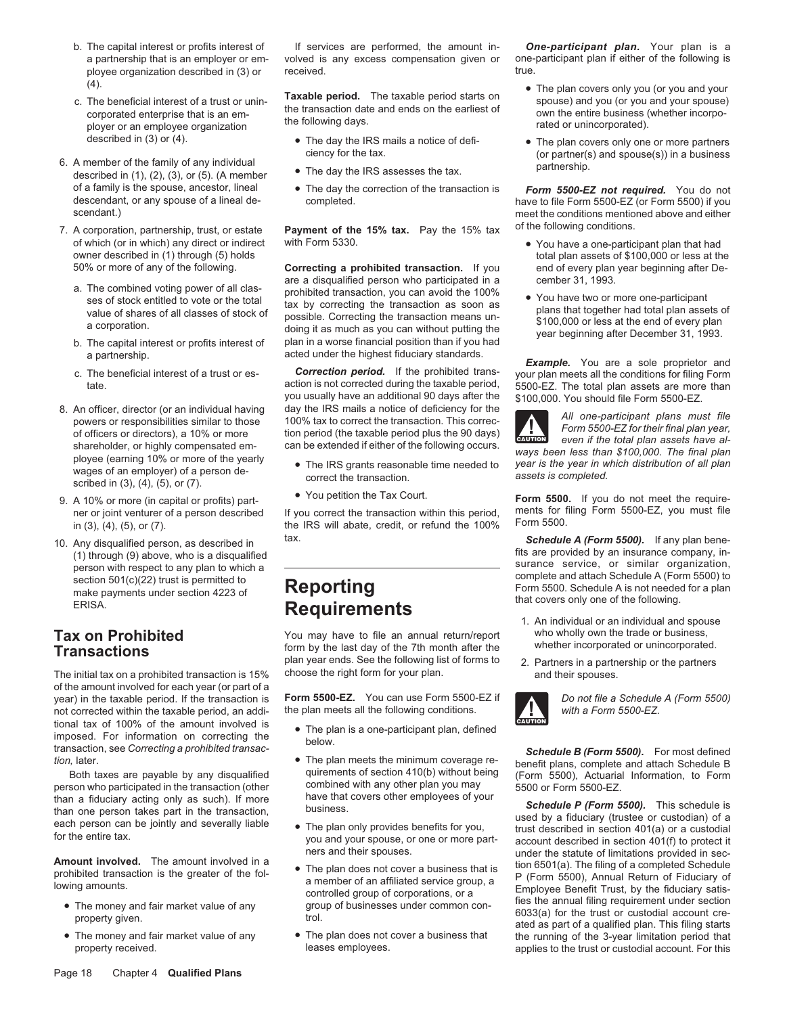- 
- 
- 
- of which (or in which) any direct or indirect with Form 5330.<br>
owner described in (1) through (5) holds owner described in (1) through (5) holds owner described in (1) through (5) holds
	-
	-
	-
- shareholder, or highly compensated em-<br>ployee (earning 10% or more of the yearly<br>wages of an employer) of a person de-<br>scribed in (3), (4), (5), or (7).<br>scribed in (3), (4), (5), or (7).<br>scribed in (3), (4), (5), or (7).
- 
- 10. Any disqualified person, as described in<br>
(1) through (9) above, who is a disqualified<br>
person with respect to any plan to which a<br>
section 501(c)(22) trust is permitted to<br>
make payments under section 4223 of<br>
ERISA.<br>

of the amount involved for each year (or part of a year) in the taxable period. If the transaction is **Form 5500-EZ.** You can use Form 5500-EZ if *Do not file a Schedule A (Form 5500)* not corrected within the taxable period. an addi-<br>
the plan meets all the following cond not corrected within the taxable period, an additional tax of 100% of the amount involved is <br>improved For information on correcting the **Figure** The plan is a one-participant plan, defined imposed. For information on correcting the below.<br>
transaction, see *Correcting a prohibited transac-* below. **Schedule B (Form 5500).** For most defined<br>
tion. later. **Schedule B (Form 5500).** For most defined

person who participated in the transaction (other combined with any other plan you may than a fiduciary acting only as such). If more have that covers other employees of your than a fiduciary acting only as such). If more<br>than one person takes part in the transaction,<br>each person can be jointly and severally liable<br>for the entire tax.<br>for the entire tax.<br>you and your spouse, or one or more part

- 
- 

b. The capital interest or profits interest of If services are performed, the amount in- *One-participant plan.* Your plan is a ployee organization described in (3) or received. The received in true.

- 
- 
- of a family is the spouse, ancestor, lineal The day the correction of the transaction is *Form 5500-EZ not required.* You do not descendant, or any spouse of a lineal de-<br>descendant, or any spouse of a lineal de- complet

7. A corporation, partnership, trust, or estate **Payment of the 15% tax.** Pay the 15% tax

**Correcting a prohibited transaction.** If you end of every plan year beginning after De-<br>are a disqualified person who participated in a cember 31, 1993. a. The combined voting power of all clas-<br>ses of stock entitled to vote or the total<br>value of shares of all classes of stock of possible. Correcting the transaction as soon as<br>a corporation.<br>a corporation.<br>a corporation.<br>a b. The capital interest or profits interest of plan in a worse financial position than if you had<br>a partnership. acted under the highest fiduciary standards.

The beneficial interest of a trust or es-<br>action is not corrected during the taxable period, gour plan meets all the conditions for filing Form<br>action is not corrected during the taxable period, 5500-EZ. The total plan ass you usually have an additional 90 days after the \$100,000. You should file Form 5500-EZ.<br>day the IRS mails a notice of deficiency for the 8. An officer, director (or an individual having day the IRS mails a notice of deficiency for the<br>of officers or responsibilities similar to those 100% tax to correct the transaction. This correc-<br>of officers or directors)

- 
- 

ner or joint venturer of a person described If you correct the transaction within this period, ments for filing Form 5500in  $(3)$ ,  $(4)$ ,  $(5)$ , or  $(7)$ . the IRS will abate, credit, or refund the 100%

Tax on Prohibited Transactions of the Muslim of the last day of the 7th month after the the transactions of the partners, plan year ends. See the following list of forms to the partners in a partnership or the partners pla The initial tax on a prohibited transaction is 15% choose the right form for your plan. The initial tax on a prohibited transaction is 15% choose the right form for your plan.

- 
- 
- 
- 
- 

a partnership that is an employer or em- volved is any excess compensation given or one-participant plan if either of the following is

- (4).<br>
e. The plan covers only you (or you and your<br>
c. The beneficial interest of a trust or unin-<br>
corporated enterprise that is an em-<br>
ployer or an employee organization<br>
the following days.<br>
the following days.<br>
the fo
- described in (3) or (4). The day the IRS mails a notice of defi-<br>ciency for the tax. (or partner(s) and spouse(s)) in a business ciency for the tax. 6. A member of the family of any individual ciency for the tax. (or partner(s) and spouse(s)) in a business described in (1), (2), (3), or (5). (A member **•** The day the IRS assesses the tax. partnership.

descendant, or any spouse of a lineal de- completed. have to file Form 5500-EZ (or Form 5500) if you<br>scendant.) weet the conditions mentioned above and either meet the conditions mentioned above and either<br>of the following conditions.

- owner described in (1) through (5) holds to correcting a prohibited transaction. If you total plan assets of \$100,000 or less at the belowing.<br>50% or more of any of the following. **Correcting a prohibited transaction.** If
	-

a partnership.<br>C. The beneficial interest of a trust or es-**Correction period.** If the prohibited trans-**Example.** You are a sole proprietor and c. The beneficial interest of a trust or es-**Correction period.** If the prohi



• You petition the Tax Court. 9. A 10% or more (in capital or profits) part- **Form 5500.** If you do not meet the require-

- 
- 



tion, later. • • The plan meets the minimum coverage re-<br>Both taxes are payable by any disqualified end attach Schedule B<br>Both taxes are payable by any disqualified university of the during and attach schedule B quirements of section 410(b) without being (Form 5500), Actuarial Information, to Form combined with any other plan you may 5500 or Form 5500-EZ.

**Amount involved.** The amount involved in a<br>
prohibited transaction is the greater of the fol-<br>
lowing amounts.<br> **amember of an affiliated service group, a**<br> **amember of an affiliated service group, a**<br> **amember of an affi** • ated as part of a qualified plan. This filing starts<br>• The money and fair market value of any • The plan does not cover a business that • the running of the 3-year limitation period that property received. leases employees. and applies to the trust or custodial account. For this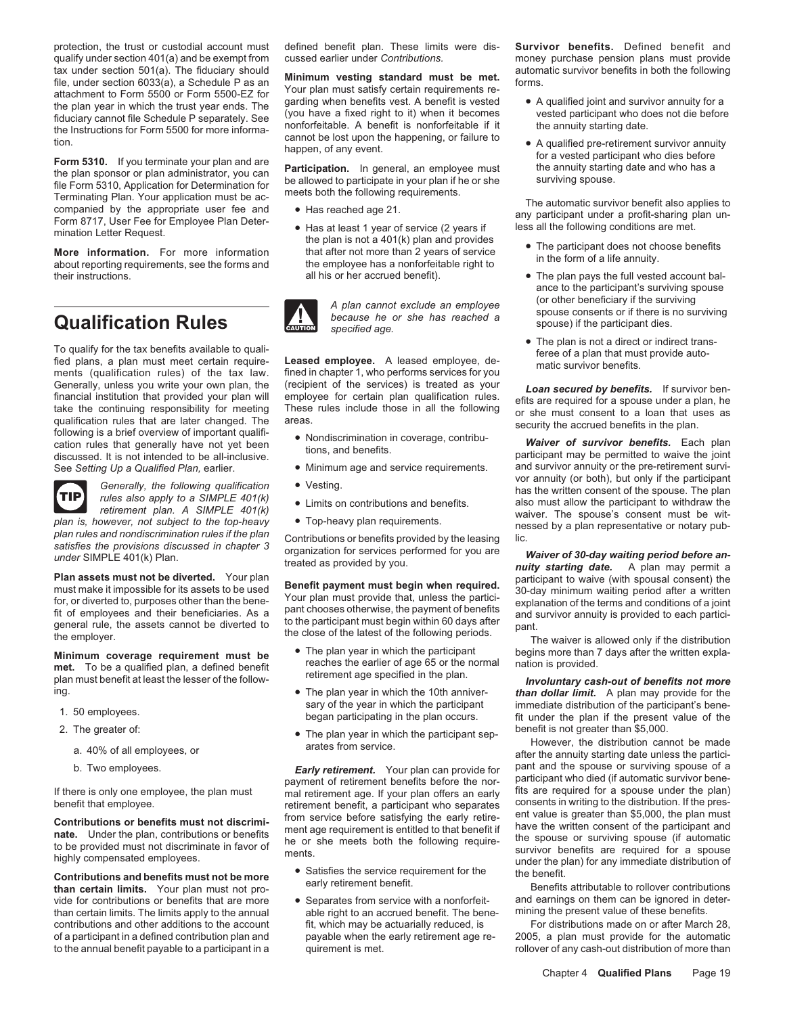protection, the trust or custodial account must defined benefit plan. These limits were dis- **Survivor benefits.** Defined benefit and qualify under section 401(a) and be exempt from cussed earlier under *Contributions.* money purchase pension plans must provide<br>tax under section 501(a). The fiduciary should

their instructions. **Exercise 20** all his or her accrued benefit). **•** The plan pays the full vested account bal-

qualification rules that are later changed. The areas.<br>
following is a brief overview of important qualifi-<br>
e Nondiscrimination in coverage, contribu-<br> **Waiver of survivor benefits.** Each plan.<br>
Cation rules that generall



*satisfies the provisions discussed in chapter 3*

**Plan assets must not be diverted.** Your plan<br>must make it impossible for its assets to be used **Benefit payment must begin when required.** 30-day minimum waiting period after a written must make it impossible for its assets to be used<br>for, or diverted to, purposes other than the bene-<br>fit of employees and their beneficiaries. As a<br>fit of employees and their beneficiaries. As a<br>general rule, the assets ca

met. To be a qualified plan, a defined benefit<br>plan must benefit at least the lesser of the follow-<br>ing. Involuntary cash-out of benefits not more<br>ing. In the plan year in which the 10th anniver-<br>ing. In the notal specifie

- 
- -
	-

than certain limits. Your plan must not pro-<br>vide for contributions or benefits that are more <br>Separates from service with a nonforfeit- and earnings on them can be ignored in detervide for contributions or benefits that are more than certain limits. The limits apply to the annual able right to an accrued benefit. The bene- mining the present value of these benefits. contributions and other additions to the account fit, which may be actuarially reduced, is For distributions made on or after March 28, of a participant in a defined contribution plan and payable when the early retirement of a participant in a defined contribution plan and to the annual benefit payable to a participant in a quirement is met. The metal of more than cash-out distribution of more than

tax under section 603(3), a Schedule P as an **Minimum vesting standard must be met.** (the under section 603(3), a Schedule P as an **Minimum vesting standard must be met.** The filt is under statisty centain requirements rel

- 
- 



ments (qualification rules) of the tax law. fined in chapter 1, who performs services for you Generally, unless you write your own plan, the (recipient of the services) is treated as your *Loan secured by benefits.* If survivor ben-<br>financial institution that provided your plan will employee for certain plan qualif triancial institution that provided your plan will employee for certain plan qualification rules.<br>take the continuing responsibility for meeting These rules include those in all the following or she must consent to a loan

- 
- 
- 
- 
- 

- 
- 
- 

If there is only one employee, the plan must mal retirement age. If your plan offers an early lits are required for a spouse under the plan) benefit that employee. If the pres-<br>retirement benefit, a participant who separat

- 
- 

- 
- 

- 
- ance to the participant's surviving spouse **Qualification Rules**<br>**Qualification Rules**<br>*Example the or she has reached a* spouse consents or if there is no surviving<br>*specified age. specified age. specified age.*
- To qualify for the tax benefits available to quali-<br>fied plans, a plan must meet certain require-<br>fied plans, a plan must meet certain require-<br>fied plans, a plan must meet certain require-<br>fied plans, a plan must meet cer

cation rules that generally have not yet been<br>discussed. It is not intended to be all-inclusive.<br>See Setting Up a Qualified Plan, earlier.<br>Ninimum age and service requirements. and survivor annuity or the pre-retirement su See Setting Up a Qualified Plan, earlier.<br>• Minimum age and service requirements. and survivor annuity (or both), but only if the participant<br>• Conserved for the falles in a participant Generally, the following qualification <br>
Generally, the following qualification <br>
rules also apply to a SIMPLE 401(k) <br>
retirement plan. A SIMPLE 401(k) Limits on contributions and benefits.<br>
retirement plan. A SIMPLE 401( retirement plan. A SIMPLE 401(k)<br>plan is, however, not subject to the top-heavy<br>plan relevant waiver. The spouse's consent must be wit-<br>plan rules and nondiscrimination rules if the plan<br>contributions or benefits provided

anshes the provisions discussed in chapter 3 organization for services performed for you are *Waiver of 30-day waiting period before an-* treated as provided by you.<br>**Plan assets must not be diverted.** Your plan

**Minimum coverage requirement must be** The plan year in which the participant begins more than 7 days after the written expla-<br>met To be a qualified plan a defined benefit reaches the earlier of age 65 or the normal nation

The plan year in which the 10th anniver- **than dollar limit.** A plan may provide for the sary of the year in which the participant in the participant's benesary of the year in which the participant immediate distribution of the participant's bene-<br>1. 50 employees. began participating in the plan occurs. fit under the plan if the present value of the

2. The greater of:<br>a. 40% of all employees, or **a e** The plan year in which the participant sep-<br>a. 40% of all employees, or and a rates from service.<br>after the annuity starting date unless the particib. Two employees. **Early retirement.** Your plan can provide for pant and the spouse or surviving spouse of a *payment* of retirement benefits before the nor-<br>If there is only one employee, the plan must mal retirement age. benefit that employee.<br> **Contributions or benefits must not discrimi-**<br> **Contributions or benefits must not discrimi-**<br> **Contributions or benefits must not discrimi-**<br> **Contributions or benefits must not discrimi-**<br> **Contr** nighly compensated employees.<br> **Contributions and benefits must not be more** <sup>•</sup> Satisfies the service requirement for the the benefit.<br> **Contributions and benefits must not be more** early retirement benefit.<br> **Contributio**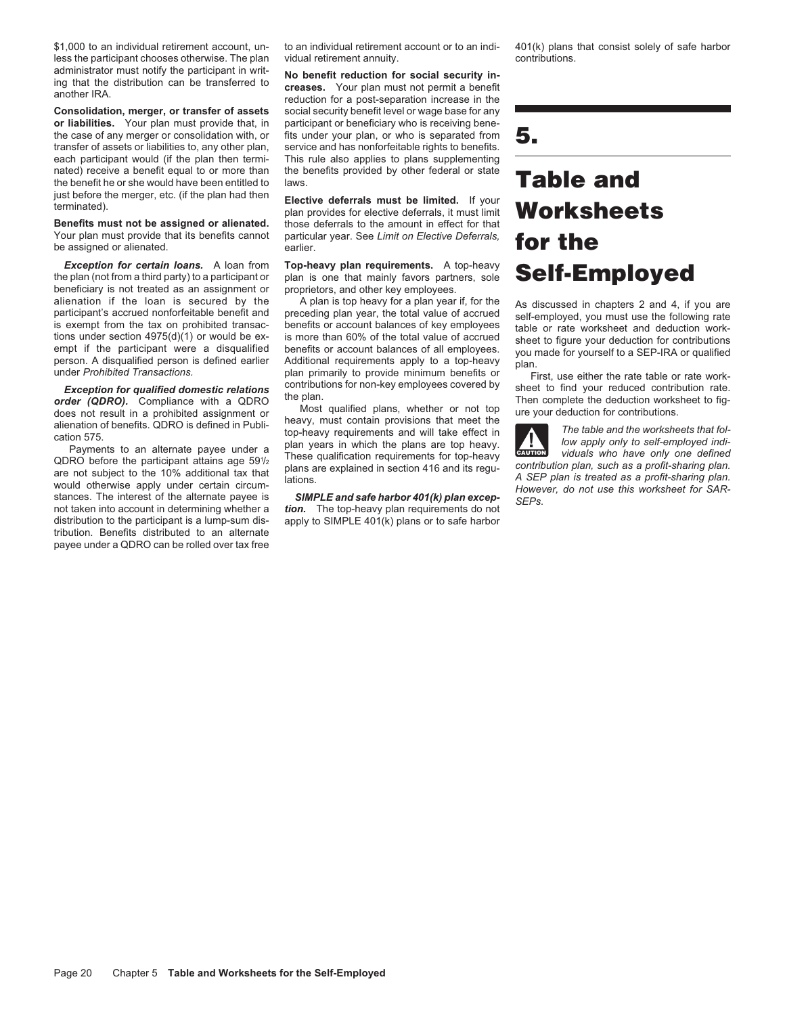less the participant chooses otherwise. The plan vidual retirement annuity. contributions.<br>administrator must notify the participant in writ-<br>No bonefit reduction for social sequestive in

**or liabilities.** Your plan must provide that, in participant or beneficiary who is receiving benethe case of any merger or consolidation with, or fits under your plan, or who is separated from transfer of assets or liabilities to, any other plan, service and has nonforfeitable rights to benefits. each participant would (if the plan then termi- This rule also applies to plans supplementing nated) receive a benefit equal to or more than the benefits provided by other federal or state nated) receive a benefit equal to or more than<br>the benefit he or she would have been entitled to laws.<br>just before the merger, etc. (if the plan had then<br> $\blacksquare$  Elective deferreds must be limited. If your

# Benefits must not be assigned or alienated. Your plan must provide that its benefits cannot be assigned or alienated.

*Exception for certain loans.* A loan from **Top-heavy plan requirements.** A top-heavy Exception for certain foans. A loan from **the plan requirements.** A top-neavy<br>the plan (not from a third party) to a participant or plan is one that mainly favors partners, sole **Self-Employed**<br>beneficiary is not treated a

 $QDRO$  before the participant attains age  $59\frac{1}{2}$  These qualification requirements for top-heavy are not subject to the 10% additional tax that<br>would otherwise apply under certain circum-<br>stances. The interest of the alternate payee is **SIMPLE and safe harbor 401(k) plan excep-**<br>stances. The interest of the alternate not taken into account in determining whether a *tion.* The top-heavy plan requirements do not distribution to the participant is a lump-sum dis-<br>apply to SIMPLE 401(k) plans or to safe harbor tribution. Benefits distributed to an alternate payee under a QDRO can be rolled over tax free

\$1,000 to an individual retirement account, un- to an individual retirement account or to an indi- 401(k) plans that consist solely of safe harbor

administrator must notify the participant in write<br>ing that the distribution can be transferred to<br>another IRA.<br>reduction for a post-separation increase in the<br>reduction for a post-separation increase in the **Consolidation, merger, or transfer of assets** social security benefit level or wage base for any

just before the merger, etc. (if the plan had then **Elective deferrals must be limited.** If your terminated).<br>Benefits must not be assigned or alienated. those deferrals to the amount in effect for that particular year. See *Limit on Elective Deferrals*, for the

alienation if the loan is secured by the A plan is top heavy for a plan year if, for the A<sub>S</sub> discussed in chapters 2 and 4, if you are participant's accrued nonforfeitable benefit and preceding plan year, the total value tions under section 4975(d)(1) or would be ex-<br>
empt if the participant were a disqualified benefits or account balances of all employees.<br>
eperson. A disqualified person is defined earlier<br>
person. A disqualified person i

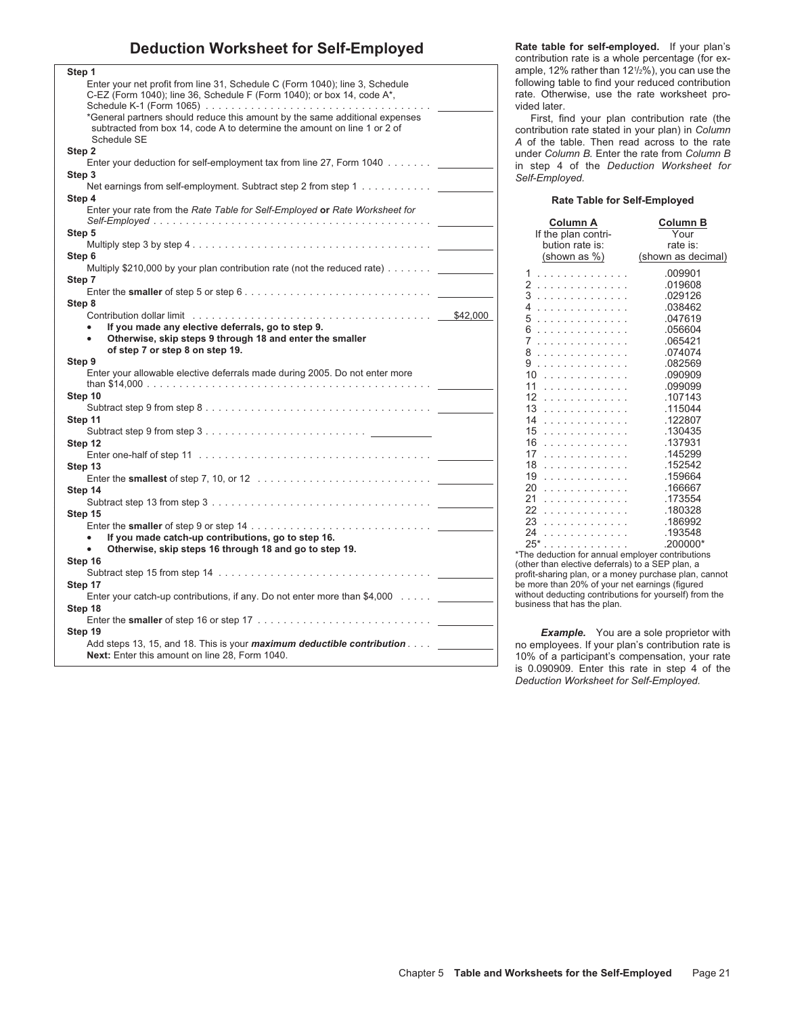# **Deduction Worksheet for Self-Employed Rate table for self-employed.** If your plan's

|                                                                                       | continuution rate is a writte percentage (for ex-      |                                                |
|---------------------------------------------------------------------------------------|--------------------------------------------------------|------------------------------------------------|
| Step 1                                                                                | ample, 12% rather than 121/2%), you can use the        |                                                |
| Enter your net profit from line 31, Schedule C (Form 1040); line 3, Schedule          | following table to find your reduced contribution      |                                                |
| C-EZ (Form 1040); line 36, Schedule F (Form 1040); or box 14, code A*,                | rate. Otherwise, use the rate worksheet pro            |                                                |
|                                                                                       |                                                        |                                                |
|                                                                                       | vided later.                                           |                                                |
| *General partners should reduce this amount by the same additional expenses           | First, find your plan contribution rate (the           |                                                |
| subtracted from box 14, code A to determine the amount on line 1 or 2 of              | contribution rate stated in your plan) in Columi       |                                                |
| Schedule SE                                                                           | A of the table. Then read across to the rate           |                                                |
| Step 2                                                                                | under Column B. Enter the rate from Column L           |                                                |
| Enter your deduction for self-employment tax from line 27, Form 1040                  |                                                        |                                                |
|                                                                                       | in step 4 of the Deduction Worksheet fo                |                                                |
| Step 3                                                                                | Self-Employed.                                         |                                                |
| Net earnings from self-employment. Subtract step 2 from step 1                        |                                                        |                                                |
| Step 4                                                                                | <b>Rate Table for Self-Employed</b>                    |                                                |
| Enter your rate from the Rate Table for Self-Employed or Rate Worksheet for           |                                                        |                                                |
|                                                                                       | <b>Column A</b>                                        | <b>Column B</b>                                |
| Step 5                                                                                | If the plan contri-                                    | Your                                           |
|                                                                                       | bution rate is:                                        | rate is:                                       |
|                                                                                       |                                                        |                                                |
| Step 6                                                                                | (shown as %)                                           | (shown as decimal)                             |
| Multiply \$210,000 by your plan contribution rate (not the reduced rate) ____________ | 1.                                                     | .009901                                        |
| Step 7                                                                                | 2                                                      | .019608                                        |
|                                                                                       | 3                                                      | .029126                                        |
| Step 8                                                                                |                                                        |                                                |
|                                                                                       | 4.                                                     | .038462                                        |
|                                                                                       | 5                                                      | .047619                                        |
| If you made any elective deferrals, go to step 9.                                     | 6.                                                     | .056604                                        |
| Otherwise, skip steps 9 through 18 and enter the smaller<br>$\bullet$                 | 7.                                                     | .065421                                        |
| of step 7 or step 8 on step 19.                                                       | 8                                                      | .074074                                        |
| Step 9                                                                                | 9.                                                     | .082569                                        |
| Enter your allowable elective deferrals made during 2005. Do not enter more           | 10                                                     | .090909                                        |
|                                                                                       | 11                                                     | .099099                                        |
| Step 10                                                                               |                                                        |                                                |
|                                                                                       | 12                                                     | .107143                                        |
|                                                                                       | 13                                                     | .115044                                        |
| Step 11                                                                               | 14                                                     | .122807                                        |
|                                                                                       | 15                                                     | .130435                                        |
| Step 12                                                                               | 16                                                     | .137931                                        |
|                                                                                       | 17                                                     | .145299                                        |
| Step 13                                                                               | 18                                                     | .152542                                        |
|                                                                                       | 19.                                                    | .159664                                        |
|                                                                                       | 20                                                     | .166667                                        |
| Step 14                                                                               |                                                        |                                                |
|                                                                                       | 21                                                     | .173554                                        |
| Step 15                                                                               | $22$                                                   | .180328                                        |
|                                                                                       | 23                                                     | .186992                                        |
| If you made catch-up contributions, go to step 16.<br>$\bullet$                       | 24                                                     | .193548                                        |
| $\bullet$                                                                             | $25^*$                                                 | $.200000*$                                     |
| Otherwise, skip steps 16 through 18 and go to step 19.                                | *The deduction for annual employer contributions       |                                                |
| Step 16                                                                               | (other than elective deferrals) to a SEP plan, a       |                                                |
|                                                                                       | profit-sharing plan, or a money purchase plan, cannot  |                                                |
| Step 17                                                                               | be more than 20% of your net earnings (figured         |                                                |
| Enter your catch-up contributions, if any. Do not enter more than \$4,000             | without deducting contributions for yourself) from the |                                                |
| Step 18                                                                               | business that has the plan.                            |                                                |
|                                                                                       |                                                        |                                                |
|                                                                                       |                                                        |                                                |
| Step 19                                                                               |                                                        | <b>Example.</b> You are a sole proprietor with |
| Add steps 13, 15, and 18. This is your <i>maximum deductible contribution</i> _______ | no employees. If your plan's contribution rate is      |                                                |
| Next: Enter this amount on line 28. Form 1040.                                        | 10% of a participant's compensation, your rate         |                                                |
|                                                                                       | is 0.000000. Enter this rate in step $A$ of the        |                                                |

contribution rate is a whole percentage (for example, 12% rather than 12<sup>1</sup>/<sub>2</sub>%), you can use the following table to find your reduced contribution rate. Otherwise, use the rate worksheet provided later.

# **Step 4 Rate Table for Self-Employed**

| Column A                                                                                                                                                                          | Column B                                                                                                                                                                                                                                                             |
|-----------------------------------------------------------------------------------------------------------------------------------------------------------------------------------|----------------------------------------------------------------------------------------------------------------------------------------------------------------------------------------------------------------------------------------------------------------------|
| If the plan contri-                                                                                                                                                               | Your                                                                                                                                                                                                                                                                 |
| bution rate is:                                                                                                                                                                   | rate is:                                                                                                                                                                                                                                                             |
| (shown as %)                                                                                                                                                                      | (shown as decimal                                                                                                                                                                                                                                                    |
| 1<br>.<br>$\frac{2}{3}$<br>1.1.1.1.1.1.1<br>4<br>5<br>6<br>7<br>8<br>9<br>10<br>11<br>12<br>13<br>$\sim$ $\sim$<br>14<br>15<br>16<br>17<br>18<br>19<br>20<br>21<br>22<br>23<br>24 | .009901<br>.019608<br>.029126<br>.038462<br>.047619<br>.056604<br>.065421<br>.074074<br>.082569<br>.090909<br>.099099<br>.107143<br>.115044<br>.122807<br>.130435<br>.137931<br>.145299<br>.152542<br>.159664<br>.166667<br>.173554<br>.180328<br>.186992<br>.193548 |
| $25*$                                                                                                                                                                             | .200000*                                                                                                                                                                                                                                                             |
| $\mathbf{r} = \mathbf{r}$                                                                                                                                                         | <b>Contract Contract Contract</b>                                                                                                                                                                                                                                    |
| п.                                                                                                                                                                                | $\cdots$                                                                                                                                                                                                                                                             |

**Example.** You are a sole proprietor with no employees. If your plan's contribution rate is 10% of a participant's compensation, your rate is 0.090909. Enter this rate in step 4 of the *Deduction Worksheet for Self-Employed.*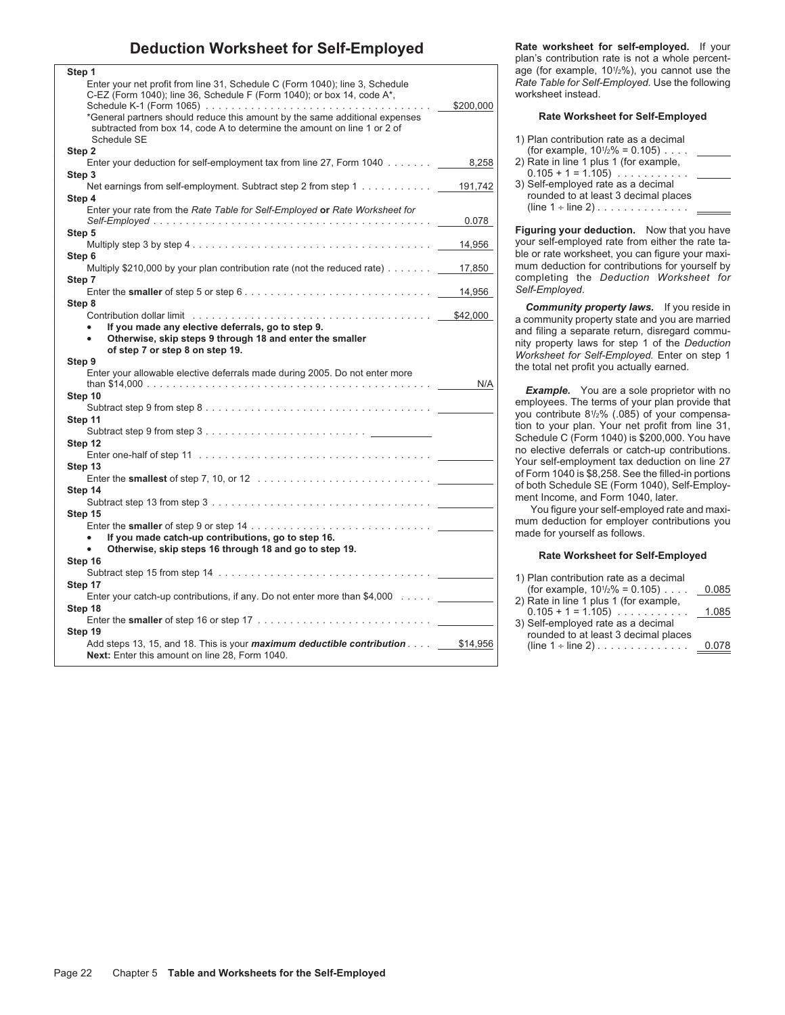# **Deduction Worksheet for Self-Employed** Rate worksheet for self-employed. If your

| Step 1<br>Enter your net profit from line 31, Schedule C (Form 1040); line 3, Schedule                                                                  |           | age (for example, 101/2%), you cannot use the<br>Rate Table for Self-Employed. Use the following     |
|---------------------------------------------------------------------------------------------------------------------------------------------------------|-----------|------------------------------------------------------------------------------------------------------|
| C-EZ (Form 1040); line 36, Schedule F (Form 1040); or box 14, code A*,                                                                                  | \$200.000 | worksheet instead.                                                                                   |
| *General partners should reduce this amount by the same additional expenses<br>subtracted from box 14, code A to determine the amount on line 1 or 2 of |           | <b>Rate Worksheet for Self-Employed</b>                                                              |
| Schedule SE<br>Step 2                                                                                                                                   |           | 1) Plan contribution rate as a decimal<br>(for example, $10\frac{1}{2}\% = 0.105$ )                  |
| Enter your deduction for self-employment tax from line 27, Form 1040                                                                                    | 8,258     | 2) Rate in line 1 plus 1 (for example,                                                               |
| Step 3                                                                                                                                                  |           | $0.105 + 1 = 1.105$                                                                                  |
| Net earnings from self-employment. Subtract step 2 from step 1                                                                                          | 191,742   | 3) Self-employed rate as a decimal                                                                   |
| Step 4                                                                                                                                                  |           | rounded to at least 3 decimal places                                                                 |
| Enter your rate from the Rate Table for Self-Employed or Rate Worksheet for                                                                             |           | (line $1 +$ line 2)                                                                                  |
|                                                                                                                                                         | 0.078     | Figuring your deduction. Now that you have                                                           |
| Step 5                                                                                                                                                  | 14,956    | your self-employed rate from either the rate ta-                                                     |
| Step 6                                                                                                                                                  |           | ble or rate worksheet, you can figure your maxi-                                                     |
| Multiply \$210,000 by your plan contribution rate (not the reduced rate) $\ldots \ldots$                                                                | 17,850    | mum deduction for contributions for yourself by                                                      |
| Step 7                                                                                                                                                  |           | completing the Deduction Worksheet for                                                               |
|                                                                                                                                                         | 14.956    | Self-Employed.                                                                                       |
| Step 8                                                                                                                                                  |           | <b>Community property laws.</b> If you reside in                                                     |
|                                                                                                                                                         | \$42,000  | a community property state and you are married                                                       |
| If you made any elective deferrals, go to step 9.<br>Otherwise, skip steps 9 through 18 and enter the smaller<br>of step 7 or step 8 on step 19.        |           | and filing a separate return, disregard commu-<br>nity property laws for step 1 of the Deduction     |
| Step 9                                                                                                                                                  |           | Worksheet for Self-Employed. Enter on step 1<br>the total net profit you actually earned.            |
| Enter your allowable elective deferrals made during 2005. Do not enter more                                                                             |           |                                                                                                      |
|                                                                                                                                                         | N/A       | <b>Example.</b> You are a sole proprietor with no                                                    |
| Step 10<br>Subtract step 9 from step 8 $\dots \dots \dots \dots \dots \dots \dots \dots \dots \dots \dots \dots \dots$                                  |           | employees. The terms of your plan provide that                                                       |
| Step 11                                                                                                                                                 |           | you contribute $8\frac{1}{2}\%$ (.085) of your compensa-                                             |
|                                                                                                                                                         |           | tion to your plan. Your net profit from line 31,                                                     |
| Step 12                                                                                                                                                 |           | Schedule C (Form 1040) is \$200,000. You have                                                        |
|                                                                                                                                                         |           | no elective deferrals or catch-up contributions.                                                     |
| Step 13                                                                                                                                                 |           | Your self-employment tax deduction on line 27<br>of Form 1040 is \$8,258. See the filled-in portions |
| Enter the smallest of step 7, 10, or 12 $\ldots \ldots \ldots \ldots \ldots \ldots \ldots \ldots \ldots$                                                |           | of both Schedule SE (Form 1040), Self-Employ-                                                        |
| Step 14                                                                                                                                                 |           | ment Income, and Form 1040, later.                                                                   |
| Step 15                                                                                                                                                 |           | You figure your self-employed rate and maxi-                                                         |
|                                                                                                                                                         |           | mum deduction for employer contributions you                                                         |
| If you made catch-up contributions, go to step 16.<br>$\bullet$                                                                                         |           | made for yourself as follows.                                                                        |
| Otherwise, skip steps 16 through 18 and go to step 19.<br>$\bullet$                                                                                     |           |                                                                                                      |
| Step 16                                                                                                                                                 |           | <b>Rate Worksheet for Self-Employed</b>                                                              |
|                                                                                                                                                         |           | 1) Plan contribution rate as a decimal                                                               |
| Step 17                                                                                                                                                 |           | (for example, $10\frac{1}{2}\% = 0.105$ )<br>0.085                                                   |
| Enter your catch-up contributions, if any. Do not enter more than \$4,000                                                                               |           | 2) Rate in line 1 plus 1 (for example,                                                               |
| Step 18                                                                                                                                                 |           | 1.085<br>$0.105 + 1 = 1.105$                                                                         |
| Step 19                                                                                                                                                 |           | 3) Self-employed rate as a decimal                                                                   |
| Add steps 13, 15, and 18. This is your <i>maximum deductible contribution</i> \$14,956<br>Next: Enter this amount on line 28, Form 1040.                |           | rounded to at least 3 decimal places<br>$(line 1 + line 2) \dots \dots \dots \dots$<br>0.078         |
|                                                                                                                                                         |           |                                                                                                      |

plan's contribution rate is not a whole percentage (for example, 10<sup>1</sup>/<sub>2</sub>%), you cannot use the Rate Table for Self-Employed. Use the following worksheet instead.

# **Rate Worksheet for Self-Employed**

| 1) Plan contribution rate as a decimal<br>(for example, $10\frac{1}{2}\% = 0.105$ ) |  |
|-------------------------------------------------------------------------------------|--|
| 2) Rate in line 1 plus 1 (for example,<br>$0.105 + 1 = 1.105$ )                     |  |
| 3) Self-employed rate as a decimal<br>rounded to at least 3 decimal places          |  |
| (line $1 +$ line 2)                                                                 |  |

# **Rate Worksheet for Self-Employed**

| 1) Plan contribution rate as a decimal    |       |
|-------------------------------------------|-------|
| (for example, $10\frac{1}{2}\% = 0.105$ ) | 0.085 |
| 2) Rate in line 1 plus 1 (for example,    |       |
| $0.105 + 1 = 1.105$                       | 1.085 |
| 3) Self-employed rate as a decimal        |       |
| rounded to at least 3 decimal places      |       |
| (line $1 \div$ line 2)                    |       |
|                                           |       |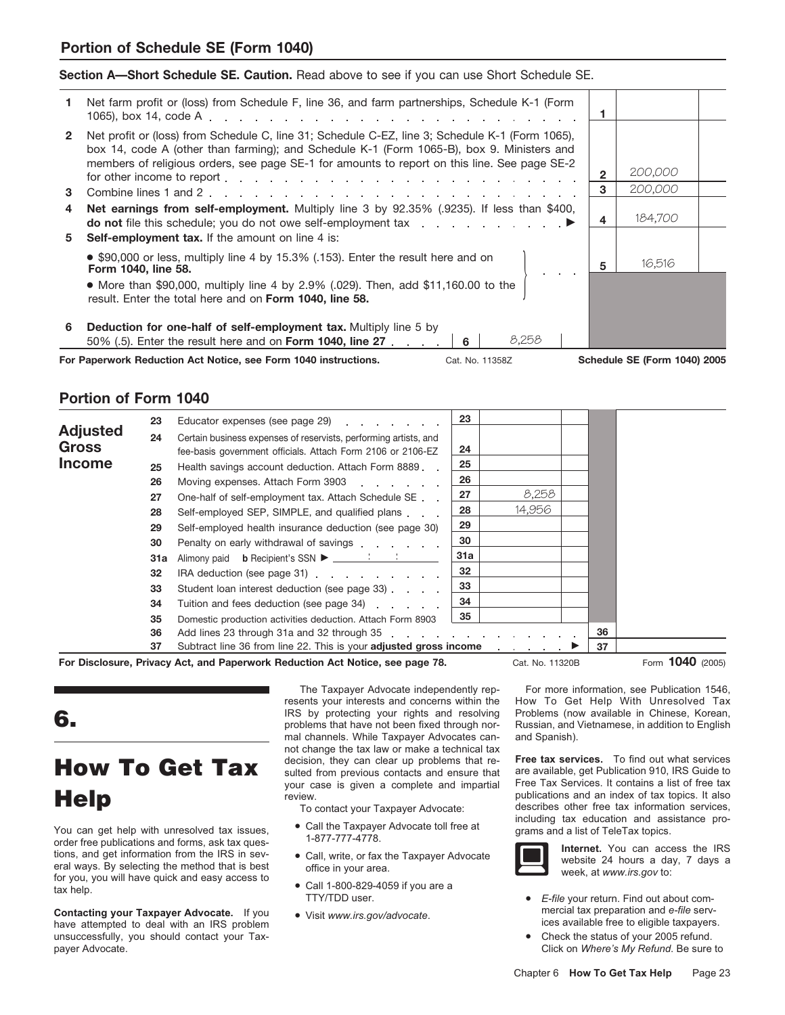|  |  | Section A—Short Schedule SE. Caution. Read above to see if you can use Short Schedule SE. |
|--|--|-------------------------------------------------------------------------------------------|
|  |  |                                                                                           |

| 6            | result. Enter the total here and on Form 1040, line 58.<br><b>Deduction for one-half of self-employment tax.</b> Multiply line 5 by                                                                                                                                                                                               |   |         |  |
|--------------|-----------------------------------------------------------------------------------------------------------------------------------------------------------------------------------------------------------------------------------------------------------------------------------------------------------------------------------|---|---------|--|
|              | • \$90,000 or less, multiply line 4 by 15.3% (.153). Enter the result here and on<br>Form 1040, line 58.<br>• More than \$90,000, multiply line 4 by 2.9% (.029). Then, add \$11,160.00 to the                                                                                                                                    | 5 | 16,516  |  |
| 5            | <b>Self-employment tax.</b> If the amount on line 4 is:                                                                                                                                                                                                                                                                           |   |         |  |
| 4            | <b>Net earnings from self-employment.</b> Multiply line 3 by 92.35% (.9235). If less than \$400,<br>do not file this schedule; you do not owe self-employment tax enter the state of the schedule; you do not owe self-employment tax enter the state of the schedule; the schedule; the schedule; the schedule; the schedule; th | 4 | 184,700 |  |
| 3            |                                                                                                                                                                                                                                                                                                                                   | 3 | 200,000 |  |
| $\mathbf{2}$ | Net profit or (loss) from Schedule C, line 31; Schedule C-EZ, line 3; Schedule K-1 (Form 1065),<br>box 14, code A (other than farming); and Schedule K-1 (Form 1065-B), box 9. Ministers and<br>members of religious orders, see page SE-1 for amounts to report on this line. See page SE-2                                      |   | 200,000 |  |
|              | Net farm profit or (loss) from Schedule F, line 36, and farm partnerships, Schedule K-1 (Form                                                                                                                                                                                                                                     |   |         |  |

# **Portion of Form 1040**

|                                 | 23       | Educator expenses (see page 29)                                                                                                 | 23  |                                        |          |                  |  |
|---------------------------------|----------|---------------------------------------------------------------------------------------------------------------------------------|-----|----------------------------------------|----------|------------------|--|
| <b>Adjusted</b><br><b>Gross</b> | 24       | Certain business expenses of reservists, performing artists, and<br>fee-basis government officials. Attach Form 2106 or 2106-EZ | 24  |                                        |          |                  |  |
| <b>Income</b>                   | 25       | Health savings account deduction. Attach Form 8889.                                                                             | 25  |                                        |          |                  |  |
|                                 | 26       | Moving expenses. Attach Form 3903                                                                                               | 26  |                                        |          |                  |  |
|                                 | 27       | One-half of self-employment tax. Attach Schedule SE.                                                                            | 27  | 8,258                                  |          |                  |  |
|                                 | 28       | Self-employed SEP, SIMPLE, and qualified plans                                                                                  | 28  | 14,956                                 |          |                  |  |
|                                 | 29       | Self-employed health insurance deduction (see page 30)                                                                          | 29  |                                        |          |                  |  |
|                                 | 30       | Penalty on early withdrawal of savings                                                                                          | 30  |                                        |          |                  |  |
|                                 | 31a      | Alimony paid <b>b</b> Recipient's SSN ▶ <u>_______________________</u>                                                          | 31a |                                        |          |                  |  |
|                                 | 32       | IRA deduction (see page 31)                                                                                                     | 32  |                                        |          |                  |  |
|                                 | 33       | Student loan interest deduction (see page 33).                                                                                  | 33  |                                        |          |                  |  |
|                                 | 34       | Tuition and fees deduction (see page 34)                                                                                        | 34  |                                        |          |                  |  |
|                                 | 35       | Domestic production activities deduction. Attach Form 8903                                                                      | 35  |                                        |          |                  |  |
|                                 | 36<br>37 | Subtract line 36 from line 22. This is your adjusted gross income                                                               |     | the company of the second state of the | 36<br>37 |                  |  |
|                                 |          | For Disclosure, Privacy Act, and Paperwork Reduction Act Notice, see page 78.                                                   |     | Cat. No. 11320B                        |          | Form 1040 (2005) |  |

Vou can get help with unresolved tax issues,<br>
order free publications and forms, ask tax ques-<br>
tions, and get information from the IRS in sev-<br>
eral ways. By selecting the method that is best<br>
for you, you will have quick

**Contacting your Taxpayer Advocate.** If you **•** Visit *www.irs.gov/advocate.* have attempted to deal with an IRS problem ices available free to eligible taxpayers.<br>
unsuccessfully, you should contact your Tax-<br>
unsuccessfu unsuccessfully, you should contact your Tax-<br>payer Advocate.

resents your interests and concerns within the IRS by protecting your rights and resolving Problems (now available in Chinese, Korean, problems that have not been fixed through nor-<br>mal channels. While Taxpayer Advocates can- and Spanish). mal channels. While Taxpayer Advocates cannot change the tax law or make a technical tax **How To Get Tax** decision, they can clear up problems that re-<br>sulted from previous contacts and ensure that are available, get Publication 910, IRS Guide to<br>vour case is given a complete and impartial Free Tax Services. I your case is given a complete and impartial Free Tax Services. It contains a list of free tax<br>
publications and an index of tax topics. It also

- 
- 
- 
- 

The Taxpayer Advocate independently rep-<br>
For more information, see Publication 1546,<br>
For Septen How To Get Help With Unresolved Tax

**Help** review.<br>
To contact your Taxpayer Advocate: best other free tax information services, the also<br>
To contact your Taxpayer Advocate: describes other free tax information services,



- 
- Click on *Where's My Refund*. Be sure to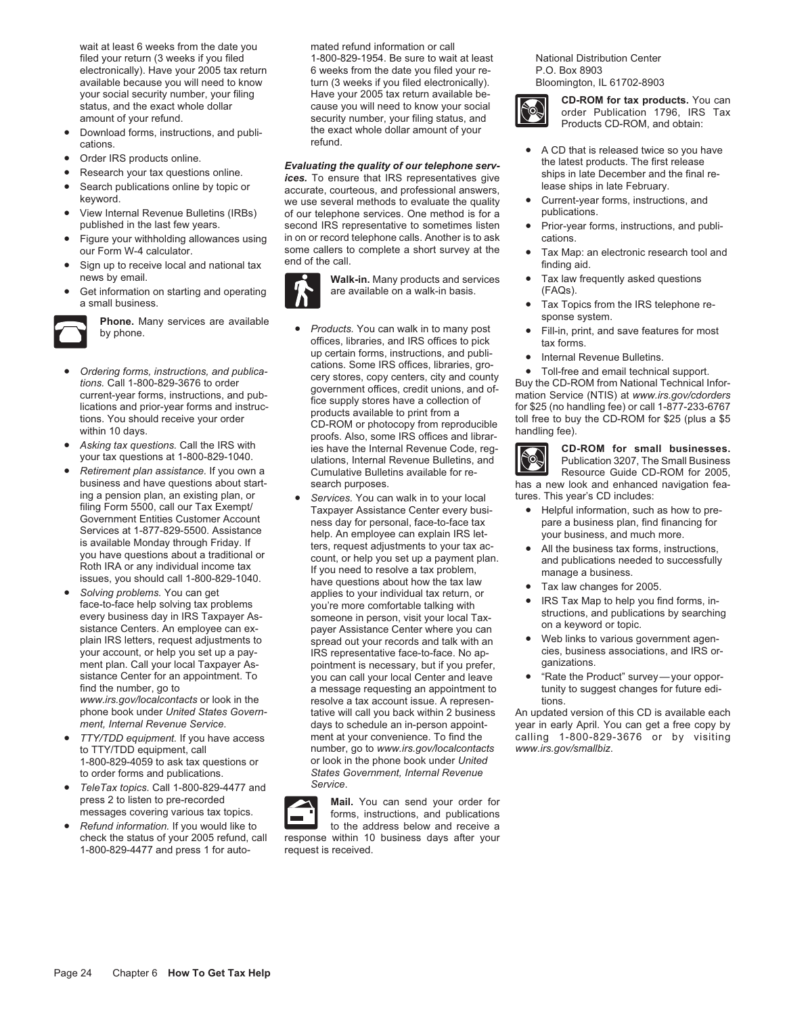wait at least 6 weeks from the date you mated refund information or call filed your return (3 weeks if you filed 1-800-829-1954. Be sure to wait at least National Distribution Center<br>
electronically). Have your 2005 tax return 6 weeks from the date you filed your re- P.O. Box 8903 electronically). Have your 2005 tax return available because you will need to know turn (3 weeks if you filed electronically). Bloomington, IL 61702-8903

- 
- 
- 
- 
- 
- 
- 
- Get information on starting and operating  $\blacksquare$  are available on a walk-in basis. (FAQs). a small business. **• Tax Topics from the IRS telephone re-**

- 
- 
- business and have questions about start-<br>ing a pension plan, an existing plan, or **section of the Section** synudian walk in to your local tures. This year's CD includes:
- 
- 1-800-829-4059 to ask tax questions or
- *Service*. *TeleTax topics.* Call 1-800-829-4477 and press 2 to listen to pre-recorded **Mail.** You can send your order for
- *Refund information.* If you would like to check the status of your 2005 refund, call 1-800-829-4477 and press 1 for auto- request is received.

your social security number, your filing Have your 2005 tax return available be-<br>status, and the exact whole dollar cause you will need to know your social amount of your refund.<br>● Download forms, instructions, and publi-

Compared in the latest products online.<br>
• Compared in the latest products online and the final re-<br>
• Search publications online by topic or<br>
• Search publications online by topic or<br>
• Search publications online by topi • View Internal Revenue Bulletins (IRBs) of our telephone services. One method is for a publications. published in the last few years. second IRS representative to sometimes listen • Prior-year forms, instructions, and publi-<br>Figure your withholding allowances using in on or record telephone calls. Another is to ask cation Figure your withholding allowances using in on or record telephone calls. Another is to ask cations.<br>
our Form W-4 calculator. 
some callers to complete a short survey at the  $\bullet$  Tax Ma



- **Phone.** Many services are available<br>**Example 20 and Products.** You can walk in to many post **CALC CONTA** and the phono by phone.<br>
• *Products*. You can walk in to many post  $\bullet$  Fill-in, print, and save features for most<br>
offices, libraries, and IRS offices to pick<br>
tax forms offices, libraries, and IRS offices to pick up certain forms, instructions, and publi-<br>
cations. Some IRS offices, libraries, gro-<br>
a Tell free and small technic • Ordering forms, instructions, and publications and publications and publications and publications and publications and publications and publications and publications and publications and publications and publications and Asking tax questions. Call the IRS with its have the Internal Revenue Code, reg-<br>your tax questions at 1-800-829-1040. ulations, Internal Revenue Bulletins, and Publication 3207, The Small Business **Fedirement plan assistance.** If you own a Cumulative Bulletins available for re-<br>business and have questions about start-<br>gench purposes.<br>has a new look and enhanced navigation fea-
- ing a pension plan, an existing plan, or<br>
fling Form 5500, call our Tax Exempt be the statement Entities Customer Account<br>
Government Entities Customer Account<br>
Services at 1-877-829-5500. Assistance<br>
is available Monday t sistance Centers. An employee can ex-<br>
plain IRS letters, request adjustments to spread out your records and talk with an • Web links to various government agen-<br>
your account, or help you set up a pay-<br>
IRS representative IRS representative face-to-face. No ap-<br>
pointment is necessary, but if you prefer and IRS representations. ment plan. Call your local Taxpayer As- pointment is necessary, but if you prefer, sistance Center for an appointment. To you can call your local Center and leave sistance Center for an appointment. To you can call your local Center and leave • "Rate the Product" survey—your oppor-<br>find the number, go to a message requesting an appointment to tunity to suggest changes for future edi find the number, go to a message requesting an appointment to a message requesting an appointment to function to suppose a message requesting an appointment to summit to www.irs.gov/localcontacts or look in the *www.irs.gov/localcontacts* or look in the resolve a tax account issue. A represen-<br>phone book under United States Govern- tative will call you back within 2 business An updated to TTY/TDD equipment, call and the state of the number, go to *www.irs.gov/localcontacts www.irs.gov/smallbiz.*<br>1-800-829-4059 to ask tax questions or **book** in the phone book under United to order forms and publications. *States Government, Internal Revenue*



messages covering various tax topics.<br>
Refund information. If you would like to the address below and receive a

response within 10 business days after your



- 
- 
- 
- our Form W-4 calculator. some callers to complete a short survey at the Tax Map: an electronic research tool and<br>Sign up to receive local and national tax end of the call. end of the call.
- news by email. **Walk-in.** Many products and services Tax law frequently asked questions
	-
	-
	-



- 
- 
- 
- 
- 
- 

phone book under *United States Govern-* tative will call you back within 2 business An updated version of this CD is available each days to schedule an in-person appoint-<br>ment at your convenience. To find the calling 1-800-829-3676 or by visiting • *TTY/TDD equipment.* If you have access ment at your convenience. To find the calling 1-800-829-3676 or by visiting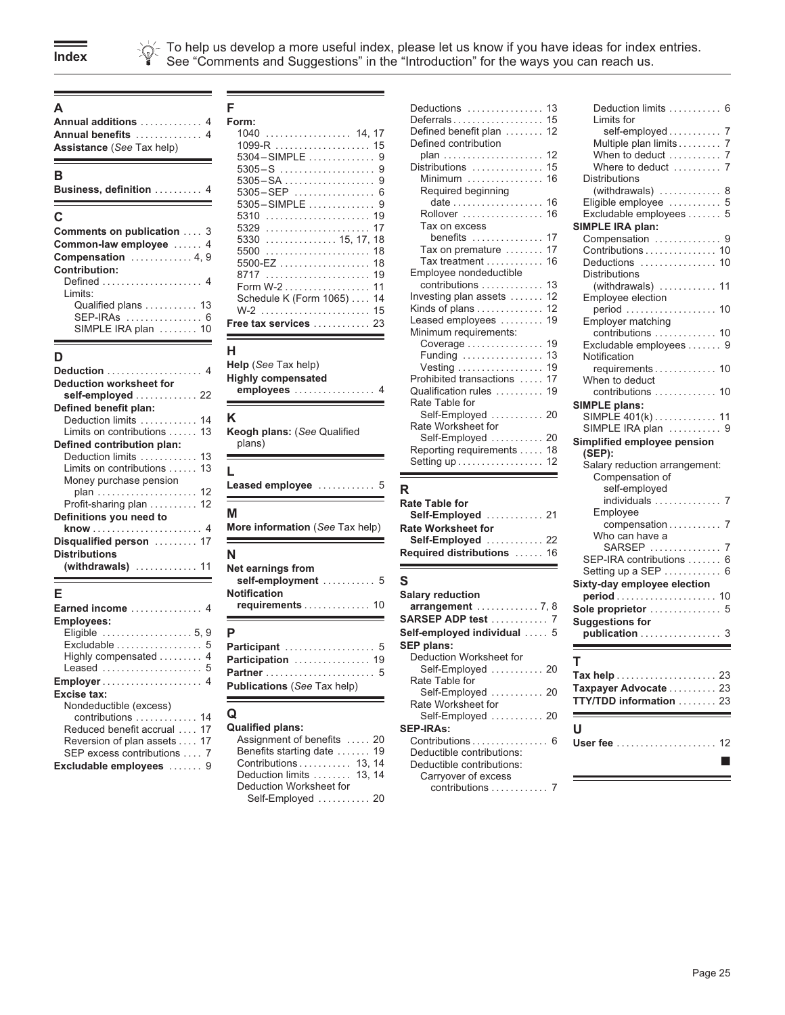



To help us develop a more useful index, please let us know if you have ideas for index entries.<br> **Index** See "Comments and Suggestions" in the "Introduction" for the ways you can reach us.

| Comments on publication |  |
|-------------------------|--|
| Common-law employee     |  |
| Compensation  4,        |  |
| <b>Contribution:</b>    |  |
| Defined                 |  |
| Limits:                 |  |
| Qualified plans  13     |  |
|                         |  |
| SIMPLE IRA plan  10     |  |

| Deduction  4<br>Deduction worksheet for<br>self-employed  22                                                   | <b>Help</b> (See Tax help)<br><b>Highly compensated</b><br>employees  4 | Vesting  19<br>Prohibited transactions  17<br>Qualification rules  19          | requirements 10<br>When to deduct                                                                             |
|----------------------------------------------------------------------------------------------------------------|-------------------------------------------------------------------------|--------------------------------------------------------------------------------|---------------------------------------------------------------------------------------------------------------|
| Defined benefit plan:<br>Deduction limits  14<br>Limits on contributions  13                                   | ĸ<br>Keogh plans: (See Qualified                                        | Rate Table for<br>Self-Employed  20<br>Rate Worksheet for<br>Self-Employed  20 | <b>SIMPLE plans:</b><br>SIMPLE 401(k) 11<br>SIMPLE IRA plan  9                                                |
| Defined contribution plan:<br>Deduction limits<br>-13<br>Limits on contributions  13<br>Money purchase pension | plans)<br>Leased employee  5                                            | Reporting requirements  18<br>Setting up 12<br>R                               | Simplified employee pension<br>$(SEP)$ :<br>Salary reduction arrangement:<br>Compensation of<br>self-emploved |
| plan  12<br>Profit-sharing plan  12<br>Definitions you need to                                                 | м<br>More information (See Tax help)                                    | <b>Rate Table for</b><br>Self-Employed  21<br><b>Rate Worksheet for</b>        | individuals  7<br>Employee<br>compensation 7                                                                  |
| Disqualified person  17<br><b>Distributions</b>                                                                | N<br>Net earnings from<br>المسمومين والمتمسم اللامام                    | Self-Employed  22<br>Required distributions  16<br>$\mathbf{C}$                | Who can have a<br>SEP-IRA contributions  6<br>Setting up a SEP $\dots\dots\dots\dots$ 6                       |

| Earned income               |
|-----------------------------|
| <b>Employees:</b>           |
| Eligible  5, 9              |
| Excludable 5                |
| Highly compensated          |
| Leased  !                   |
|                             |
| Excise tax:                 |
| Nondeductible (excess)      |
| contributions  14           |
| Reduced benefit accrual  17 |
| Reversion of plan assets 17 |
| SEP excess contributions    |
| Excludable employees        |
|                             |

| $5304 - SIMPLE$ 9            |
|------------------------------|
|                              |
|                              |
|                              |
| 5305-SIMPLE  9               |
| 5310                         |
| 17                           |
| $5330$ 15.17.18              |
| 5500<br>18                   |
| $5500 - EZ$<br>18            |
| 19<br>8717                   |
| 11                           |
| Schedule K (Form 1065)<br>14 |
| 15                           |
| ree tax services  23         |

| н<br><b>Help</b> (See Tax help)<br><b>Highly compensated</b><br>employees |
|---------------------------------------------------------------------------|
| κ<br><b>Keogh plans: (See Qualified</b><br>plans)                         |
| L<br>Leased employee                                                      |
| м<br><b>More information</b> (See Tax help                                |

| (withdrawals) $\ldots \ldots \ldots \ldots$ 11                         | Net earnings from                                                        |                                                                       | Setting up a SEP $\dots\dots\dots\dots$ 6         |
|------------------------------------------------------------------------|--------------------------------------------------------------------------|-----------------------------------------------------------------------|---------------------------------------------------|
| E<br>Earned income  4                                                  | self-employment $\ldots$ $\ldots$ 5 S<br>Notification<br>requirements 10 | <b>Salary reduction</b>                                               | Sixty-day employee election<br>Sole proprietor  5 |
| <b>Employees:</b><br>Eligible 5,9 <b>P</b>                             |                                                                          | <b>Self-employed individual</b> 5                                     | <b>Suggestions for</b>                            |
| Excludable  5<br>Leased $\ldots$ , $\ldots$ , $\ldots$ , $\frac{5}{2}$ | Highly compensated  4 Participation  19                                  | <b>SEP plans:</b><br>Deduction Worksheet for<br>Self-Employed 20 - 20 |                                                   |

| Reduced benefit accrual  17<br>Reversion of plan assets  17<br>SEP excess contributions , 7<br>ccludable employees  9 | <b>Qualified plans:</b><br>Assignment of benefits  20<br>Benefits starting date  19<br>Contributions  13, 14<br>Deduction limits  13, 14<br>Deduction Worksheet for | <b>SEP-IRAS:</b><br>Contributions<br>Deductible contributions:<br>Deductible contributions:<br>Carryover of excess<br>contributions |
|-----------------------------------------------------------------------------------------------------------------------|---------------------------------------------------------------------------------------------------------------------------------------------------------------------|-------------------------------------------------------------------------------------------------------------------------------------|
|                                                                                                                       | Self-Employed  20                                                                                                                                                   |                                                                                                                                     |

| Annual additions  4<br>Annual benefits  4             | Form:                                     | Defined benefit plan  12                    | Limits for<br>self-employed  7 |
|-------------------------------------------------------|-------------------------------------------|---------------------------------------------|--------------------------------|
|                                                       |                                           | Defined contribution                        | Multiple plan limits 7         |
| <b>Assistance</b> (See Tax help)                      | 5304-SIMPLE  9                            | plan  12                                    | When to deduct  7              |
|                                                       |                                           | Distributions  15                           | Where to deduct  7             |
| В                                                     |                                           | Minimum  16                                 | <b>Distributions</b>           |
| Business, definition  4                               |                                           | Required beginning                          | $(withdrawals)$ 8              |
|                                                       | 5305-SIMPLE  9                            | date  16                                    | Eligible employee  5           |
|                                                       | 5310  19                                  | Rollover  16                                | Excludable employees  5        |
| Comments on publication  3                            |                                           | Tax on excess                               | SIMPLE IRA plan:               |
|                                                       | $5330$ 15, 17, 18                         | benefits  17                                | Compensation  9                |
| Common-law employee  4                                |                                           | Tax on premature  17                        | Contributions 10               |
| $Compensation$ 4, 9                                   | 5500-EZ  18                               | Tax treatment  16                           | Deductions  10                 |
| Contribution:                                         |                                           | Employee nondeductible                      | <b>Distributions</b>           |
| Defined $\ldots$ , $\ldots$ , $\ldots$ , $\ldots$ , 4 |                                           | contributions  13                           |                                |
| Limits:                                               | Schedule K (Form 1065)  14                | Investing plan assets  12                   | Employee election              |
| Qualified plans  13                                   |                                           | Kinds of plans  12                          | period  10                     |
| SEP-IRAS  6                                           | Free tax services  23                     | Leased employees  19                        | Employer matching              |
| SIMPLE IRA plan  10                                   |                                           | Minimum requirements:                       | contributions  10              |
|                                                       | н                                         | Coverage  19                                | Excludable employees  9        |
| D                                                     |                                           | Funding  13                                 | Notification                   |
| Deduction $\ldots \ldots \ldots \ldots \ldots 4$      | Help (See Tax help)                       |                                             | requirements 10                |
| <b>Deduction worksheet for</b>                        | <b>Highly compensated</b>                 | Prohibited transactions  17                 | When to deduct                 |
| self-employed  22                                     | employees  4                              | Qualification rules  19                     | contributions  10              |
| Defined benefit plan:                                 |                                           | Rate Table for                              | SIMPLE plans:                  |
| Deduction limits  14                                  | K                                         | Self-Employed  20                           | SIMPLE 401(k) 11               |
| Limits on contributions  13                           | Keogh plans: (See Qualified               | Rate Worksheet for                          | SIMPLE IRA plan  9             |
| Defined contribution plan:                            | plans)                                    | Self-Employed  20                           | Simplified employee pension    |
| Deduction limits  13                                  |                                           | Reporting requirements  18                  | $(SEP)$ :                      |
| Limits on contributions  13                           |                                           | Setting up . $\dots$ . $\dots$ . $\dots$ 12 | Salary reduction arrangement:  |
| Money purchase pension                                |                                           |                                             | Compensation of                |
| plan  12                                              | Leased employee  5                        | $\mathsf{R}$                                | self-employed                  |
| Profit-sharing plan  12                               | <u> Tanzania (h. 1878).</u><br>Demografia | <b>Rate Table for</b>                       | individuals  7                 |
| Definitions you need to                               | М                                         | Self-Employed  21                           | Employee                       |
|                                                       | More information (See Tax help)           | <b>Rate Worksheet for</b>                   | compensation 7                 |
| Disqualified person  17                               |                                           | Self-Employed  22                           | Who can have a                 |
| <b>Distributions</b>                                  | N                                         | Required distributions  16                  | SARSEP  7                      |
|                                                       |                                           |                                             | SEP-IRA contributions  6       |

| E.<br>Earned income $\ldots, \ldots, \ldots, 4$                                                                       | <b>Notification</b>                                                                                                                                                 | <b>Salary reduction</b>                                                                                               |                                                                              |
|-----------------------------------------------------------------------------------------------------------------------|---------------------------------------------------------------------------------------------------------------------------------------------------------------------|-----------------------------------------------------------------------------------------------------------------------|------------------------------------------------------------------------------|
| <b>Employees:</b><br>Eligible $\ldots \ldots \ldots \ldots \ldots \ldots 5, 9$                                        | Participant<br>-5                                                                                                                                                   | SARSEP ADP test  7<br>Self-employed individual  5<br><b>SEP plans:</b>                                                | <b>Suggestions for</b>                                                       |
| Highly compensated  4<br>Leased $\ldots$ , $\ldots$ , $\ldots$ , $\ldots$ , 5<br>Excise tax:                          | Participation  19<br><b>Publications (See Tax help)</b>                                                                                                             | Deduction Worksheet for<br>Self-Employed  20<br>Rate Table for<br>Self-Employed  20                                   | Tax help  23<br>Taxpayer Advocate  23                                        |
| Nondeductible (excess)                                                                                                | Q                                                                                                                                                                   | Rate Worksheet for<br>Self-Employed  20                                                                               | <b>TTY/TDD information  23</b><br><b>Contract Contract Contract Contract</b> |
| Reduced benefit accrual  17<br>Reversion of plan assets  17<br>SEP excess contributions  7<br>Excludable employees  9 | <b>Qualified plans:</b><br>Assignment of benefits  20<br>Benefits starting date  19<br>Contributions  13, 14<br>Deduction limits  13, 14<br>Deduction Worksheet for | <b>SEP-IRAS:</b><br>Deductible contributions:<br>Deductible contributions:<br>Carryover of excess<br>contributions  7 | User fee  12                                                                 |

| А                                                         | F                                  | Deductions  13                                  | Deduction limits  6                |
|-----------------------------------------------------------|------------------------------------|-------------------------------------------------|------------------------------------|
| Annual additions  4                                       | Form:                              | Deferrals 15                                    | Limits for                         |
| Annual benefits  4                                        |                                    | Defined benefit plan  12                        | self-employed  7                   |
| <b>Assistance</b> (See Tax help)                          | 1099-R  15                         | Defined contribution                            | Multiple plan limits 7             |
|                                                           | 5304-SIMPLE  9                     | plan  12                                        | When to deduct  7                  |
|                                                           |                                    | Distributions  15                               | Where to deduct  7                 |
| в                                                         |                                    | Minimum $\ldots \ldots \ldots \ldots$ 16        | <b>Distributions</b>               |
| Business, definition  4                                   |                                    | Required beginning                              | (withdrawals) $\ldots$ 8           |
|                                                           | 5305-SIMPLE  9                     |                                                 | Eligible employee  5               |
| C                                                         |                                    | Rollover  16                                    | Excludable employees 5             |
| <b>Comments on publication</b> 3                          |                                    | Tax on excess                                   | SIMPLE IRA plan:                   |
|                                                           | $5330$ 15, 17, 18                  | benefits  17                                    | Compensation  9                    |
| Common-law employee  4                                    |                                    | Tax on premature  17                            | Contributions 10                   |
| <b>Compensation</b> $\ldots$ , $\ldots$ , $\ldots$ , 4, 9 | 5500-EZ  18                        | Tax treatment  16                               | Deductions  10                     |
| <b>Contribution:</b>                                      |                                    | Employee nondeductible                          | <b>Distributions</b>               |
| Defined  4                                                | Form W-2 11                        |                                                 | (withdrawals) $\dots\dots\dots$ 11 |
| Limits:                                                   | Schedule K (Form 1065)  14         | Investing plan assets $\dots$ 12                | Employee election                  |
| Qualified plans  13                                       |                                    | Kinds of plans $\ldots \ldots \ldots \ldots$ 12 | period  10                         |
| SEP-IRAs  6                                               | Free tax services  23              | Leased employees  19                            | Employer matching                  |
| SIMPLE IRA plan $\dots \dots$ 10                          |                                    | Minimum requirements:                           | contributions  10                  |
|                                                           |                                    | Coverage  19                                    | Excludable employees  9            |
| D                                                         | H.                                 | Funding $\ldots \ldots \ldots \ldots \ldots$ 13 | Notification                       |
| Deduction  4                                              | Help (See Tax help)                | Vesting  19                                     | requirements 10                    |
| <b>Deduction worksheet for</b>                            | <b>Highly compensated</b>          | Prohibited transactions  17                     | When to deduct                     |
|                                                           | employees  4                       | Qualification rules  19                         | contributions  10                  |
| self-employed  22                                         |                                    | Rate Table for                                  | <b>SIMPLE plans:</b>               |
| Defined benefit plan:                                     | K                                  | Self-Employed  20                               | SIMPLE 401(k) 11                   |
| Deduction limits  14                                      |                                    | Rate Worksheet for                              | SIMPLE IRA plan  9                 |
| Limits on contributions  13                               | Keogh plans: (See Qualified        | Self-Employed  20                               | Simplified employee pension        |
| Defined contribution plan:                                | plans)                             | Reporting requirements  18                      | $(SEP)$ :                          |
| Deduction limits  13                                      |                                    |                                                 | Salary reduction arrangement:      |
| Limits on contributions  13                               |                                    |                                                 | Compensation of                    |
| Money purchase pension                                    | Leased employee  5                 | R                                               | self-employed                      |
| plan  12                                                  |                                    |                                                 | individuals  7                     |
| Profit-sharing plan  12                                   | Μ                                  | <b>Rate Table for</b>                           | Employee                           |
| Definitions you need to                                   |                                    | Self-Employed  21                               | compensation 7                     |
|                                                           | More information (See Tax help)    | <b>Rate Worksheet for</b>                       | Who can have a                     |
| Disqualified person  17                                   |                                    | Self-Employed  22                               | SARSEP  7                          |
| <b>Distributions</b>                                      | N                                  | Required distributions  16                      | SEP-IRA contributions  6           |
| $(withdrawals)$ 11                                        | Net earnings from                  |                                                 | Setting up a SEP  6                |
|                                                           | self-employment  5                 | $\mathbf{s}$                                    | Sixty-day employee election        |
| Е                                                         | <b>Notification</b>                | <b>Salary reduction</b>                         |                                    |
| Earned income  4                                          | requirements  10                   | $arrangement \ldots \ldots \ldots \ldots$ 7, 8  | Sole proprietor  5                 |
| <b>Employees:</b>                                         |                                    |                                                 | <b>Suggestions for</b>             |
| Eligible $\ldots \ldots \ldots \ldots \ldots \ldots 5, 9$ | P                                  | Self-employed individual  5                     | publication  3                     |
| Excludable  5                                             |                                    | <b>SEP plans:</b>                               |                                    |
| Highly compensated  4                                     | Participant  5                     | Deduction Worksheet for                         |                                    |
| Leased  5                                                 | Participation  19                  | Self-Employed  20                               | т                                  |
|                                                           |                                    | Rate Table for                                  | Tax help  23                       |
|                                                           | <b>Publications</b> (See Tax help) | Self-Employed  20                               | Taxpayer Advocate  23              |
| Excise tax:                                               |                                    | Rate Worksheet for                              | TTY/TDD information  23            |
| Nondeductible (excess)                                    |                                    |                                                 |                                    |